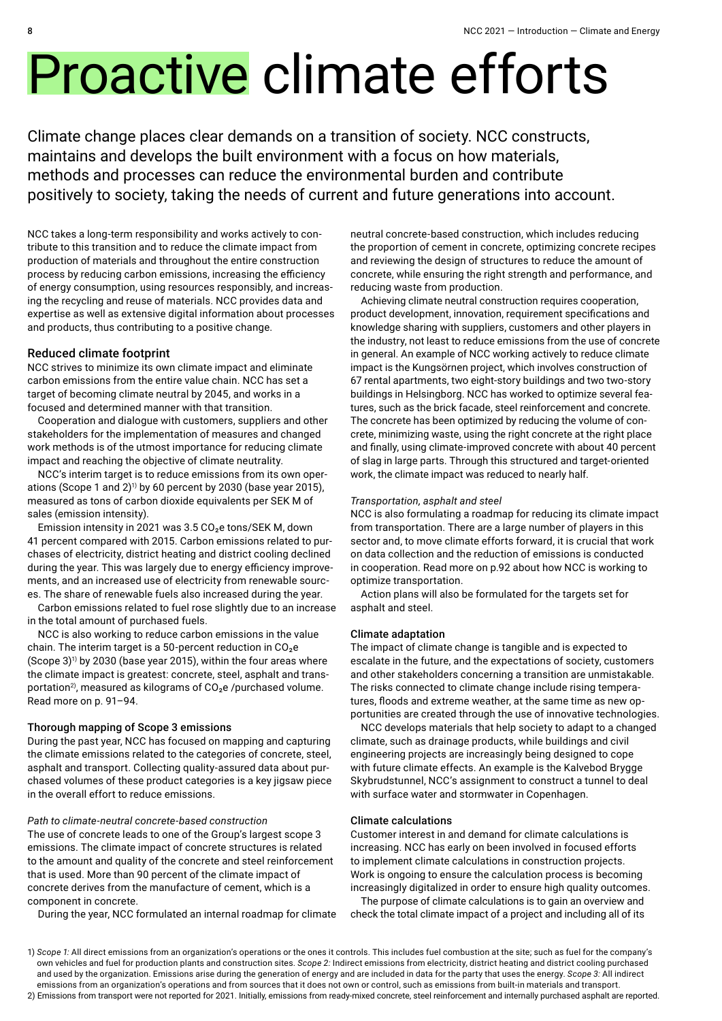# Proactive climate efforts

Climate change places clear demands on a transition of society. NCC constructs, maintains and develops the built environment with a focus on how materials, methods and processes can reduce the environmental burden and contribute positively to society, taking the needs of current and future generations into account.

NCC takes a long-term responsibility and works actively to contribute to this transition and to reduce the climate impact from production of materials and throughout the entire construction process by reducing carbon emissions, increasing the efficiency of energy consumption, using resources responsibly, and increasing the recycling and reuse of materials. NCC provides data and expertise as well as extensive digital information about processes and products, thus contributing to a positive change.

#### Reduced climate footprint

NCC strives to minimize its own climate impact and eliminate carbon emissions from the entire value chain. NCC has set a target of becoming climate neutral by 2045, and works in a focused and determined manner with that transition.

Cooperation and dialogue with customers, suppliers and other stakeholders for the implementation of measures and changed work methods is of the utmost importance for reducing climate impact and reaching the objective of climate neutrality.

NCC's interim target is to reduce emissions from its own operations (Scope 1 and 2)<sup>1)</sup> by 60 percent by 2030 (base year 2015), measured as tons of carbon dioxide equivalents per SEK M of sales (emission intensity).

Emission intensity in 2021 was 3.5 CO<sub>2</sub>e tons/SEK M, down 41 percent compared with 2015. Carbon emissions related to purchases of electricity, district heating and district cooling declined during the year. This was largely due to energy efficiency improvements, and an increased use of electricity from renewable sources. The share of renewable fuels also increased during the year.

Carbon emissions related to fuel rose slightly due to an increase in the total amount of purchased fuels.

NCC is also working to reduce carbon emissions in the value chain. The interim target is a 50-percent reduction in  $CO<sub>2</sub>e$ (Scope  $3)^{11}$  by 2030 (base year 2015), within the four areas where the climate impact is greatest: concrete, steel, asphalt and transportation<sup>2</sup>, measured as kilograms of  $CO<sub>2</sub>e$  /purchased volume. Read more on p. 91–94.

#### Thorough mapping of Scope 3 emissions

During the past year, NCC has focused on mapping and capturing the climate emissions related to the categories of concrete, steel, asphalt and transport. Collecting quality-assured data about purchased volumes of these product categories is a key jigsaw piece in the overall effort to reduce emissions.

#### *Path to climate-neutral concrete-based construction*

The use of concrete leads to one of the Group's largest scope 3 emissions. The climate impact of concrete structures is related to the amount and quality of the concrete and steel reinforcement that is used. More than 90 percent of the climate impact of concrete derives from the manufacture of cement, which is a component in concrete.

During the year, NCC formulated an internal roadmap for climate

neutral concrete-based construction, which includes reducing the proportion of cement in concrete, optimizing concrete recipes and reviewing the design of structures to reduce the amount of concrete, while ensuring the right strength and performance, and reducing waste from production.

Achieving climate neutral construction requires cooperation, product development, innovation, requirement specifications and knowledge sharing with suppliers, customers and other players in the industry, not least to reduce emissions from the use of concrete in general. An example of NCC working actively to reduce climate impact is the Kungsörnen project, which involves construction of 67 rental apartments, two eight-story buildings and two two-story buildings in Helsingborg. NCC has worked to optimize several features, such as the brick facade, steel reinforcement and concrete. The concrete has been optimized by reducing the volume of concrete, minimizing waste, using the right concrete at the right place and finally, using climate-improved concrete with about 40 percent of slag in large parts. Through this structured and target-oriented work, the climate impact was reduced to nearly half.

#### *Transportation, asphalt and steel*

NCC is also formulating a roadmap for reducing its climate impact from transportation. There are a large number of players in this sector and, to move climate efforts forward, it is crucial that work on data collection and the reduction of emissions is conducted in cooperation. Read more on p.92 about how NCC is working to optimize transportation.

Action plans will also be formulated for the targets set for asphalt and steel.

#### Climate adaptation

The impact of climate change is tangible and is expected to escalate in the future, and the expectations of society, customers and other stakeholders concerning a transition are unmistakable. The risks connected to climate change include rising temperatures, floods and extreme weather, at the same time as new opportunities are created through the use of innovative technologies.

NCC develops materials that help society to adapt to a changed climate, such as drainage products, while buildings and civil engineering projects are increasingly being designed to cope with future climate effects. An example is the Kalvebod Brygge Skybrudstunnel, NCC's assignment to construct a tunnel to deal with surface water and stormwater in Copenhagen.

#### Climate calculations

Customer interest in and demand for climate calculations is increasing. NCC has early on been involved in focused efforts to implement climate calculations in construction projects. Work is ongoing to ensure the calculation process is becoming increasingly digitalized in order to ensure high quality outcomes.

The purpose of climate calculations is to gain an overview and check the total climate impact of a project and including all of its

1) *Scope 1:* All direct emissions from an organization's operations or the ones it controls. This includes fuel combustion at the site; such as fuel for the company's own vehicles and fuel for production plants and construction sites. *Scope 2:* Indirect emissions from electricity, district heating and district cooling purchased and used by the organization. Emissions arise during the generation of energy and are included in data for the party that uses the energy. *Scope 3:* All indirect emissions from an organization's operations and from sources that it does not own or control, such as emissions from built-in materials and transport. 2) Emissions from transport were not reported for 2021. Initially, emissions from ready-mixed concrete, steel reinforcement and internally purchased asphalt are reported.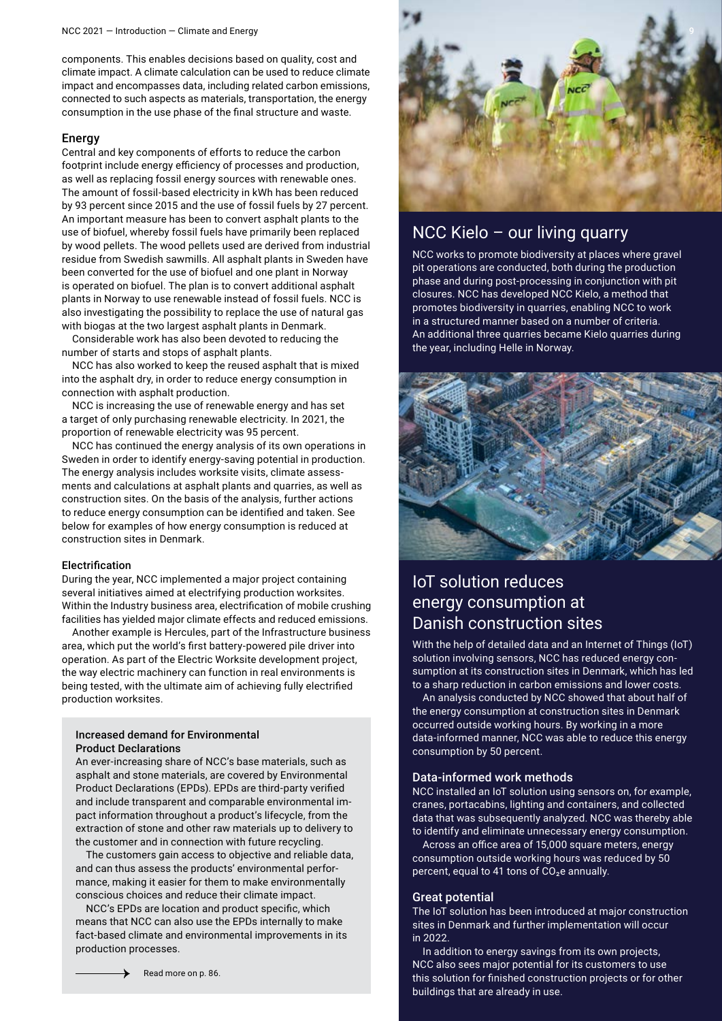components. This enables decisions based on quality, cost and climate impact. A climate calculation can be used to reduce climate impact and encompasses data, including related carbon emissions, connected to such aspects as materials, transportation, the energy consumption in the use phase of the final structure and waste.

#### Energy

Central and key components of efforts to reduce the carbon footprint include energy efficiency of processes and production, as well as replacing fossil energy sources with renewable ones. The amount of fossil-based electricity in kWh has been reduced by 93 percent since 2015 and the use of fossil fuels by 27 percent. An important measure has been to convert asphalt plants to the use of biofuel, whereby fossil fuels have primarily been replaced by wood pellets. The wood pellets used are derived from industrial residue from Swedish sawmills. All asphalt plants in Sweden have been converted for the use of biofuel and one plant in Norway is operated on biofuel. The plan is to convert additional asphalt plants in Norway to use renewable instead of fossil fuels. NCC is also investigating the possibility to replace the use of natural gas with biogas at the two largest asphalt plants in Denmark.

Considerable work has also been devoted to reducing the number of starts and stops of asphalt plants.

NCC has also worked to keep the reused asphalt that is mixed into the asphalt dry, in order to reduce energy consumption in connection with asphalt production.

NCC is increasing the use of renewable energy and has set a target of only purchasing renewable electricity. In 2021, the proportion of renewable electricity was 95 percent.

NCC has continued the energy analysis of its own operations in Sweden in order to identify energy-saving potential in production. The energy analysis includes worksite visits, climate assessments and calculations at asphalt plants and quarries, as well as construction sites. On the basis of the analysis, further actions to reduce energy consumption can be identified and taken. See below for examples of how energy consumption is reduced at construction sites in Denmark.

#### Electrification

During the year, NCC implemented a major project containing several initiatives aimed at electrifying production worksites. Within the Industry business area, electrification of mobile crushing facilities has yielded major climate effects and reduced emissions.

Another example is Hercules, part of the Infrastructure business area, which put the world's first battery-powered pile driver into operation. As part of the Electric Worksite development project, the way electric machinery can function in real environments is being tested, with the ultimate aim of achieving fully electrified production worksites.

#### Increased demand for Environmental Product Declarations

An ever-increasing share of NCC's base materials, such as asphalt and stone materials, are covered by Environmental Product Declarations (EPDs). EPDs are third-party verified and include transparent and comparable environmental impact information throughout a product's lifecycle, from the extraction of stone and other raw materials up to delivery to the customer and in connection with future recycling.

The customers gain access to objective and reliable data, and can thus assess the products' environmental performance, making it easier for them to make environmentally conscious choices and reduce their climate impact.

NCC's EPDs are location and product specific, which means that NCC can also use the EPDs internally to make fact-based climate and environmental improvements in its production processes.



# NCC Kielo – our living quarry

NCC works to promote biodiversity at places where gravel pit operations are conducted, both during the production phase and during post-processing in conjunction with pit closures. NCC has developed NCC Kielo, a method that promotes biodiversity in quarries, enabling NCC to work in a structured manner based on a number of criteria. An additional three quarries became Kielo quarries during the year, including Helle in Norway.



## IoT solution reduces energy consumption at Danish construction sites

With the help of detailed data and an Internet of Things (IoT) solution involving sensors, NCC has reduced energy consumption at its construction sites in Denmark, which has led to a sharp reduction in carbon emissions and lower costs.

An analysis conducted by NCC showed that about half of the energy consumption at construction sites in Denmark occurred outside working hours. By working in a more data-informed manner, NCC was able to reduce this energy consumption by 50 percent.

#### Data-informed work methods

NCC installed an IoT solution using sensors on, for example, cranes, portacabins, lighting and containers, and collected data that was subsequently analyzed. NCC was thereby able to identify and eliminate unnecessary energy consumption.

Across an office area of 15,000 square meters, energy consumption outside working hours was reduced by 50 percent, equal to 41 tons of  $CO<sub>2</sub>e$  annually.

#### Great potential

The IoT solution has been introduced at major construction sites in Denmark and further implementation will occur in 2022.

In addition to energy savings from its own projects, NCC also sees major potential for its customers to use this solution for finished construction projects or for other buildings that are already in use.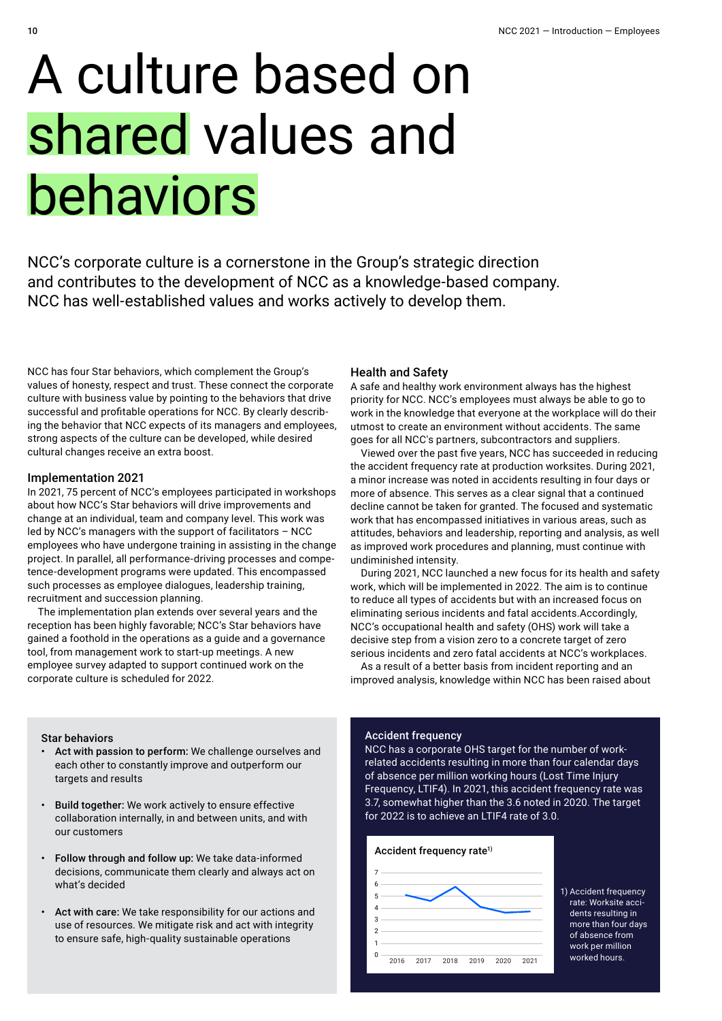# A culture based on shared values and behaviors

NCC's corporate culture is a cornerstone in the Group's strategic direction and contributes to the development of NCC as a knowledge-based company. NCC has well-established values and works actively to develop them.

NCC has four Star behaviors, which complement the Group's values of honesty, respect and trust. These connect the corporate culture with business value by pointing to the behaviors that drive successful and profitable operations for NCC. By clearly describing the behavior that NCC expects of its managers and employees, strong aspects of the culture can be developed, while desired cultural changes receive an extra boost.

#### Implementation 2021

In 2021, 75 percent of NCC's employees participated in workshops about how NCC's Star behaviors will drive improvements and change at an individual, team and company level. This work was led by NCC's managers with the support of facilitators – NCC employees who have undergone training in assisting in the change project. In parallel, all performance-driving processes and competence-development programs were updated. This encompassed such processes as employee dialogues, leadership training, recruitment and succession planning.

The implementation plan extends over several years and the reception has been highly favorable; NCC's Star behaviors have gained a foothold in the operations as a guide and a governance tool, from management work to start-up meetings. A new employee survey adapted to support continued work on the corporate culture is scheduled for 2022.

#### Health and Safety

A safe and healthy work environment always has the highest priority for NCC. NCC's employees must always be able to go to work in the knowledge that everyone at the workplace will do their utmost to create an environment without accidents. The same goes for all NCC's partners, subcontractors and suppliers.

Viewed over the past five years, NCC has succeeded in reducing the accident frequency rate at production worksites. During 2021, a minor increase was noted in accidents resulting in four days or more of absence. This serves as a clear signal that a continued decline cannot be taken for granted. The focused and systematic work that has encompassed initiatives in various areas, such as attitudes, behaviors and leadership, reporting and analysis, as well as improved work procedures and planning, must continue with undiminished intensity.

During 2021, NCC launched a new focus for its health and safety work, which will be implemented in 2022. The aim is to continue to reduce all types of accidents but with an increased focus on eliminating serious incidents and fatal accidents.Accordingly, NCC's occupational health and safety (OHS) work will take a decisive step from a vision zero to a concrete target of zero serious incidents and zero fatal accidents at NCC's workplaces.

As a result of a better basis from incident reporting and an improved analysis, knowledge within NCC has been raised about

#### Star behaviors

- Act with passion to perform: We challenge ourselves and each other to constantly improve and outperform our targets and results
- Build together: We work actively to ensure effective collaboration internally, in and between units, and with our customers
- Follow through and follow up: We take data-informed decisions, communicate them clearly and always act on what's decided
- Act with care: We take responsibility for our actions and use of resources. We mitigate risk and act with integrity to ensure safe, high-quality sustainable operations

#### Accident frequency

NCC has a corporate OHS target for the number of workrelated accidents resulting in more than four calendar days of absence per million working hours (Lost Time Injury Frequency, LTIF4). In 2021, this accident frequency rate was 3.7, somewhat higher than the 3.6 noted in 2020. The target for 2022 is to achieve an LTIF4 rate of 3.0.



1) Accident frequency rate: Worksite accidents resulting in more than four days of absence from work per million worked hours.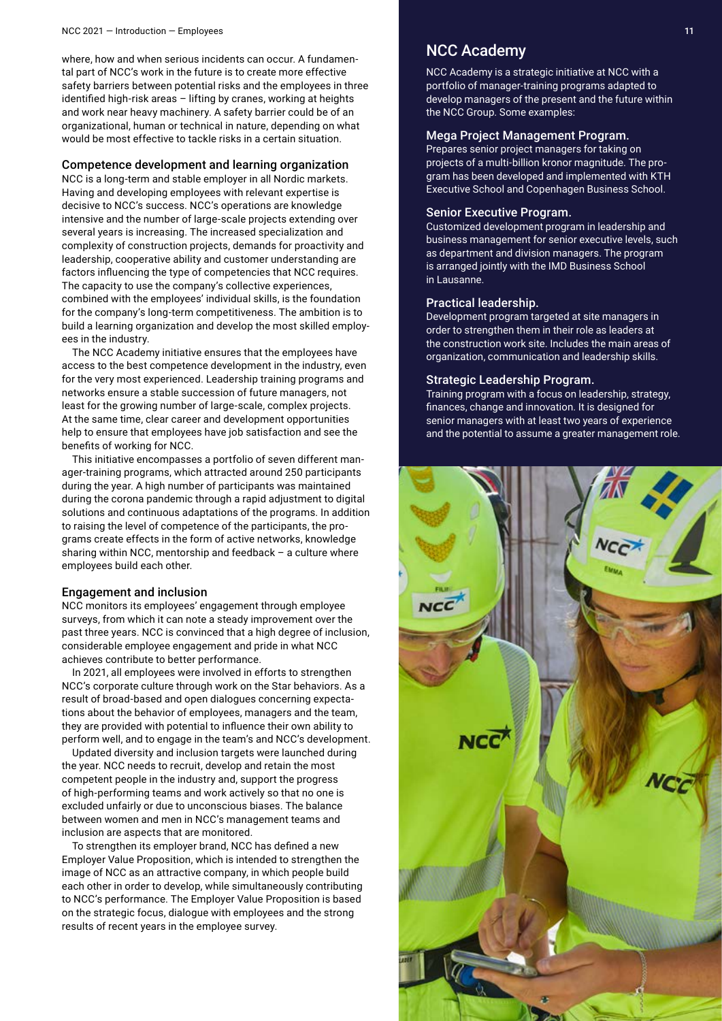#### NCC 2021 — Introduction — Employees 11

where, how and when serious incidents can occur. A fundamental part of NCC's work in the future is to create more effective safety barriers between potential risks and the employees in three identified high-risk areas – lifting by cranes, working at heights and work near heavy machinery. A safety barrier could be of an organizational, human or technical in nature, depending on what would be most effective to tackle risks in a certain situation.

#### Competence development and learning organization

NCC is a long-term and stable employer in all Nordic markets. Having and developing employees with relevant expertise is decisive to NCC's success. NCC's operations are knowledge intensive and the number of large-scale projects extending over several years is increasing. The increased specialization and complexity of construction projects, demands for proactivity and leadership, cooperative ability and customer understanding are factors influencing the type of competencies that NCC requires. The capacity to use the company's collective experiences, combined with the employees' individual skills, is the foundation for the company's long-term competitiveness. The ambition is to build a learning organization and develop the most skilled employees in the industry.

The NCC Academy initiative ensures that the employees have access to the best competence development in the industry, even for the very most experienced. Leadership training programs and networks ensure a stable succession of future managers, not least for the growing number of large-scale, complex projects. At the same time, clear career and development opportunities help to ensure that employees have job satisfaction and see the benefits of working for NCC.

This initiative encompasses a portfolio of seven different manager-training programs, which attracted around 250 participants during the year. A high number of participants was maintained during the corona pandemic through a rapid adjustment to digital solutions and continuous adaptations of the programs. In addition to raising the level of competence of the participants, the programs create effects in the form of active networks, knowledge sharing within NCC, mentorship and feedback – a culture where employees build each other.

#### Engagement and inclusion

NCC monitors its employees' engagement through employee surveys, from which it can note a steady improvement over the past three years. NCC is convinced that a high degree of inclusion, considerable employee engagement and pride in what NCC achieves contribute to better performance.

In 2021, all employees were involved in efforts to strengthen NCC's corporate culture through work on the Star behaviors. As a result of broad-based and open dialogues concerning expectations about the behavior of employees, managers and the team, they are provided with potential to influence their own ability to perform well, and to engage in the team's and NCC's development.

Updated diversity and inclusion targets were launched during the year. NCC needs to recruit, develop and retain the most competent people in the industry and, support the progress of high-performing teams and work actively so that no one is excluded unfairly or due to unconscious biases. The balance between women and men in NCC's management teams and inclusion are aspects that are monitored.

To strengthen its employer brand, NCC has defined a new Employer Value Proposition, which is intended to strengthen the image of NCC as an attractive company, in which people build each other in order to develop, while simultaneously contributing to NCC's performance. The Employer Value Proposition is based on the strategic focus, dialogue with employees and the strong results of recent years in the employee survey.

### NCC Academy

NCC Academy is a strategic initiative at NCC with a portfolio of manager-training programs adapted to develop managers of the present and the future within the NCC Group. Some examples:

#### Mega Project Management Program.

Prepares senior project managers for taking on projects of a multi-billion kronor magnitude. The program has been developed and implemented with KTH Executive School and Copenhagen Business School.

#### Senior Executive Program.

Customized development program in leadership and business management for senior executive levels, such as department and division managers. The program is arranged jointly with the IMD Business School in Lausanne.

#### Practical leadership.

Development program targeted at site managers in order to strengthen them in their role as leaders at the construction work site. Includes the main areas of organization, communication and leadership skills.

#### Strategic Leadership Program.

Training program with a focus on leadership, strategy, finances, change and innovation. It is designed for senior managers with at least two years of experience and the potential to assume a greater management role.

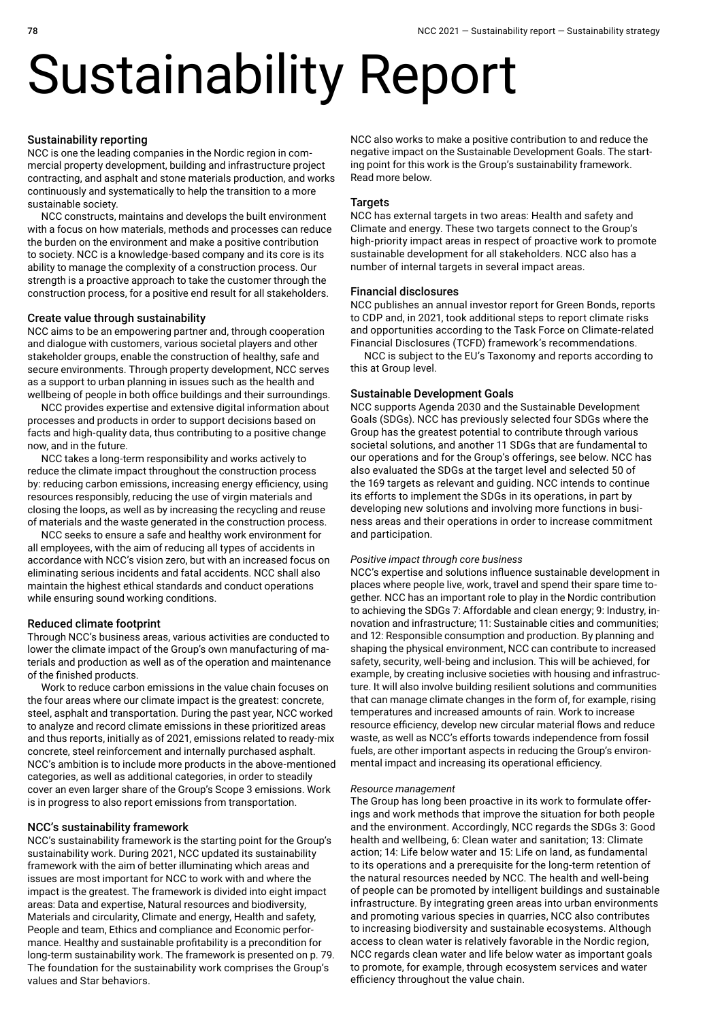# Sustainability Report

#### Sustainability reporting

NCC is one the leading companies in the Nordic region in commercial property development, building and infrastructure project contracting, and asphalt and stone materials production, and works continuously and systematically to help the transition to a more sustainable society.

NCC constructs, maintains and develops the built environment with a focus on how materials, methods and processes can reduce the burden on the environment and make a positive contribution to society. NCC is a knowledge-based company and its core is its ability to manage the complexity of a construction process. Our strength is a proactive approach to take the customer through the construction process, for a positive end result for all stakeholders.

#### Create value through sustainability

NCC aims to be an empowering partner and, through cooperation and dialogue with customers, various societal players and other stakeholder groups, enable the construction of healthy, safe and secure environments. Through property development, NCC serves as a support to urban planning in issues such as the health and wellbeing of people in both office buildings and their surroundings.

NCC provides expertise and extensive digital information about processes and products in order to support decisions based on facts and high-quality data, thus contributing to a positive change now, and in the future.

NCC takes a long-term responsibility and works actively to reduce the climate impact throughout the construction process by: reducing carbon emissions, increasing energy efficiency, using resources responsibly, reducing the use of virgin materials and closing the loops, as well as by increasing the recycling and reuse of materials and the waste generated in the construction process.

NCC seeks to ensure a safe and healthy work environment for all employees, with the aim of reducing all types of accidents in accordance with NCC's vision zero, but with an increased focus on eliminating serious incidents and fatal accidents. NCC shall also maintain the highest ethical standards and conduct operations while ensuring sound working conditions.

#### Reduced climate footprint

Through NCC's business areas, various activities are conducted to lower the climate impact of the Group's own manufacturing of materials and production as well as of the operation and maintenance of the finished products.

Work to reduce carbon emissions in the value chain focuses on the four areas where our climate impact is the greatest: concrete, steel, asphalt and transportation. During the past year, NCC worked to analyze and record climate emissions in these prioritized areas and thus reports, initially as of 2021, emissions related to ready-mix concrete, steel reinforcement and internally purchased asphalt. NCC's ambition is to include more products in the above-mentioned categories, as well as additional categories, in order to steadily cover an even larger share of the Group's Scope 3 emissions. Work is in progress to also report emissions from transportation.

#### NCC's sustainability framework

NCC's sustainability framework is the starting point for the Group's sustainability work. During 2021, NCC updated its sustainability framework with the aim of better illuminating which areas and issues are most important for NCC to work with and where the impact is the greatest. The framework is divided into eight impact areas: Data and expertise, Natural resources and biodiversity, Materials and circularity, Climate and energy, Health and safety, People and team, Ethics and compliance and Economic performance. Healthy and sustainable profitability is a precondition for long-term sustainability work. The framework is presented on p. 79. The foundation for the sustainability work comprises the Group's values and Star behaviors.

NCC also works to make a positive contribution to and reduce the negative impact on the Sustainable Development Goals. The starting point for this work is the Group's sustainability framework. Read more below.

#### **Targets**

NCC has external targets in two areas: Health and safety and Climate and energy. These two targets connect to the Group's high-priority impact areas in respect of proactive work to promote sustainable development for all stakeholders. NCC also has a number of internal targets in several impact areas.

#### Financial disclosures

NCC publishes an annual investor report for Green Bonds, reports to CDP and, in 2021, took additional steps to report climate risks and opportunities according to the Task Force on Climate-related Financial Disclosures (TCFD) framework's recommendations.

NCC is subject to the EU's Taxonomy and reports according to this at Group level.

#### Sustainable Development Goals

NCC supports Agenda 2030 and the Sustainable Development Goals (SDGs). NCC has previously selected four SDGs where the Group has the greatest potential to contribute through various societal solutions, and another 11 SDGs that are fundamental to our operations and for the Group's offerings, see below. NCC has also evaluated the SDGs at the target level and selected 50 of the 169 targets as relevant and guiding. NCC intends to continue its efforts to implement the SDGs in its operations, in part by developing new solutions and involving more functions in business areas and their operations in order to increase commitment and participation.

#### *Positive impact through core business*

NCC's expertise and solutions influence sustainable development in places where people live, work, travel and spend their spare time together. NCC has an important role to play in the Nordic contribution to achieving the SDGs 7: Affordable and clean energy; 9: Industry, innovation and infrastructure; 11: Sustainable cities and communities; and 12: Responsible consumption and production. By planning and shaping the physical environment, NCC can contribute to increased safety, security, well-being and inclusion. This will be achieved, for example, by creating inclusive societies with housing and infrastructure. It will also involve building resilient solutions and communities that can manage climate changes in the form of, for example, rising temperatures and increased amounts of rain. Work to increase resource efficiency, develop new circular material flows and reduce waste, as well as NCC's efforts towards independence from fossil fuels, are other important aspects in reducing the Group's environmental impact and increasing its operational efficiency.

#### *Resource management*

The Group has long been proactive in its work to formulate offerings and work methods that improve the situation for both people and the environment. Accordingly, NCC regards the SDGs 3: Good health and wellbeing, 6: Clean water and sanitation; 13: Climate action; 14: Life below water and 15: Life on land, as fundamental to its operations and a prerequisite for the long-term retention of the natural resources needed by NCC. The health and well-being of people can be promoted by intelligent buildings and sustainable infrastructure. By integrating green areas into urban environments and promoting various species in quarries, NCC also contributes to increasing biodiversity and sustainable ecosystems. Although access to clean water is relatively favorable in the Nordic region, NCC regards clean water and life below water as important goals to promote, for example, through ecosystem services and water efficiency throughout the value chain.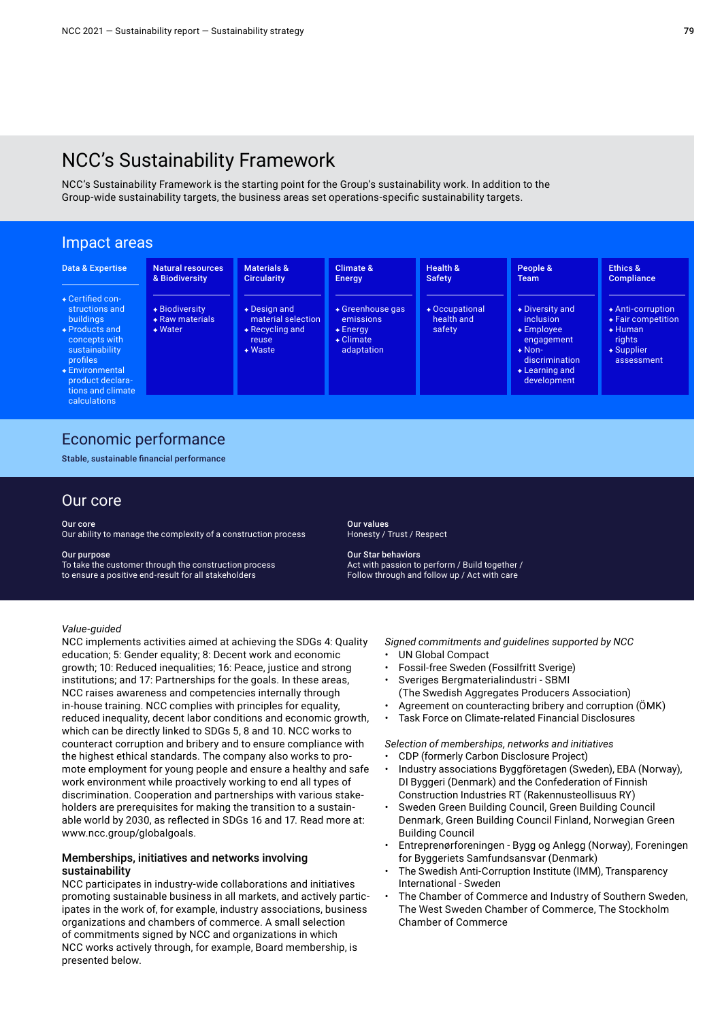# NCC's Sustainability Framework

NCC's Sustainability Framework is the starting point for the Group's sustainability work. In addition to the Group-wide sustainability targets, the business areas set operations-specific sustainability targets.

#### Impact areas Health & Safety Occupational health and safety Natural resources & Biodiversity Biodiversity Raw materials Water Data & Expertise Certified constructions and buildings Products and concepts with sustainability profiles Environmental product declara tions and climate calculations People & Team Diversity and inclusion Employee engagement Nondiscrimination Learning and development Materials & **Circularity** Design and material selection Recycling and reuse Waste Ethics & **Compliance**  Anti-corruption Fair competition Human rights Supplier assessment Climate & Energy Greenhouse gas emissions Energy Climate adaptation

### Economic performance

Stable, sustainable financial performance

### Our core

#### Our core

Our ability to manage the complexity of a construction process

#### Our purpose

To take the customer through the construction process to ensure a positive end-result for all stakeholders

Our values Honesty / Trust / Respect

Our Star behaviors Act with passion to perform / Build together / Follow through and follow up / Act with care

#### *Value-guided*

NCC implements activities aimed at achieving the SDGs 4: Quality education; 5: Gender equality; 8: Decent work and economic growth; 10: Reduced inequalities; 16: Peace, justice and strong institutions; and 17: Partnerships for the goals. In these areas, NCC raises awareness and competencies internally through in-house training. NCC complies with principles for equality, reduced inequality, decent labor conditions and economic growth, which can be directly linked to SDGs 5, 8 and 10. NCC works to counteract corruption and bribery and to ensure compliance with the highest ethical standards. The company also works to promote employment for young people and ensure a healthy and safe work environment while proactively working to end all types of discrimination. Cooperation and partnerships with various stakeholders are prerequisites for making the transition to a sustainable world by 2030, as reflected in SDGs 16 and 17. Read more at: www.ncc.group/globalgoals.

#### Memberships, initiatives and networks involving sustainability

NCC participates in industry-wide collaborations and initiatives promoting sustainable business in all markets, and actively participates in the work of, for example, industry associations, business organizations and chambers of commerce. A small selection of commitments signed by NCC and organizations in which NCC works actively through, for example, Board membership, is presented below.

*Signed commitments and guidelines supported by NCC*

- UN Global Compact
- Fossil-free Sweden (Fossilfritt Sverige)
- Sveriges Bergmaterialindustri SBMI (The Swedish Aggregates Producers Association)
- Agreement on counteracting bribery and corruption (ÖMK)
- Task Force on Climate-related Financial Disclosures

*Selection of memberships, networks and initiatives* 

- CDP (formerly Carbon Disclosure Project)
- Industry associations Byggföretagen (Sweden), EBA (Norway), DI Byggeri (Denmark) and the Confederation of Finnish Construction Industries RT (Rakennusteollisuus RY)
- Sweden Green Building Council, Green Building Council Denmark, Green Building Council Finland, Norwegian Green Building Council
- Entreprenørforeningen Bygg og Anlegg (Norway), Foreningen for Byggeriets Samfundsansvar (Denmark)
- The Swedish Anti-Corruption Institute (IMM), Transparency International - Sweden
- The Chamber of Commerce and Industry of Southern Sweden, The West Sweden Chamber of Commerce, The Stockholm Chamber of Commerce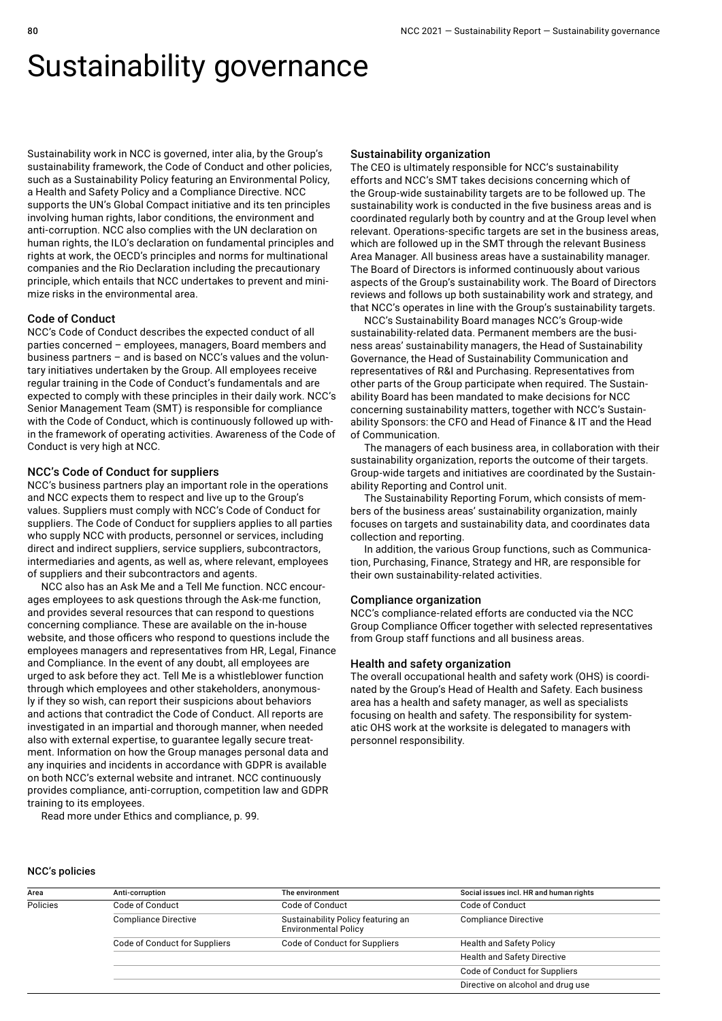# Sustainability governance

Sustainability work in NCC is governed, inter alia, by the Group's sustainability framework, the Code of Conduct and other policies, such as a Sustainability Policy featuring an Environmental Policy, a Health and Safety Policy and a Compliance Directive. NCC supports the UN's Global Compact initiative and its ten principles involving human rights, labor conditions, the environment and anti-corruption. NCC also complies with the UN declaration on human rights, the ILO's declaration on fundamental principles and rights at work, the OECD's principles and norms for multinational companies and the Rio Declaration including the precautionary principle, which entails that NCC undertakes to prevent and minimize risks in the environmental area.

#### Code of Conduct

NCC's Code of Conduct describes the expected conduct of all parties concerned – employees, managers, Board members and business partners – and is based on NCC's values and the voluntary initiatives undertaken by the Group. All employees receive regular training in the Code of Conduct's fundamentals and are expected to comply with these principles in their daily work. NCC's Senior Management Team (SMT) is responsible for compliance with the Code of Conduct, which is continuously followed up within the framework of operating activities. Awareness of the Code of Conduct is very high at NCC.

#### NCC's Code of Conduct for suppliers

NCC's business partners play an important role in the operations and NCC expects them to respect and live up to the Group's values. Suppliers must comply with NCC's Code of Conduct for suppliers. The Code of Conduct for suppliers applies to all parties who supply NCC with products, personnel or services, including direct and indirect suppliers, service suppliers, subcontractors, intermediaries and agents, as well as, where relevant, employees of suppliers and their subcontractors and agents.

NCC also has an Ask Me and a Tell Me function. NCC encourages employees to ask questions through the Ask-me function, and provides several resources that can respond to questions concerning compliance. These are available on the in-house website, and those officers who respond to questions include the employees managers and representatives from HR, Legal, Finance and Compliance. In the event of any doubt, all employees are urged to ask before they act. Tell Me is a whistleblower function through which employees and other stakeholders, anonymously if they so wish, can report their suspicions about behaviors and actions that contradict the Code of Conduct. All reports are investigated in an impartial and thorough manner, when needed also with external expertise, to guarantee legally secure treatment. Information on how the Group manages personal data and any inquiries and incidents in accordance with GDPR is available on both NCC's external website and intranet. NCC continuously provides compliance, anti-corruption, competition law and GDPR training to its employees.

Read more under Ethics and compliance, p. 99.

#### Sustainability organization

The CEO is ultimately responsible for NCC's sustainability efforts and NCC's SMT takes decisions concerning which of the Group-wide sustainability targets are to be followed up. The sustainability work is conducted in the five business areas and is coordinated regularly both by country and at the Group level when relevant. Operations-specific targets are set in the business areas, which are followed up in the SMT through the relevant Business Area Manager. All business areas have a sustainability manager. The Board of Directors is informed continuously about various aspects of the Group's sustainability work. The Board of Directors reviews and follows up both sustainability work and strategy, and that NCC's operates in line with the Group's sustainability targets.

NCC's Sustainability Board manages NCC's Group-wide sustainability-related data. Permanent members are the business areas' sustainability managers, the Head of Sustainability Governance, the Head of Sustainability Communication and representatives of R&I and Purchasing. Representatives from other parts of the Group participate when required. The Sustainability Board has been mandated to make decisions for NCC concerning sustainability matters, together with NCC's Sustainability Sponsors: the CFO and Head of Finance & IT and the Head of Communication.

The managers of each business area, in collaboration with their sustainability organization, reports the outcome of their targets. Group-wide targets and initiatives are coordinated by the Sustainability Reporting and Control unit.

The Sustainability Reporting Forum, which consists of members of the business areas' sustainability organization, mainly focuses on targets and sustainability data, and coordinates data collection and reporting.

In addition, the various Group functions, such as Communication, Purchasing, Finance, Strategy and HR, are responsible for their own sustainability-related activities.

#### Compliance organization

NCC's compliance-related efforts are conducted via the NCC Group Compliance Officer together with selected representatives from Group staff functions and all business areas.

#### Health and safety organization

The overall occupational health and safety work (OHS) is coordinated by the Group's Head of Health and Safety. Each business area has a health and safety manager, as well as specialists focusing on health and safety. The responsibility for systematic OHS work at the worksite is delegated to managers with personnel responsibility.

#### NCC's policies

| Area     | Anti-corruption               | The environment                                                   | Social issues incl. HR and human rights |  |  |
|----------|-------------------------------|-------------------------------------------------------------------|-----------------------------------------|--|--|
| Policies | Code of Conduct               | Code of Conduct                                                   | Code of Conduct                         |  |  |
|          | <b>Compliance Directive</b>   | Sustainability Policy featuring an<br><b>Environmental Policy</b> | <b>Compliance Directive</b>             |  |  |
|          | Code of Conduct for Suppliers | Code of Conduct for Suppliers                                     | <b>Health and Safety Policy</b>         |  |  |
|          |                               |                                                                   | <b>Health and Safety Directive</b>      |  |  |
|          |                               |                                                                   | Code of Conduct for Suppliers           |  |  |
|          |                               |                                                                   | Directive on alcohol and drug use       |  |  |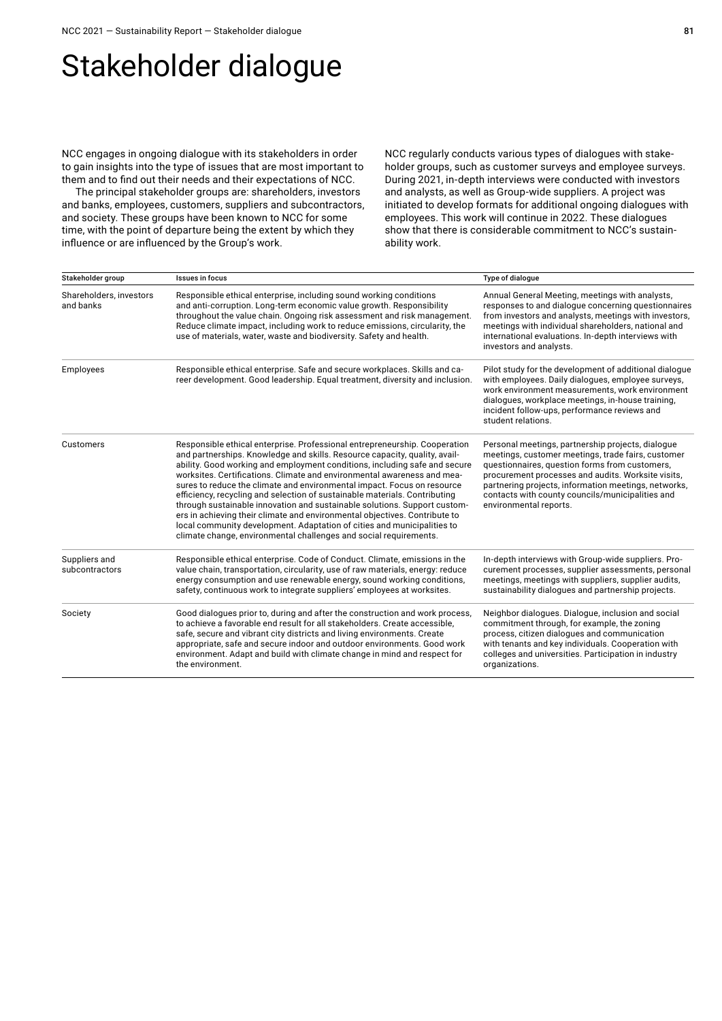# Stakeholder dialogue

NCC engages in ongoing dialogue with its stakeholders in order to gain insights into the type of issues that are most important to them and to find out their needs and their expectations of NCC.

The principal stakeholder groups are: shareholders, investors and banks, employees, customers, suppliers and subcontractors, and society. These groups have been known to NCC for some time, with the point of departure being the extent by which they influence or are influenced by the Group's work.

NCC regularly conducts various types of dialogues with stakeholder groups, such as customer surveys and employee surveys. During 2021, in-depth interviews were conducted with investors and analysts, as well as Group-wide suppliers. A project was initiated to develop formats for additional ongoing dialogues with employees. This work will continue in 2022. These dialogues show that there is considerable commitment to NCC's sustainability work.

| Stakeholder group                    | Issues in focus                                                                                                                                                                                                                                                                                                                                                                                                                                                                                                                                                                                                                                                                                                                                                                       | Type of dialogue                                                                                                                                                                                                                                                                                                                                      |
|--------------------------------------|---------------------------------------------------------------------------------------------------------------------------------------------------------------------------------------------------------------------------------------------------------------------------------------------------------------------------------------------------------------------------------------------------------------------------------------------------------------------------------------------------------------------------------------------------------------------------------------------------------------------------------------------------------------------------------------------------------------------------------------------------------------------------------------|-------------------------------------------------------------------------------------------------------------------------------------------------------------------------------------------------------------------------------------------------------------------------------------------------------------------------------------------------------|
| Shareholders, investors<br>and banks | Responsible ethical enterprise, including sound working conditions<br>and anti-corruption. Long-term economic value growth. Responsibility<br>throughout the value chain. Ongoing risk assessment and risk management.<br>Reduce climate impact, including work to reduce emissions, circularity, the<br>use of materials, water, waste and biodiversity. Safety and health.                                                                                                                                                                                                                                                                                                                                                                                                          | Annual General Meeting, meetings with analysts,<br>responses to and dialogue concerning questionnaires<br>from investors and analysts, meetings with investors,<br>meetings with individual shareholders, national and<br>international evaluations. In-depth interviews with<br>investors and analysts.                                              |
| Employees                            | Responsible ethical enterprise. Safe and secure workplaces. Skills and ca-<br>reer development. Good leadership. Equal treatment, diversity and inclusion.                                                                                                                                                                                                                                                                                                                                                                                                                                                                                                                                                                                                                            | Pilot study for the development of additional dialogue<br>with employees. Daily dialogues, employee surveys,<br>work environment measurements, work environment<br>dialogues, workplace meetings, in-house training,<br>incident follow-ups, performance reviews and<br>student relations.                                                            |
| Customers                            | Responsible ethical enterprise. Professional entrepreneurship. Cooperation<br>and partnerships. Knowledge and skills. Resource capacity, quality, avail-<br>ability. Good working and employment conditions, including safe and secure<br>worksites. Certifications. Climate and environmental awareness and mea-<br>sures to reduce the climate and environmental impact. Focus on resource<br>efficiency, recycling and selection of sustainable materials. Contributing<br>through sustainable innovation and sustainable solutions. Support custom-<br>ers in achieving their climate and environmental objectives. Contribute to<br>local community development. Adaptation of cities and municipalities to<br>climate change, environmental challenges and social requirements. | Personal meetings, partnership projects, dialogue<br>meetings, customer meetings, trade fairs, customer<br>questionnaires, question forms from customers,<br>procurement processes and audits. Worksite visits,<br>partnering projects, information meetings, networks,<br>contacts with county councils/municipalities and<br>environmental reports. |
| Suppliers and<br>subcontractors      | Responsible ethical enterprise. Code of Conduct. Climate, emissions in the<br>value chain, transportation, circularity, use of raw materials, energy: reduce<br>energy consumption and use renewable energy, sound working conditions,<br>safety, continuous work to integrate suppliers' employees at worksites.                                                                                                                                                                                                                                                                                                                                                                                                                                                                     | In-depth interviews with Group-wide suppliers. Pro-<br>curement processes, supplier assessments, personal<br>meetings, meetings with suppliers, supplier audits,<br>sustainability dialogues and partnership projects.                                                                                                                                |
| Society                              | Good dialogues prior to, during and after the construction and work process,<br>to achieve a favorable end result for all stakeholders. Create accessible,<br>safe, secure and vibrant city districts and living environments. Create<br>appropriate, safe and secure indoor and outdoor environments. Good work<br>environment. Adapt and build with climate change in mind and respect for<br>the environment.                                                                                                                                                                                                                                                                                                                                                                      | Neighbor dialogues. Dialogue, inclusion and social<br>commitment through, for example, the zoning<br>process, citizen dialogues and communication<br>with tenants and key individuals. Cooperation with<br>colleges and universities. Participation in industry<br>organizations.                                                                     |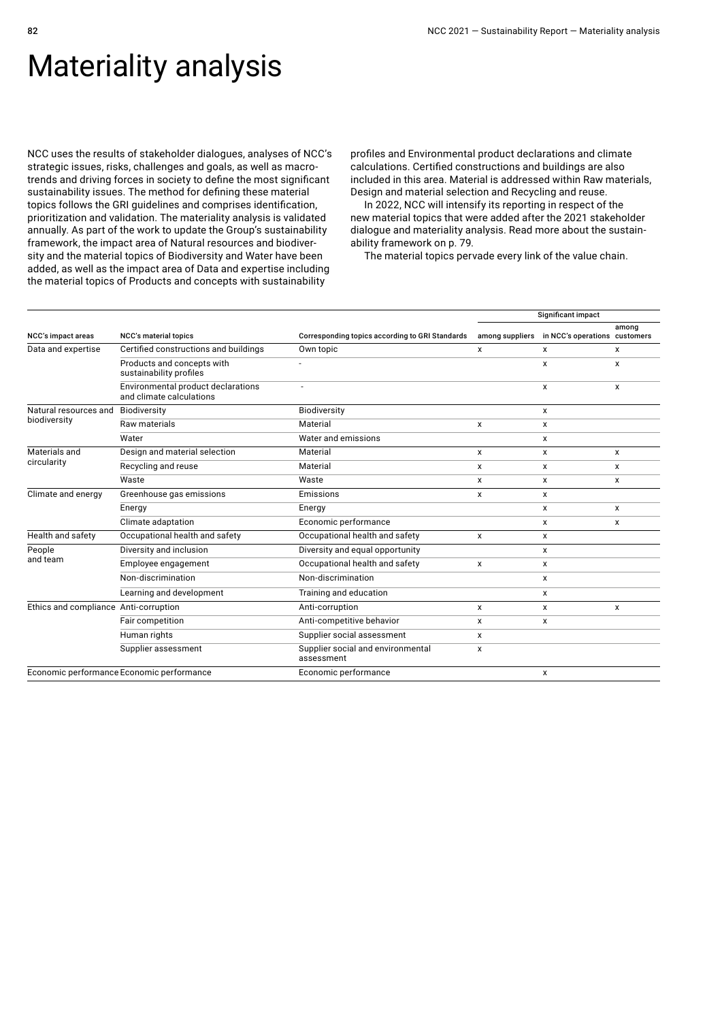# Materiality analysis

NCC uses the results of stakeholder dialogues, analyses of NCC's strategic issues, risks, challenges and goals, as well as macrotrends and driving forces in society to define the most significant sustainability issues. The method for defining these material topics follows the GRI guidelines and comprises identification, prioritization and validation. The materiality analysis is validated annually. As part of the work to update the Group's sustainability framework, the impact area of Natural resources and biodiversity and the material topics of Biodiversity and Water have been added, as well as the impact area of Data and expertise including the material topics of Products and concepts with sustainability

profiles and Environmental product declarations and climate calculations. Certified constructions and buildings are also included in this area. Material is addressed within Raw materials, Design and material selection and Recycling and reuse.

In 2022, NCC will intensify its reporting in respect of the new material topics that were added after the 2021 stakeholder dialogue and materiality analysis. Read more about the sustainability framework on p. 79.

The material topics pervade every link of the value chain.

|                                       |                                                                |                                                 |                 | Significant impact            |       |
|---------------------------------------|----------------------------------------------------------------|-------------------------------------------------|-----------------|-------------------------------|-------|
| NCC's impact areas                    | <b>NCC's material topics</b>                                   | Corresponding topics according to GRI Standards | among suppliers | in NCC's operations customers | among |
| Data and expertise                    | Certified constructions and buildings                          | Own topic                                       | x               | x                             | x     |
|                                       | Products and concepts with<br>sustainability profiles          |                                                 |                 | X                             | x     |
|                                       | Environmental product declarations<br>and climate calculations |                                                 |                 | x                             | x     |
| Natural resources and                 | Biodiversity                                                   | Biodiversity                                    |                 | x                             |       |
| biodiversity                          | Raw materials                                                  | Material                                        | x               | x                             |       |
|                                       | Water                                                          | Water and emissions                             |                 | X                             |       |
| Materials and                         | Design and material selection                                  | Material                                        | $\mathsf{x}$    | X                             | x     |
| circularity                           | Recycling and reuse                                            | Material                                        | x               | x                             | x     |
|                                       | Waste                                                          | Waste                                           | x               | x                             | x     |
| Climate and energy                    | Greenhouse gas emissions                                       | Emissions                                       | $\mathsf{x}$    | x                             |       |
|                                       | Energy                                                         | Energy                                          |                 | x                             | x     |
|                                       | Climate adaptation                                             | Economic performance                            |                 | x                             | x     |
| Health and safety                     | Occupational health and safety                                 | Occupational health and safety                  | x               | x                             |       |
| People                                | Diversity and inclusion                                        | Diversity and equal opportunity                 |                 | x                             |       |
| and team                              | Employee engagement                                            | Occupational health and safety                  | $\mathsf{x}$    | x                             |       |
|                                       | Non-discrimination                                             | Non-discrimination                              |                 | X                             |       |
|                                       | Learning and development                                       | Training and education                          |                 | x                             |       |
| Ethics and compliance Anti-corruption |                                                                | Anti-corruption                                 | X               | $\mathsf{x}$                  | x     |
|                                       | Fair competition                                               | Anti-competitive behavior                       | x               | x                             |       |
|                                       | Human rights                                                   | Supplier social assessment                      | $\mathsf{x}$    |                               |       |
|                                       | Supplier assessment                                            | Supplier social and environmental<br>assessment | X               |                               |       |
|                                       | Economic performance Economic performance                      | Economic performance                            |                 | X                             |       |
|                                       |                                                                |                                                 |                 |                               |       |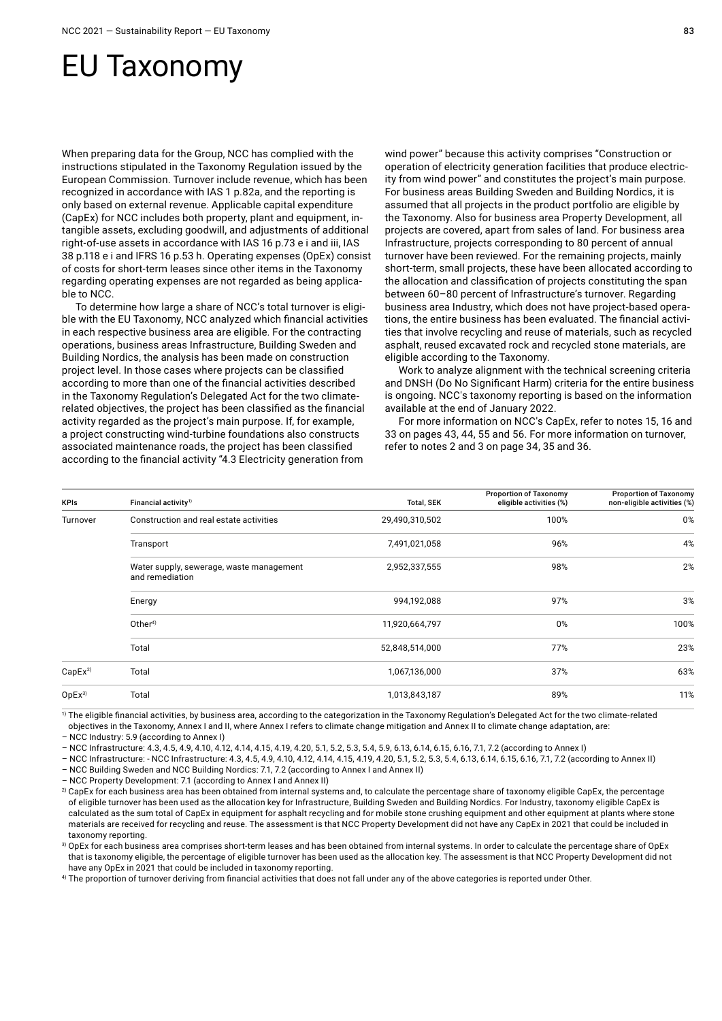# EU Taxonomy

When preparing data for the Group, NCC has complied with the instructions stipulated in the Taxonomy Regulation issued by the European Commission. Turnover include revenue, which has been recognized in accordance with IAS 1 p.82a, and the reporting is only based on external revenue. Applicable capital expenditure (CapEx) for NCC includes both property, plant and equipment, intangible assets, excluding goodwill, and adjustments of additional right-of-use assets in accordance with IAS 16 p.73 e i and iii, IAS 38 p.118 e i and IFRS 16 p.53 h. Operating expenses (OpEx) consist of costs for short-term leases since other items in the Taxonomy regarding operating expenses are not regarded as being applicable to NCC.

To determine how large a share of NCC's total turnover is eligible with the EU Taxonomy, NCC analyzed which financial activities in each respective business area are eligible. For the contracting operations, business areas Infrastructure, Building Sweden and Building Nordics, the analysis has been made on construction project level. In those cases where projects can be classified according to more than one of the financial activities described in the Taxonomy Regulation's Delegated Act for the two climaterelated objectives, the project has been classified as the financial activity regarded as the project's main purpose. If, for example, a project constructing wind-turbine foundations also constructs associated maintenance roads, the project has been classified according to the financial activity "4.3 Electricity generation from

wind power" because this activity comprises "Construction or operation of electricity generation facilities that produce electricity from wind power" and constitutes the project's main purpose. For business areas Building Sweden and Building Nordics, it is assumed that all projects in the product portfolio are eligible by the Taxonomy. Also for business area Property Development, all projects are covered, apart from sales of land. For business area Infrastructure, projects corresponding to 80 percent of annual turnover have been reviewed. For the remaining projects, mainly short-term, small projects, these have been allocated according to the allocation and classification of projects constituting the span between 60–80 percent of Infrastructure's turnover. Regarding business area Industry, which does not have project-based operations, the entire business has been evaluated. The financial activities that involve recycling and reuse of materials, such as recycled asphalt, reused excavated rock and recycled stone materials, are eligible according to the Taxonomy.

Work to analyze alignment with the technical screening criteria and DNSH (Do No Significant Harm) criteria for the entire business is ongoing. NCC's taxonomy reporting is based on the information available at the end of January 2022.

For more information on NCC's CapEx, refer to notes 15, 16 and 33 on pages 43, 44, 55 and 56. For more information on turnover, refer to notes 2 and 3 on page 34, 35 and 36.

| <b>KPIs</b>        | Financial activity <sup>1)</sup>                            | <b>Total, SEK</b> | <b>Proportion of Taxonomy</b><br>eligible activities (%) | <b>Proportion of Taxonomy</b><br>non-eligible activities (%) |
|--------------------|-------------------------------------------------------------|-------------------|----------------------------------------------------------|--------------------------------------------------------------|
| Turnover           | Construction and real estate activities                     | 29,490,310,502    | 100%                                                     | 0%                                                           |
|                    | Transport                                                   | 7,491,021,058     | 96%                                                      | 4%                                                           |
|                    | Water supply, sewerage, waste management<br>and remediation | 2,952,337,555     | 98%                                                      | 2%                                                           |
|                    | Energy                                                      | 994,192,088       | 97%                                                      | 3%                                                           |
|                    | Other <sup>4</sup>                                          | 11,920,664,797    | 0%                                                       | 100%                                                         |
|                    | Total                                                       | 52,848,514,000    | 77%                                                      | 23%                                                          |
| CapEx <sup>2</sup> | Total                                                       | 1,067,136,000     | 37%                                                      | 63%                                                          |
| OpEx <sup>3</sup>  | Total                                                       | 1,013,843,187     | 89%                                                      | 11%                                                          |

<sup>1)</sup> The eligible financial activities, by business area, according to the categorization in the Taxonomy Regulation's Delegated Act for the two climate-related objectives in the Taxonomy, Annex I and II, where Annex I refers to climate change mitigation and Annex II to climate change adaptation, are:

– NCC Industry: 5.9 (according to Annex I)

– NCC Infrastructure: 4.3, 4.5, 4.9, 4.10, 4.12, 4.14, 4.15, 4.19, 4.20, 5.1, 5.2, 5.3, 5.4, 5.9, 6.13, 6.14, 6.15, 6.16, 7.1, 7.2 (according to Annex I)

– NCC Infrastructure: - NCC Infrastructure: 4.3, 4.5, 4.9, 4.10, 4.12, 4.14, 4.15, 4.19, 4.20, 5.1, 5.2, 5.3, 5.4, 6.13, 6.14, 6.15, 6.16, 7.1, 7.2 (according to Annex II) – NCC Building Sweden and NCC Building Nordics: 7.1, 7.2 (according to Annex I and Annex II)

– NCC Property Development: 7.1 (according to Annex I and Annex II)

2) CapEx for each business area has been obtained from internal systems and, to calculate the percentage share of taxonomy eligible CapEx, the percentage of eligible turnover has been used as the allocation key for Infrastructure, Building Sweden and Building Nordics. For Industry, taxonomy eligible CapEx is calculated as the sum total of CapEx in equipment for asphalt recycling and for mobile stone crushing equipment and other equipment at plants where stone materials are received for recycling and reuse. The assessment is that NCC Property Development did not have any CapEx in 2021 that could be included in taxonomy reporting.

3) OpEx for each business area comprises short-term leases and has been obtained from internal systems. In order to calculate the percentage share of OpEx that is taxonomy eligible, the percentage of eligible turnover has been used as the allocation key. The assessment is that NCC Property Development did not have any OpEx in 2021 that could be included in taxonomy reporting.

4) The proportion of turnover deriving from financial activities that does not fall under any of the above categories is reported under Other.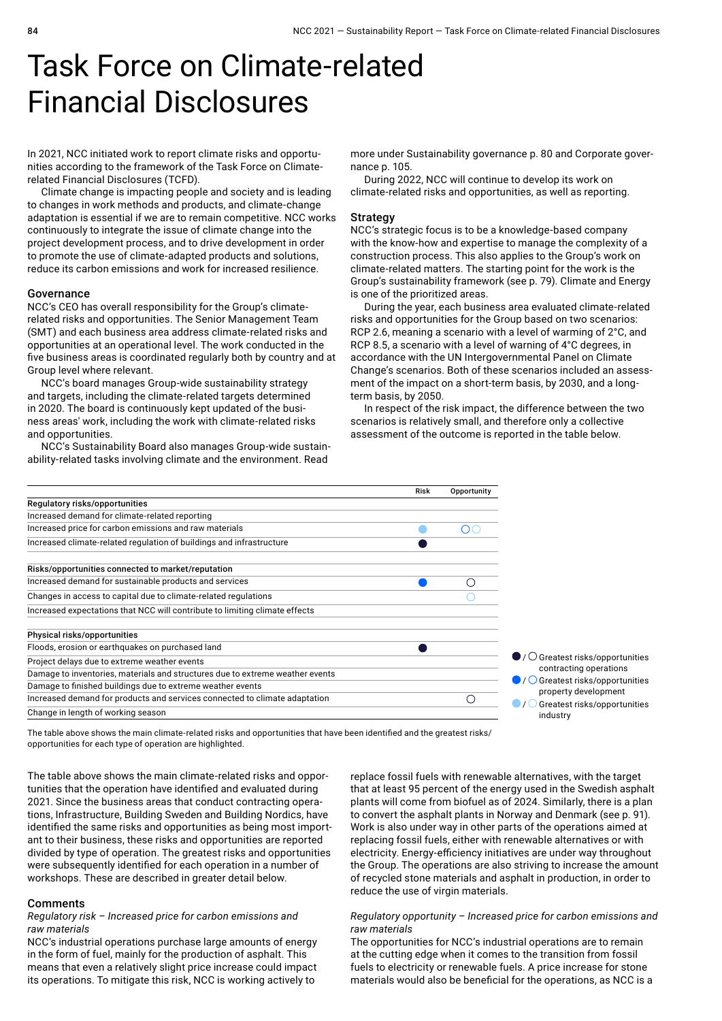# Task Force on Climate-related Financial Disclosures

In 2021, NCC initiated work to report climate risks and opportunities according to the framework of the Task Force on Climaterelated Financial Disclosures (TCFD).

Climate change is impacting people and society and is leading to changes in work methods and products, and climate-change adaptation is essential if we are to remain competitive. NCC works continuously to integrate the issue of climate change into the project development process, and to drive development in order to promote the use of climate-adapted products and solutions, reduce its carbon emissions and work for increased resilience.

#### Governance

NCC's CEO has overall responsibility for the Group's climaterelated risks and opportunities. The Senior Management Team (SMT) and each business area address climate-related risks and opportunities at an operational level. The work conducted in the five business areas is coordinated regularly both by country and at Group level where relevant.

NCC's board manages Group-wide sustainability strategy and targets, including the climate-related targets determined in 2020. The board is continuously kept updated of the business areas' work, including the work with climate-related risks and opportunities.

NCC's Sustainability Board also manages Group-wide sustainability-related tasks involving climate and the environment. Read

more under Sustainability governance p. 80 and Corporate governance p. 105.

During 2022, NCC will continue to develop its work on climate-related risks and opportunities, as well as reporting.

#### **Strategy**

NCC's strategic focus is to be a knowledge-based company with the know-how and expertise to manage the complexity of a construction process. This also applies to the Group's work on climate-related matters. The starting point for the work is the Group's sustainability framework (see p. 79). Climate and Energy is one of the prioritized areas.

During the year, each business area evaluated climate-related risks and opportunities for the Group based on two scenarios: RCP 2.6, meaning a scenario with a level of warming of 2°C, and RCP 8.5, a scenario with a level of warning of 4°C degrees, in accordance with the UN Intergovernmental Panel on Climate Change's scenarios. Both of these scenarios included an assessment of the impact on a short-term basis, by 2030, and a longterm basis, by 2050.

In respect of the risk impact, the difference between the two scenarios is relatively small, and therefore only a collective assessment of the outcome is reported in the table below.



The table above shows the main climate-related risks and opportunities that have been identified and the greatest risks/ opportunities for each type of operation are highlighted.

The table above shows the main climate-related risks and opportunities that the operation have identified and evaluated during 2021. Since the business areas that conduct contracting operations, Infrastructure, Building Sweden and Building Nordics, have identified the same risks and opportunities as being most important to their business, these risks and opportunities are reported divided by type of operation. The greatest risks and opportunities were subsequently identified for each operation in a number of workshops. These are described in greater detail below.

#### Comments

#### *Regulatory risk – Increased price for carbon emissions and raw materials*

NCC's industrial operations purchase large amounts of energy in the form of fuel, mainly for the production of asphalt. This means that even a relatively slight price increase could impact its operations. To mitigate this risk, NCC is working actively to

replace fossil fuels with renewable alternatives, with the target that at least 95 percent of the energy used in the Swedish asphalt plants will come from biofuel as of 2024. Similarly, there is a plan to convert the asphalt plants in Norway and Denmark (see p. 91). Work is also under way in other parts of the operations aimed at replacing fossil fuels, either with renewable alternatives or with electricity. Energy-efficiency initiatives are under way throughout the Group. The operations are also striving to increase the amount of recycled stone materials and asphalt in production, in order to reduce the use of virgin materials.

#### *Regulatory opportunity – Increased price for carbon emissions and raw materials*

The opportunities for NCC's industrial operations are to remain at the cutting edge when it comes to the transition from fossil fuels to electricity or renewable fuels. A price increase for stone materials would also be beneficial for the operations, as NCC is a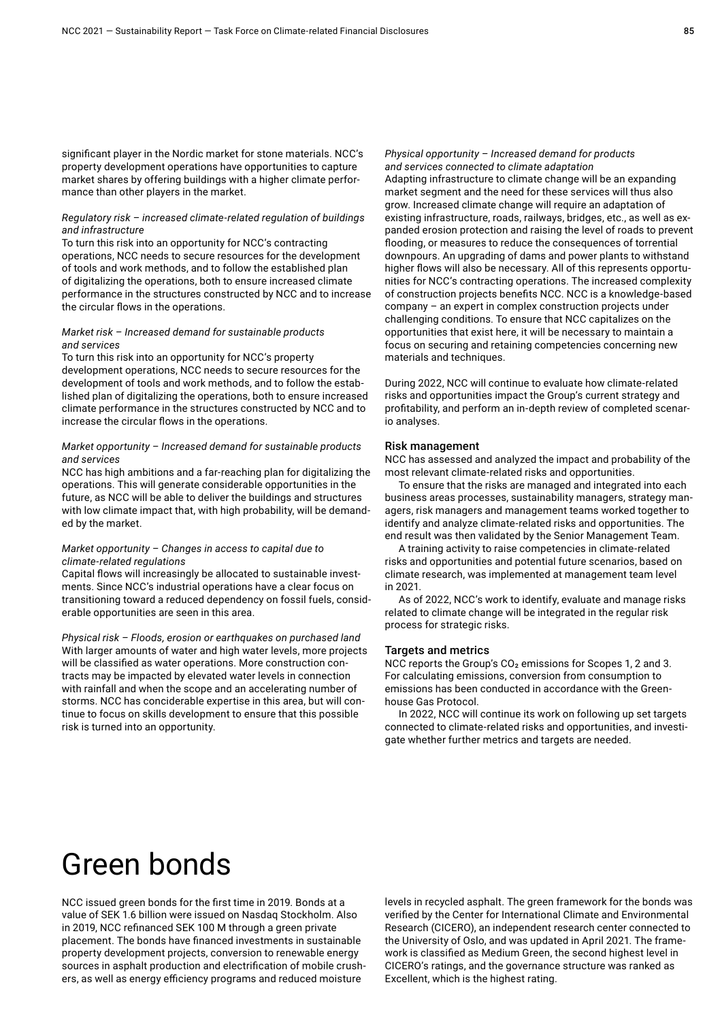significant player in the Nordic market for stone materials. NCC's property development operations have opportunities to capture market shares by offering buildings with a higher climate performance than other players in the market.

#### *Regulatory risk – increased climate-related regulation of buildings and infrastructure*

To turn this risk into an opportunity for NCC's contracting operations, NCC needs to secure resources for the development of tools and work methods, and to follow the established plan of digitalizing the operations, both to ensure increased climate performance in the structures constructed by NCC and to increase the circular flows in the operations.

#### *Market risk – Increased demand for sustainable products and services*

To turn this risk into an opportunity for NCC's property development operations, NCC needs to secure resources for the development of tools and work methods, and to follow the established plan of digitalizing the operations, both to ensure increased climate performance in the structures constructed by NCC and to increase the circular flows in the operations.

#### *Market opportunity – Increased demand for sustainable products and services*

NCC has high ambitions and a far-reaching plan for digitalizing the operations. This will generate considerable opportunities in the future, as NCC will be able to deliver the buildings and structures with low climate impact that, with high probability, will be demanded by the market.

#### *Market opportunity – Changes in access to capital due to climate-related regulations*

Capital flows will increasingly be allocated to sustainable investments. Since NCC's industrial operations have a clear focus on transitioning toward a reduced dependency on fossil fuels, considerable opportunities are seen in this area.

*Physical risk – Floods, erosion or earthquakes on purchased land* With larger amounts of water and high water levels, more projects will be classified as water operations. More construction contracts may be impacted by elevated water levels in connection with rainfall and when the scope and an accelerating number of storms. NCC has conciderable expertise in this area, but will continue to focus on skills development to ensure that this possible risk is turned into an opportunity.

#### *Physical opportunity – Increased demand for products and services connected to climate adaptation*

Adapting infrastructure to climate change will be an expanding market segment and the need for these services will thus also grow. Increased climate change will require an adaptation of existing infrastructure, roads, railways, bridges, etc., as well as expanded erosion protection and raising the level of roads to prevent flooding, or measures to reduce the consequences of torrential downpours. An upgrading of dams and power plants to withstand higher flows will also be necessary. All of this represents opportunities for NCC's contracting operations. The increased complexity of construction projects benefits NCC. NCC is a knowledge-based company – an expert in complex construction projects under challenging conditions. To ensure that NCC capitalizes on the opportunities that exist here, it will be necessary to maintain a focus on securing and retaining competencies concerning new materials and techniques.

During 2022, NCC will continue to evaluate how climate-related risks and opportunities impact the Group's current strategy and profitability, and perform an in-depth review of completed scenario analyses.

#### Risk management

NCC has assessed and analyzed the impact and probability of the most relevant climate-related risks and opportunities.

To ensure that the risks are managed and integrated into each business areas processes, sustainability managers, strategy managers, risk managers and management teams worked together to identify and analyze climate-related risks and opportunities. The end result was then validated by the Senior Management Team.

A training activity to raise competencies in climate-related risks and opportunities and potential future scenarios, based on climate research, was implemented at management team level in 2021.

As of 2022, NCC's work to identify, evaluate and manage risks related to climate change will be integrated in the regular risk process for strategic risks.

#### Targets and metrics

NCC reports the Group's  $CO<sub>2</sub>$  emissions for Scopes 1, 2 and 3. For calculating emissions, conversion from consumption to emissions has been conducted in accordance with the Greenhouse Gas Protocol.

In 2022, NCC will continue its work on following up set targets connected to climate-related risks and opportunities, and investigate whether further metrics and targets are needed.

# Green bonds

NCC issued green bonds for the first time in 2019. Bonds at a value of SEK 1.6 billion were issued on Nasdaq Stockholm. Also in 2019, NCC refinanced SEK 100 M through a green private placement. The bonds have financed investments in sustainable property development projects, conversion to renewable energy sources in asphalt production and electrification of mobile crushers, as well as energy efficiency programs and reduced moisture

levels in recycled asphalt. The green framework for the bonds was verified by the Center for International Climate and Environmental Research (CICERO), an independent research center connected to the University of Oslo, and was updated in April 2021. The framework is classified as Medium Green, the second highest level in CICERO's ratings, and the governance structure was ranked as Excellent, which is the highest rating.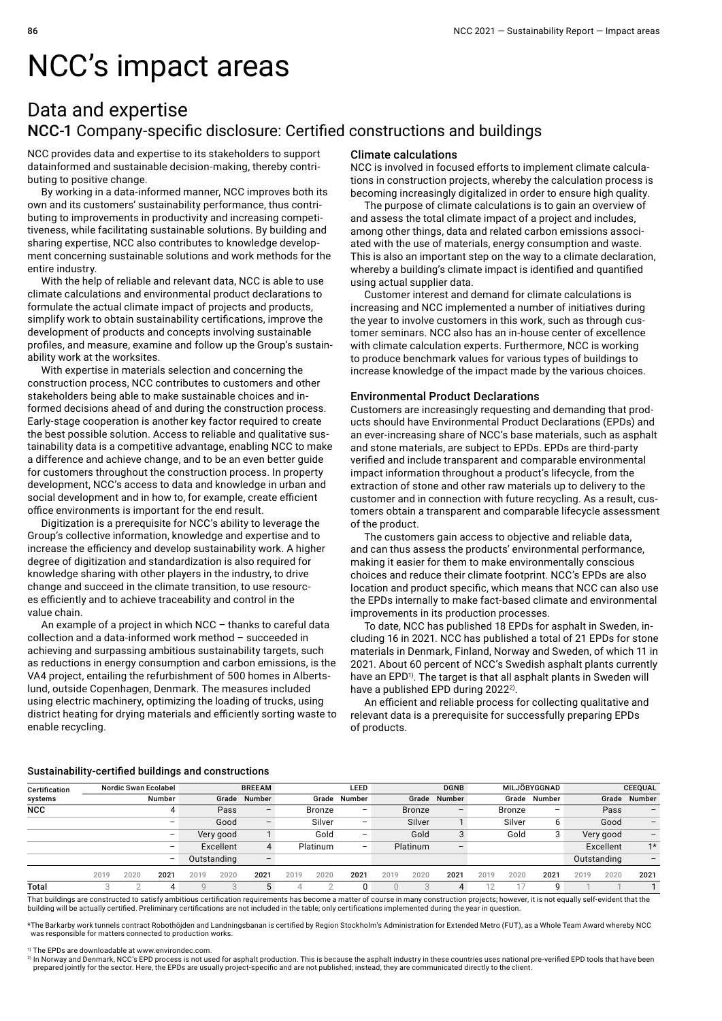# NCC's impact areas

## Data and expertise NCC-1 Company-specific disclosure: Certified constructions and buildings

NCC provides data and expertise to its stakeholders to support datainformed and sustainable decision-making, thereby contributing to positive change.

By working in a data-informed manner, NCC improves both its own and its customers' sustainability performance, thus contributing to improvements in productivity and increasing competitiveness, while facilitating sustainable solutions. By building and sharing expertise, NCC also contributes to knowledge development concerning sustainable solutions and work methods for the entire industry.

With the help of reliable and relevant data, NCC is able to use climate calculations and environmental product declarations to formulate the actual climate impact of projects and products, simplify work to obtain sustainability certifications, improve the development of products and concepts involving sustainable profiles, and measure, examine and follow up the Group's sustainability work at the worksites.

With expertise in materials selection and concerning the construction process, NCC contributes to customers and other stakeholders being able to make sustainable choices and informed decisions ahead of and during the construction process. Early-stage cooperation is another key factor required to create the best possible solution. Access to reliable and qualitative sustainability data is a competitive advantage, enabling NCC to make a difference and achieve change, and to be an even better guide for customers throughout the construction process. In property development, NCC's access to data and knowledge in urban and social development and in how to, for example, create efficient office environments is important for the end result.

Digitization is a prerequisite for NCC's ability to leverage the Group's collective information, knowledge and expertise and to increase the efficiency and develop sustainability work. A higher degree of digitization and standardization is also required for knowledge sharing with other players in the industry, to drive change and succeed in the climate transition, to use resources efficiently and to achieve traceability and control in the value chain.

An example of a project in which NCC – thanks to careful data collection and a data-informed work method – succeeded in achieving and surpassing ambitious sustainability targets, such as reductions in energy consumption and carbon emissions, is the VA4 project, entailing the refurbishment of 500 homes in Albertslund, outside Copenhagen, Denmark. The measures included using electric machinery, optimizing the loading of trucks, using district heating for drying materials and efficiently sorting waste to enable recycling.

#### Climate calculations

NCC is involved in focused efforts to implement climate calculations in construction projects, whereby the calculation process is becoming increasingly digitalized in order to ensure high quality.

The purpose of climate calculations is to gain an overview of and assess the total climate impact of a project and includes, among other things, data and related carbon emissions associated with the use of materials, energy consumption and waste. This is also an important step on the way to a climate declaration, whereby a building's climate impact is identified and quantified using actual supplier data.

Customer interest and demand for climate calculations is increasing and NCC implemented a number of initiatives during the year to involve customers in this work, such as through customer seminars. NCC also has an in-house center of excellence with climate calculation experts. Furthermore, NCC is working to produce benchmark values for various types of buildings to increase knowledge of the impact made by the various choices.

#### Environmental Product Declarations

Customers are increasingly requesting and demanding that products should have Environmental Product Declarations (EPDs) and an ever-increasing share of NCC's base materials, such as asphalt and stone materials, are subject to EPDs. EPDs are third-party verified and include transparent and comparable environmental impact information throughout a product's lifecycle, from the extraction of stone and other raw materials up to delivery to the customer and in connection with future recycling. As a result, customers obtain a transparent and comparable lifecycle assessment of the product.

The customers gain access to objective and reliable data, and can thus assess the products' environmental performance, making it easier for them to make environmentally conscious choices and reduce their climate footprint. NCC's EPDs are also location and product specific, which means that NCC can also use the EPDs internally to make fact-based climate and environmental improvements in its production processes.

To date, NCC has published 18 EPDs for asphalt in Sweden, including 16 in 2021. NCC has published a total of 21 EPDs for stone materials in Denmark, Finland, Norway and Sweden, of which 11 in 2021. About 60 percent of NCC's Swedish asphalt plants currently have an EPD<sup>1)</sup>. The target is that all asphalt plants in Sweden will have a published EPD during 2022<sup>2)</sup>.

An efficient and reliable process for collecting qualitative and relevant data is a prerequisite for successfully preparing EPDs of products.

#### Sustainability-certified buildings and constructions

| Certification |      | Nordic Swan Ecolabel |                          |      |             | <b>BREEAM</b>            |      |               | LEED            |      |               | <b>DGNB</b>              |      |               | MILJÖBYGGNAD    |      |             | <b>CEEQUAL</b> |
|---------------|------|----------------------|--------------------------|------|-------------|--------------------------|------|---------------|-----------------|------|---------------|--------------------------|------|---------------|-----------------|------|-------------|----------------|
| systems       |      |                      | Number                   |      | Grade       | Number                   |      | Grade         | Number          |      | Grade         | Number                   |      | Grade         | Number          |      | Grade       | Number         |
| <b>NCC</b>    |      |                      |                          |      | Pass        | $\overline{\phantom{0}}$ |      | <b>Bronze</b> | $\qquad \qquad$ |      | <b>Bronze</b> | $\overline{\phantom{0}}$ |      | <b>Bronze</b> | $\qquad \qquad$ |      | Pass        | -              |
|               |      |                      | $\overline{\phantom{0}}$ |      | Good        | $\qquad \qquad -$        |      | Silver        | -               |      | Silver        |                          |      | Silver        | 6               |      | Good        | -              |
|               |      |                      | $\overline{\phantom{0}}$ |      | Very good   |                          |      | Gold          | -               |      | Gold          | 3                        |      | Gold          | 3               |      | Very good   | -              |
|               |      |                      | $\overline{\phantom{0}}$ |      | Excellent   | $\overline{4}$           |      | Platinum      | -               |      | Platinum      |                          |      |               |                 |      | Excellent   | $1*$           |
|               |      |                      | $\qquad \qquad -$        |      | Outstanding | $\overline{\phantom{m}}$ |      |               |                 |      |               |                          |      |               |                 |      | Outstanding | -              |
|               | 2019 | 2020                 | 2021                     | 2019 | 2020        | 2021                     | 2019 | 2020          | 2021            | 2019 | 2020          | 2021                     | 2019 | 2020          | 2021            | 2019 | 2020        | 2021           |
| Total         |      |                      |                          |      |             | 5                        |      | ⌒             | 0               |      |               |                          |      |               | 9               |      |             |                |

That buildings are constructed to satisfy ambitious certification requirements has become a matter of course in many construction projects; however, it is not equally self-evident that the building will be actually certified. Preliminary certifications are not included in the table; only certifications implemented during the year in question.

\*The Barkarby work tunnels contract Robothöjden and Landningsbanan is certified by Region Stockholm's Administration for Extended Metro (FUT), as a Whole Team Award whereby NCC was responsible for matters connected to production works.

<sup>1)</sup> The EPDs are downloadable at www.environdec.com

<sup>2)</sup> In Norway and Denmark, NCC's EPD process is not used for asphalt production. This is because the asphalt industry in these countries uses national pre-verified EPD tools that have been<br>prepared jointly for the sector.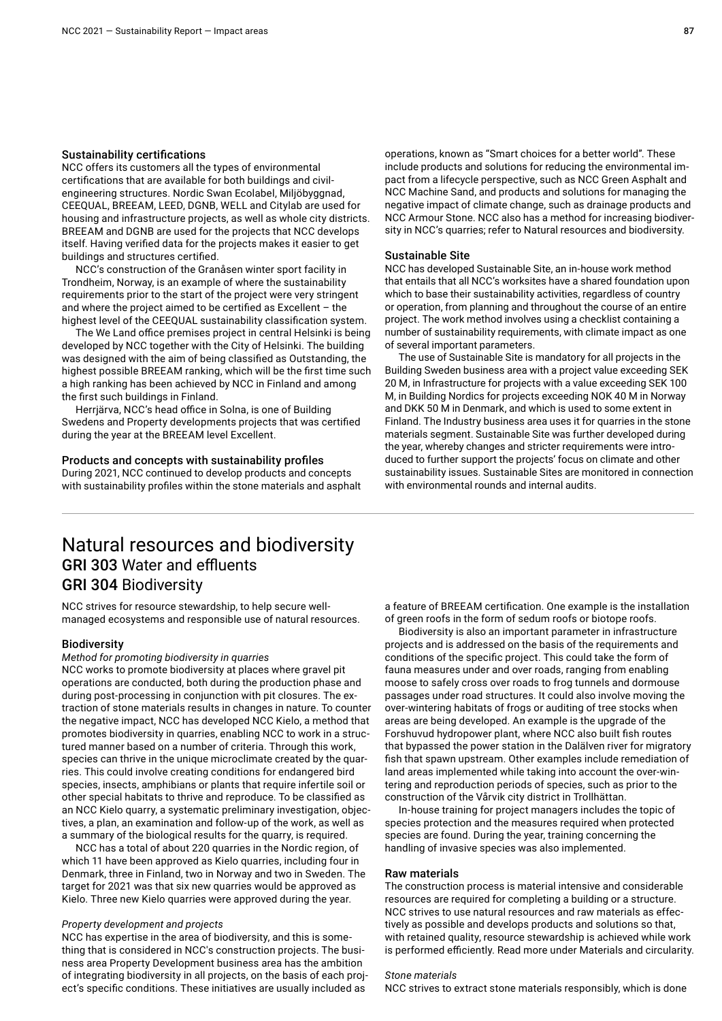#### Sustainability certifications

NCC offers its customers all the types of environmental certifications that are available for both buildings and civilengineering structures. Nordic Swan Ecolabel, Miljöbyggnad, CEEQUAL, BREEAM, LEED, DGNB, WELL and Citylab are used for housing and infrastructure projects, as well as whole city districts. BREEAM and DGNB are used for the projects that NCC develops itself. Having verified data for the projects makes it easier to get buildings and structures certified.

NCC's construction of the Granåsen winter sport facility in Trondheim, Norway, is an example of where the sustainability requirements prior to the start of the project were very stringent and where the project aimed to be certified as Excellent – the highest level of the CEEQUAL sustainability classification system.

The We Land office premises project in central Helsinki is being developed by NCC together with the City of Helsinki. The building was designed with the aim of being classified as Outstanding, the highest possible BREEAM ranking, which will be the first time such a high ranking has been achieved by NCC in Finland and among the first such buildings in Finland.

Herrjärva, NCC's head office in Solna, is one of Building Swedens and Property developments projects that was certified during the year at the BREEAM level Excellent.

#### Products and concepts with sustainability profiles

During 2021, NCC continued to develop products and concepts with sustainability profiles within the stone materials and asphalt operations, known as "Smart choices for a better world". These include products and solutions for reducing the environmental impact from a lifecycle perspective, such as NCC Green Asphalt and NCC Machine Sand, and products and solutions for managing the negative impact of climate change, such as drainage products and NCC Armour Stone. NCC also has a method for increasing biodiversity in NCC's quarries; refer to Natural resources and biodiversity.

#### Sustainable Site

NCC has developed Sustainable Site, an in-house work method that entails that all NCC's worksites have a shared foundation upon which to base their sustainability activities, regardless of country or operation, from planning and throughout the course of an entire project. The work method involves using a checklist containing a number of sustainability requirements, with climate impact as one of several important parameters.

The use of Sustainable Site is mandatory for all projects in the Building Sweden business area with a project value exceeding SEK 20 M, in Infrastructure for projects with a value exceeding SEK 100 M, in Building Nordics for projects exceeding NOK 40 M in Norway and DKK 50 M in Denmark, and which is used to some extent in Finland. The Industry business area uses it for quarries in the stone materials segment. Sustainable Site was further developed during the year, whereby changes and stricter requirements were introduced to further support the projects' focus on climate and other sustainability issues. Sustainable Sites are monitored in connection with environmental rounds and internal audits.

### Natural resources and biodiversity GRI 303 Water and effluents GRI 304 Biodiversity

NCC strives for resource stewardship, to help secure wellmanaged ecosystems and responsible use of natural resources.

#### Biodiversity

#### *Method for promoting biodiversity in quarries*

NCC works to promote biodiversity at places where gravel pit operations are conducted, both during the production phase and during post-processing in conjunction with pit closures. The extraction of stone materials results in changes in nature. To counter the negative impact, NCC has developed NCC Kielo, a method that promotes biodiversity in quarries, enabling NCC to work in a structured manner based on a number of criteria. Through this work, species can thrive in the unique microclimate created by the quarries. This could involve creating conditions for endangered bird species, insects, amphibians or plants that require infertile soil or other special habitats to thrive and reproduce. To be classified as an NCC Kielo quarry, a systematic preliminary investigation, objectives, a plan, an examination and follow-up of the work, as well as a summary of the biological results for the quarry, is required.

NCC has a total of about 220 quarries in the Nordic region, of which 11 have been approved as Kielo quarries, including four in Denmark, three in Finland, two in Norway and two in Sweden. The target for 2021 was that six new quarries would be approved as Kielo. Three new Kielo quarries were approved during the year.

#### *Property development and projects*

NCC has expertise in the area of biodiversity, and this is something that is considered in NCC's construction projects. The business area Property Development business area has the ambition of integrating biodiversity in all projects, on the basis of each project's specific conditions. These initiatives are usually included as

a feature of BREEAM certification. One example is the installation of green roofs in the form of sedum roofs or biotope roofs.

Biodiversity is also an important parameter in infrastructure projects and is addressed on the basis of the requirements and conditions of the specific project. This could take the form of fauna measures under and over roads, ranging from enabling moose to safely cross over roads to frog tunnels and dormouse passages under road structures. It could also involve moving the over-wintering habitats of frogs or auditing of tree stocks when areas are being developed. An example is the upgrade of the Forshuvud hydropower plant, where NCC also built fish routes that bypassed the power station in the Dalälven river for migratory fish that spawn upstream. Other examples include remediation of land areas implemented while taking into account the over-wintering and reproduction periods of species, such as prior to the construction of the Vårvik city district in Trollhättan.

In-house training for project managers includes the topic of species protection and the measures required when protected species are found. During the year, training concerning the handling of invasive species was also implemented.

#### Raw materials

The construction process is material intensive and considerable resources are required for completing a building or a structure. NCC strives to use natural resources and raw materials as effectively as possible and develops products and solutions so that, with retained quality, resource stewardship is achieved while work is performed efficiently. Read more under Materials and circularity.

#### *Stone materials*

NCC strives to extract stone materials responsibly, which is done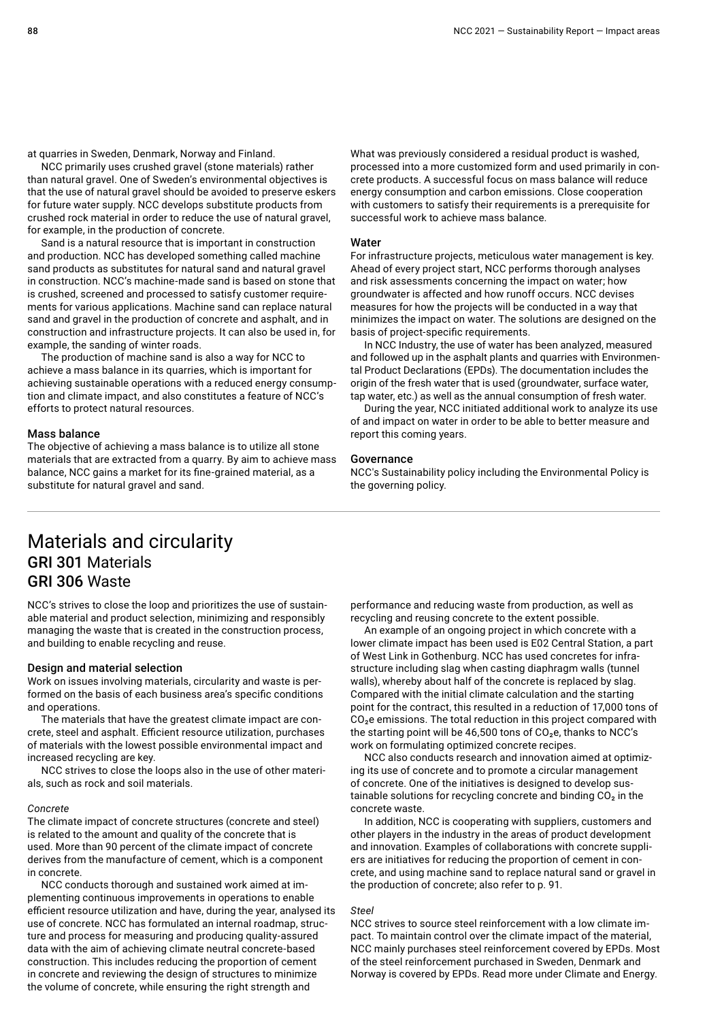at quarries in Sweden, Denmark, Norway and Finland.

NCC primarily uses crushed gravel (stone materials) rather than natural gravel. One of Sweden's environmental objectives is that the use of natural gravel should be avoided to preserve eskers for future water supply. NCC develops substitute products from crushed rock material in order to reduce the use of natural gravel, for example, in the production of concrete.

Sand is a natural resource that is important in construction and production. NCC has developed something called machine sand products as substitutes for natural sand and natural gravel in construction. NCC's machine-made sand is based on stone that is crushed, screened and processed to satisfy customer requirements for various applications. Machine sand can replace natural sand and gravel in the production of concrete and asphalt, and in construction and infrastructure projects. It can also be used in, for example, the sanding of winter roads.

The production of machine sand is also a way for NCC to achieve a mass balance in its quarries, which is important for achieving sustainable operations with a reduced energy consumption and climate impact, and also constitutes a feature of NCC's efforts to protect natural resources.

#### Mass balance

The objective of achieving a mass balance is to utilize all stone materials that are extracted from a quarry. By aim to achieve mass balance, NCC gains a market for its fine-grained material, as a substitute for natural gravel and sand.

What was previously considered a residual product is washed, processed into a more customized form and used primarily in concrete products. A successful focus on mass balance will reduce energy consumption and carbon emissions. Close cooperation with customers to satisfy their requirements is a prerequisite for successful work to achieve mass balance.

#### **Water**

For infrastructure projects, meticulous water management is key. Ahead of every project start, NCC performs thorough analyses and risk assessments concerning the impact on water; how groundwater is affected and how runoff occurs. NCC devises measures for how the projects will be conducted in a way that minimizes the impact on water. The solutions are designed on the basis of project-specific requirements.

In NCC Industry, the use of water has been analyzed, measured and followed up in the asphalt plants and quarries with Environmental Product Declarations (EPDs). The documentation includes the origin of the fresh water that is used (groundwater, surface water, tap water, etc.) as well as the annual consumption of fresh water.

During the year, NCC initiated additional work to analyze its use of and impact on water in order to be able to better measure and report this coming years.

#### Governance

NCC's Sustainability policy including the Environmental Policy is the governing policy.

### Materials and circularity GRI 301 Materials GRI 306 Waste

NCC's strives to close the loop and prioritizes the use of sustainable material and product selection, minimizing and responsibly managing the waste that is created in the construction process, and building to enable recycling and reuse.

#### Design and material selection

Work on issues involving materials, circularity and waste is performed on the basis of each business area's specific conditions and operations.

The materials that have the greatest climate impact are concrete, steel and asphalt. Efficient resource utilization, purchases of materials with the lowest possible environmental impact and increased recycling are key.

NCC strives to close the loops also in the use of other materials, such as rock and soil materials.

#### *Concrete*

The climate impact of concrete structures (concrete and steel) is related to the amount and quality of the concrete that is used. More than 90 percent of the climate impact of concrete derives from the manufacture of cement, which is a component in concrete.

NCC conducts thorough and sustained work aimed at implementing continuous improvements in operations to enable efficient resource utilization and have, during the year, analysed its use of concrete. NCC has formulated an internal roadmap, structure and process for measuring and producing quality-assured data with the aim of achieving climate neutral concrete-based construction. This includes reducing the proportion of cement in concrete and reviewing the design of structures to minimize the volume of concrete, while ensuring the right strength and

performance and reducing waste from production, as well as recycling and reusing concrete to the extent possible.

An example of an ongoing project in which concrete with a lower climate impact has been used is E02 Central Station, a part of West Link in Gothenburg. NCC has used concretes for infrastructure including slag when casting diaphragm walls (tunnel walls), whereby about half of the concrete is replaced by slag. Compared with the initial climate calculation and the starting point for the contract, this resulted in a reduction of 17,000 tons of CO<sub>2</sub>e emissions. The total reduction in this project compared with the starting point will be 46,500 tons of  $CO<sub>2</sub>e$ , thanks to NCC's work on formulating optimized concrete recipes.

NCC also conducts research and innovation aimed at optimizing its use of concrete and to promote a circular management of concrete. One of the initiatives is designed to develop sustainable solutions for recycling concrete and binding  $CO<sub>2</sub>$  in the concrete waste.

In addition, NCC is cooperating with suppliers, customers and other players in the industry in the areas of product development and innovation. Examples of collaborations with concrete suppliers are initiatives for reducing the proportion of cement in concrete, and using machine sand to replace natural sand or gravel in the production of concrete; also refer to p. 91.

#### *Steel*

NCC strives to source steel reinforcement with a low climate impact. To maintain control over the climate impact of the material, NCC mainly purchases steel reinforcement covered by EPDs. Most of the steel reinforcement purchased in Sweden, Denmark and Norway is covered by EPDs. Read more under Climate and Energy.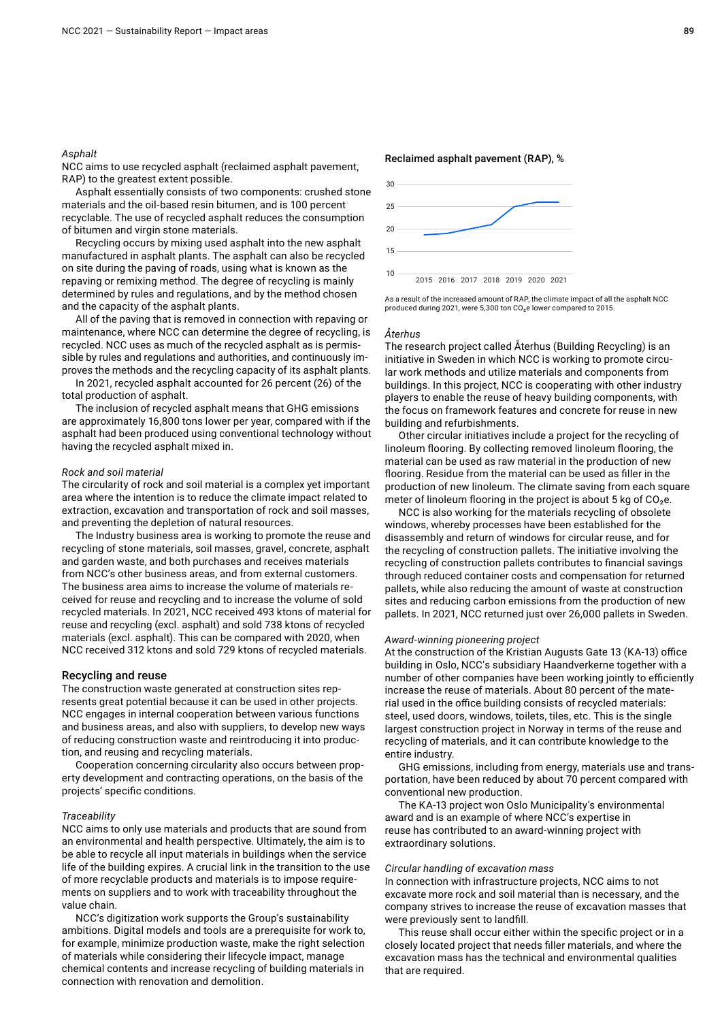#### *Asphalt*

NCC aims to use recycled asphalt (reclaimed asphalt pavement, RAP) to the greatest extent possible.

Asphalt essentially consists of two components: crushed stone materials and the oil-based resin bitumen, and is 100 percent recyclable. The use of recycled asphalt reduces the consumption of bitumen and virgin stone materials.

Recycling occurs by mixing used asphalt into the new asphalt manufactured in asphalt plants. The asphalt can also be recycled on site during the paving of roads, using what is known as the repaving or remixing method. The degree of recycling is mainly determined by rules and regulations, and by the method chosen and the capacity of the asphalt plants.

All of the paving that is removed in connection with repaving or maintenance, where NCC can determine the degree of recycling, is recycled. NCC uses as much of the recycled asphalt as is permissible by rules and regulations and authorities, and continuously improves the methods and the recycling capacity of its asphalt plants.

In 2021, recycled asphalt accounted for 26 percent (26) of the total production of asphalt.

The inclusion of recycled asphalt means that GHG emissions are approximately 16,800 tons lower per year, compared with if the asphalt had been produced using conventional technology without having the recycled asphalt mixed in.

#### *Rock and soil material*

The circularity of rock and soil material is a complex yet important area where the intention is to reduce the climate impact related to extraction, excavation and transportation of rock and soil masses, and preventing the depletion of natural resources.

The Industry business area is working to promote the reuse and recycling of stone materials, soil masses, gravel, concrete, asphalt and garden waste, and both purchases and receives materials from NCC's other business areas, and from external customers. The business area aims to increase the volume of materials received for reuse and recycling and to increase the volume of sold recycled materials. In 2021, NCC received 493 ktons of material for reuse and recycling (excl. asphalt) and sold 738 ktons of recycled materials (excl. asphalt). This can be compared with 2020, when NCC received 312 ktons and sold 729 ktons of recycled materials.

#### Recycling and reuse

The construction waste generated at construction sites represents great potential because it can be used in other projects. NCC engages in internal cooperation between various functions and business areas, and also with suppliers, to develop new ways of reducing construction waste and reintroducing it into production, and reusing and recycling materials.

Cooperation concerning circularity also occurs between property development and contracting operations, on the basis of the projects' specific conditions.

#### *Traceability*

NCC aims to only use materials and products that are sound from an environmental and health perspective. Ultimately, the aim is to be able to recycle all input materials in buildings when the service life of the building expires. A crucial link in the transition to the use of more recyclable products and materials is to impose requirements on suppliers and to work with traceability throughout the value chain.

NCC's digitization work supports the Group's sustainability ambitions. Digital models and tools are a prerequisite for work to, for example, minimize production waste, make the right selection of materials while considering their lifecycle impact, manage chemical contents and increase recycling of building materials in connection with renovation and demolition.



As a result of the increased amount of RAP, the climate impact of all the asphalt NCC produced during 2021, were 5,300 ton CO<sub>2</sub>e lower compared to 2015.

#### *Återhus*

The research project called Återhus (Building Recycling) is an initiative in Sweden in which NCC is working to promote circular work methods and utilize materials and components from buildings. In this project, NCC is cooperating with other industry players to enable the reuse of heavy building components, with the focus on framework features and concrete for reuse in new building and refurbishments.

Other circular initiatives include a project for the recycling of linoleum flooring. By collecting removed linoleum flooring, the material can be used as raw material in the production of new flooring. Residue from the material can be used as filler in the production of new linoleum. The climate saving from each square meter of linoleum flooring in the project is about 5 kg of  $CO<sub>2</sub>e$ .

NCC is also working for the materials recycling of obsolete windows, whereby processes have been established for the disassembly and return of windows for circular reuse, and for the recycling of construction pallets. The initiative involving the recycling of construction pallets contributes to financial savings through reduced container costs and compensation for returned pallets, while also reducing the amount of waste at construction sites and reducing carbon emissions from the production of new pallets. In 2021, NCC returned just over 26,000 pallets in Sweden.

#### *Award-winning pioneering project*

At the construction of the Kristian Augusts Gate 13 (KA-13) office building in Oslo, NCC's subsidiary Haandverkerne together with a number of other companies have been working jointly to efficiently increase the reuse of materials. About 80 percent of the material used in the office building consists of recycled materials: steel, used doors, windows, toilets, tiles, etc. This is the single largest construction project in Norway in terms of the reuse and recycling of materials, and it can contribute knowledge to the entire industry.

GHG emissions, including from energy, materials use and transportation, have been reduced by about 70 percent compared with conventional new production.

The KA-13 project won Oslo Municipality's environmental award and is an example of where NCC's expertise in reuse has contributed to an award-winning project with extraordinary solutions.

#### *Circular handling of excavation mass*

In connection with infrastructure projects, NCC aims to not excavate more rock and soil material than is necessary, and the company strives to increase the reuse of excavation masses that were previously sent to landfill.

This reuse shall occur either within the specific project or in a closely located project that needs filler materials, and where the excavation mass has the technical and environmental qualities that are required.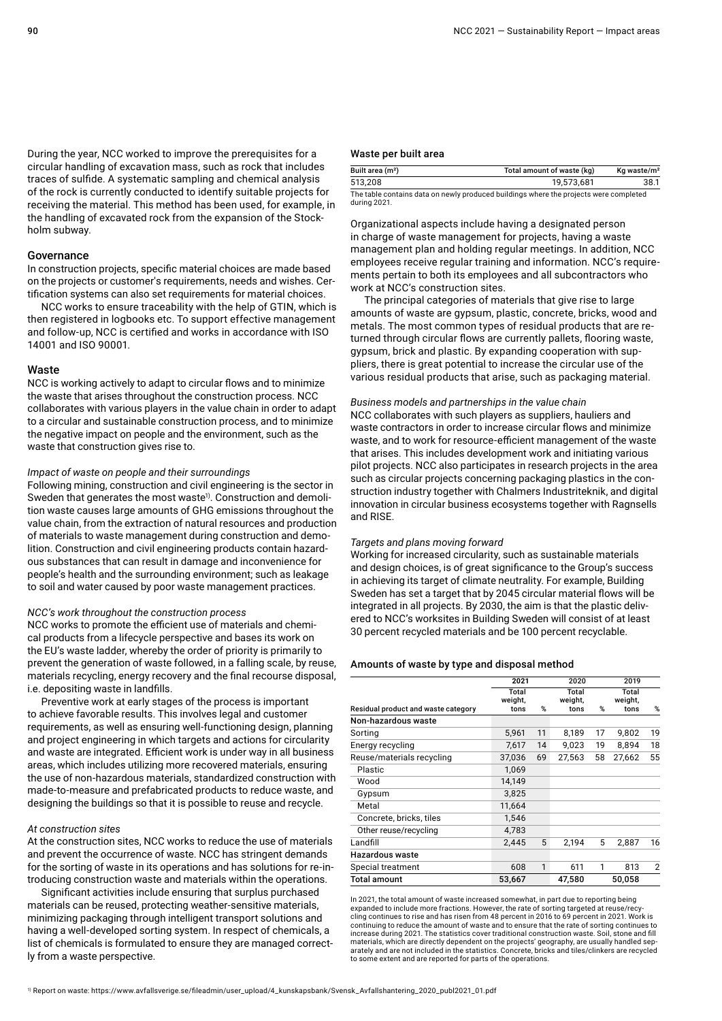During the year, NCC worked to improve the prerequisites for a circular handling of excavation mass, such as rock that includes traces of sulfide. A systematic sampling and chemical analysis of the rock is currently conducted to identify suitable projects for receiving the material. This method has been used, for example, in the handling of excavated rock from the expansion of the Stockholm subway.

#### Governance

In construction projects, specific material choices are made based on the projects or customer's requirements, needs and wishes. Certification systems can also set requirements for material choices.

NCC works to ensure traceability with the help of GTIN, which is then registered in logbooks etc. To support effective management and follow-up, NCC is certified and works in accordance with ISO 14001 and ISO 90001.

#### Waste

NCC is working actively to adapt to circular flows and to minimize the waste that arises throughout the construction process. NCC collaborates with various players in the value chain in order to adapt to a circular and sustainable construction process, and to minimize the negative impact on people and the environment, such as the waste that construction gives rise to.

#### *Impact of waste on people and their surroundings*

Following mining, construction and civil engineering is the sector in Sweden that generates the most waste<sup>1)</sup>. Construction and demolition waste causes large amounts of GHG emissions throughout the value chain, from the extraction of natural resources and production of materials to waste management during construction and demolition. Construction and civil engineering products contain hazardous substances that can result in damage and inconvenience for people's health and the surrounding environment; such as leakage to soil and water caused by poor waste management practices.

#### *NCC's work throughout the construction process*

NCC works to promote the efficient use of materials and chemical products from a lifecycle perspective and bases its work on the EU's waste ladder, whereby the order of priority is primarily to prevent the generation of waste followed, in a falling scale, by reuse, materials recycling, energy recovery and the final recourse disposal, i.e. depositing waste in landfills.

Preventive work at early stages of the process is important to achieve favorable results. This involves legal and customer requirements, as well as ensuring well-functioning design, planning and project engineering in which targets and actions for circularity and waste are integrated. Efficient work is under way in all business areas, which includes utilizing more recovered materials, ensuring the use of non-hazardous materials, standardized construction with made-to-measure and prefabricated products to reduce waste, and designing the buildings so that it is possible to reuse and recycle.

#### *At construction sites*

At the construction sites, NCC works to reduce the use of materials and prevent the occurrence of waste. NCC has stringent demands for the sorting of waste in its operations and has solutions for re-introducing construction waste and materials within the operations.

Significant activities include ensuring that surplus purchased materials can be reused, protecting weather-sensitive materials, minimizing packaging through intelligent transport solutions and having a well-developed sorting system. In respect of chemicals, a list of chemicals is formulated to ensure they are managed correctly from a waste perspective.

#### Waste per built area

| Built area (m <sup>2</sup> ) | Total amount of waste (kg) | Kg waste/m <sup>2</sup> |
|------------------------------|----------------------------|-------------------------|
| 513.208                      | 19,573,681                 |                         |

The table contains data on newly produced buildings where the projects were completed during 2021.

Organizational aspects include having a designated person in charge of waste management for projects, having a waste management plan and holding regular meetings. In addition, NCC employees receive regular training and information. NCC's requirements pertain to both its employees and all subcontractors who work at NCC's construction sites.

The principal categories of materials that give rise to large amounts of waste are gypsum, plastic, concrete, bricks, wood and metals. The most common types of residual products that are returned through circular flows are currently pallets, flooring waste, gypsum, brick and plastic. By expanding cooperation with suppliers, there is great potential to increase the circular use of the various residual products that arise, such as packaging material.

#### *Business models and partnerships in the value chain*

NCC collaborates with such players as suppliers, hauliers and waste contractors in order to increase circular flows and minimize waste, and to work for resource-efficient management of the waste that arises. This includes development work and initiating various pilot projects. NCC also participates in research projects in the area such as circular projects concerning packaging plastics in the construction industry together with Chalmers Industriteknik, and digital innovation in circular business ecosystems together with Ragnsells and RISE.

#### *Targets and plans moving forward*

Working for increased circularity, such as sustainable materials and design choices, is of great significance to the Group's success in achieving its target of climate neutrality. For example, Building Sweden has set a target that by 2045 circular material flows will be integrated in all projects. By 2030, the aim is that the plastic delivered to NCC's worksites in Building Sweden will consist of at least 30 percent recycled materials and be 100 percent recyclable.

#### Amounts of waste by type and disposal method

|                                     | 2021             |    | 2020             |    | 2019             |                |
|-------------------------------------|------------------|----|------------------|----|------------------|----------------|
|                                     | Total<br>weight, |    | Total<br>weight, |    | Total<br>weight, |                |
| Residual product and waste category | tons             | %  | tons             | %  | tons             | $\%$           |
| Non-hazardous waste                 |                  |    |                  |    |                  |                |
| Sorting                             | 5.961            | 11 | 8,189            | 17 | 9,802            | 19             |
| Energy recycling                    | 7,617            | 14 | 9,023            | 19 | 8,894            | 18             |
| Reuse/materials recycling           | 37,036           | 69 | 27,563           | 58 | 27,662           | 55             |
| Plastic                             | 1,069            |    |                  |    |                  |                |
| Wood                                | 14.149           |    |                  |    |                  |                |
| Gypsum                              | 3,825            |    |                  |    |                  |                |
| Metal                               | 11,664           |    |                  |    |                  |                |
| Concrete, bricks, tiles             | 1,546            |    |                  |    |                  |                |
| Other reuse/recycling               | 4,783            |    |                  |    |                  |                |
| Landfill                            | 2.445            | 5  | 2.194            | 5  | 2.887            | 16             |
| Hazardous waste                     |                  |    |                  |    |                  |                |
| Special treatment                   | 608              | 1  | 611              | 1  | 813              | $\overline{2}$ |
| Total amount                        | 53,667           |    | 47,580           |    | 50.058           |                |

In 2021, the total amount of waste increased somewhat, in part due to reporting being expanded to include more fractions. However, the rate of sorting targeted at reuse/recycling continues to rise and has risen from 48 percent in 2016 to 69 percent in 2021. Work is continuing to reduce the amount of waste and to ensure that the rate of sorting continues to increase during 2021. The statistics cover traditional construction waste. Soil, stone and fill materials, which are directly dependent on the projects' geography, are usually handled sep-arately and are not included in the statistics. Concrete, bricks and tiles/clinkers are recycled to some extent and are reported for parts of the operations.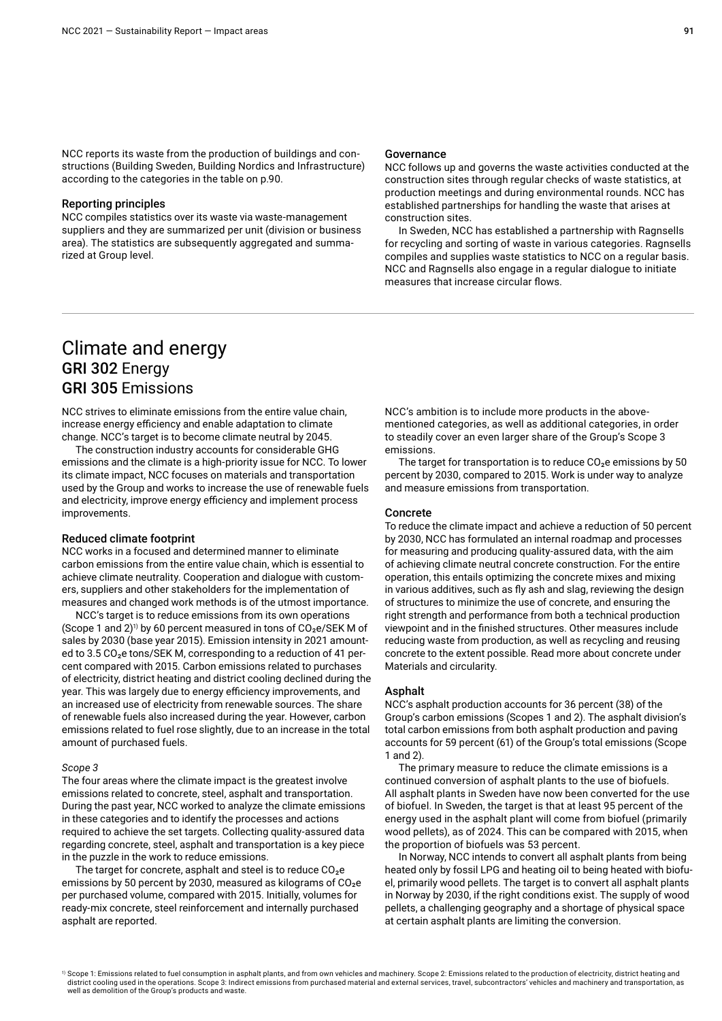NCC reports its waste from the production of buildings and constructions (Building Sweden, Building Nordics and Infrastructure) according to the categories in the table on p.90.

#### Reporting principles

NCC compiles statistics over its waste via waste-management suppliers and they are summarized per unit (division or business area). The statistics are subsequently aggregated and summarized at Group level.

#### Governance

NCC follows up and governs the waste activities conducted at the construction sites through regular checks of waste statistics, at production meetings and during environmental rounds. NCC has established partnerships for handling the waste that arises at construction sites.

In Sweden, NCC has established a partnership with Ragnsells for recycling and sorting of waste in various categories. Ragnsells compiles and supplies waste statistics to NCC on a regular basis. NCC and Ragnsells also engage in a regular dialogue to initiate measures that increase circular flows.

## Climate and energy GRI 302 Energy GRI 305 Emissions

NCC strives to eliminate emissions from the entire value chain, increase energy efficiency and enable adaptation to climate change. NCC's target is to become climate neutral by 2045.

The construction industry accounts for considerable GHG emissions and the climate is a high-priority issue for NCC. To lower its climate impact, NCC focuses on materials and transportation used by the Group and works to increase the use of renewable fuels and electricity, improve energy efficiency and implement process improvements.

#### Reduced climate footprint

NCC works in a focused and determined manner to eliminate carbon emissions from the entire value chain, which is essential to achieve climate neutrality. Cooperation and dialogue with customers, suppliers and other stakeholders for the implementation of measures and changed work methods is of the utmost importance.

NCC's target is to reduce emissions from its own operations (Scope 1 and 2)<sup>1)</sup> by 60 percent measured in tons of  $CO<sub>2</sub>e/SEK$  M of sales by 2030 (base year 2015). Emission intensity in 2021 amounted to  $3.5 \text{ CO}_2$ e tons/SEK M, corresponding to a reduction of 41 percent compared with 2015. Carbon emissions related to purchases of electricity, district heating and district cooling declined during the year. This was largely due to energy efficiency improvements, and an increased use of electricity from renewable sources. The share of renewable fuels also increased during the year. However, carbon emissions related to fuel rose slightly, due to an increase in the total amount of purchased fuels.

#### *Scope 3*

The four areas where the climate impact is the greatest involve emissions related to concrete, steel, asphalt and transportation. During the past year, NCC worked to analyze the climate emissions in these categories and to identify the processes and actions required to achieve the set targets. Collecting quality-assured data regarding concrete, steel, asphalt and transportation is a key piece in the puzzle in the work to reduce emissions.

The target for concrete, asphalt and steel is to reduce  $CO<sub>2</sub>e$ emissions by 50 percent by 2030, measured as kilograms of  $CO<sub>2</sub>e$ per purchased volume, compared with 2015. Initially, volumes for ready-mix concrete, steel reinforcement and internally purchased asphalt are reported.

NCC's ambition is to include more products in the abovementioned categories, as well as additional categories, in order to steadily cover an even larger share of the Group's Scope 3 emissions.

The target for transportation is to reduce  $CO<sub>2</sub>e$  emissions by 50 percent by 2030, compared to 2015. Work is under way to analyze and measure emissions from transportation.

#### Concrete

To reduce the climate impact and achieve a reduction of 50 percent by 2030, NCC has formulated an internal roadmap and processes for measuring and producing quality-assured data, with the aim of achieving climate neutral concrete construction. For the entire operation, this entails optimizing the concrete mixes and mixing in various additives, such as fly ash and slag, reviewing the design of structures to minimize the use of concrete, and ensuring the right strength and performance from both a technical production viewpoint and in the finished structures. Other measures include reducing waste from production, as well as recycling and reusing concrete to the extent possible. Read more about concrete under Materials and circularity.

#### Asphalt

NCC's asphalt production accounts for 36 percent (38) of the Group's carbon emissions (Scopes 1 and 2). The asphalt division's total carbon emissions from both asphalt production and paving accounts for 59 percent (61) of the Group's total emissions (Scope 1 and 2).

The primary measure to reduce the climate emissions is a continued conversion of asphalt plants to the use of biofuels. All asphalt plants in Sweden have now been converted for the use of biofuel. In Sweden, the target is that at least 95 percent of the energy used in the asphalt plant will come from biofuel (primarily wood pellets), as of 2024. This can be compared with 2015, when the proportion of biofuels was 53 percent.

In Norway, NCC intends to convert all asphalt plants from being heated only by fossil LPG and heating oil to being heated with biofuel, primarily wood pellets. The target is to convert all asphalt plants in Norway by 2030, if the right conditions exist. The supply of wood pellets, a challenging geography and a shortage of physical space at certain asphalt plants are limiting the conversion.

1) Scope 1: Emissions related to fuel consumption in asphalt plants, and from own vehicles and machinery. Scope 2: Emissions related to the production of electricity, district heating and district cooling used in the operations. Scope 3: Indirect emissions from purchased material and external services, travel, subcontractors' vehicles and machinery and transportation, as well as demolition of the Group's products and waste.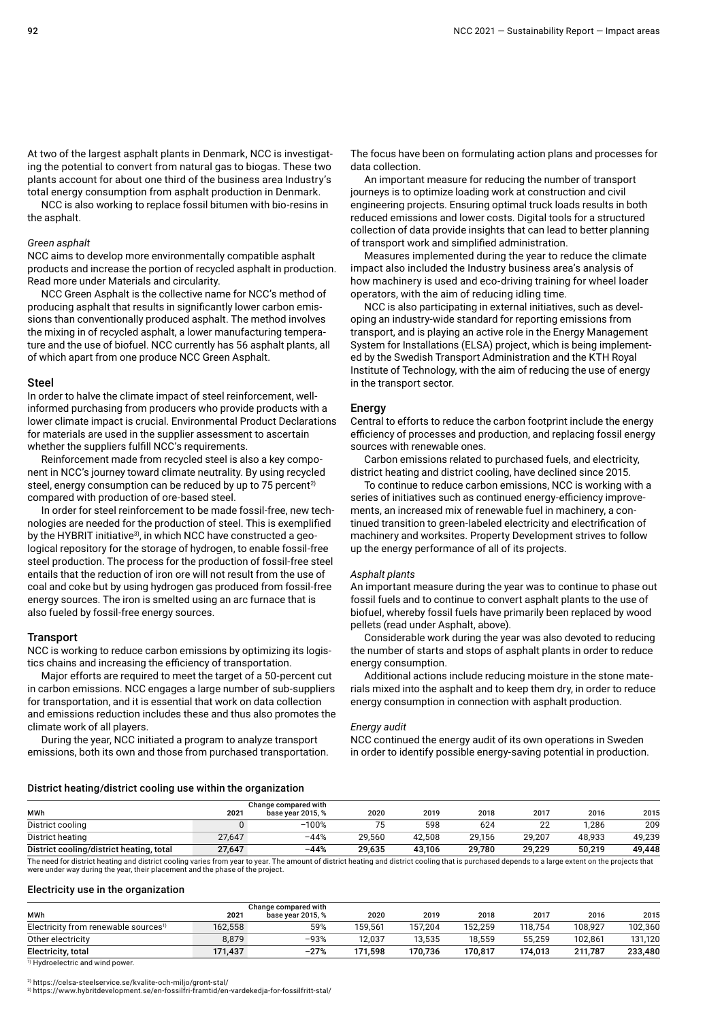At two of the largest asphalt plants in Denmark, NCC is investigating the potential to convert from natural gas to biogas. These two plants account for about one third of the business area Industry's total energy consumption from asphalt production in Denmark.

NCC is also working to replace fossil bitumen with bio-resins in the asphalt.

#### *Green asphalt*

NCC aims to develop more environmentally compatible asphalt products and increase the portion of recycled asphalt in production. Read more under Materials and circularity.

NCC Green Asphalt is the collective name for NCC's method of producing asphalt that results in significantly lower carbon emissions than conventionally produced asphalt. The method involves the mixing in of recycled asphalt, a lower manufacturing temperature and the use of biofuel. NCC currently has 56 asphalt plants, all of which apart from one produce NCC Green Asphalt.

#### Steel

In order to halve the climate impact of steel reinforcement, wellinformed purchasing from producers who provide products with a lower climate impact is crucial. Environmental Product Declarations for materials are used in the supplier assessment to ascertain whether the suppliers fulfill NCC's requirements.

Reinforcement made from recycled steel is also a key component in NCC's journey toward climate neutrality. By using recycled steel, energy consumption can be reduced by up to 75 percent<sup>2)</sup> compared with production of ore-based steel.

In order for steel reinforcement to be made fossil-free, new technologies are needed for the production of steel. This is exemplified by the HYBRIT initiative<sup>3)</sup>, in which NCC have constructed a geological repository for the storage of hydrogen, to enable fossil-free steel production. The process for the production of fossil-free steel entails that the reduction of iron ore will not result from the use of coal and coke but by using hydrogen gas produced from fossil-free energy sources. The iron is smelted using an arc furnace that is also fueled by fossil-free energy sources.

#### Transport

NCC is working to reduce carbon emissions by optimizing its logistics chains and increasing the efficiency of transportation.

Major efforts are required to meet the target of a 50-percent cut in carbon emissions. NCC engages a large number of sub-suppliers for transportation, and it is essential that work on data collection and emissions reduction includes these and thus also promotes the climate work of all players.

During the year, NCC initiated a program to analyze transport emissions, both its own and those from purchased transportation. The focus have been on formulating action plans and processes for data collection.

An important measure for reducing the number of transport journeys is to optimize loading work at construction and civil engineering projects. Ensuring optimal truck loads results in both reduced emissions and lower costs. Digital tools for a structured collection of data provide insights that can lead to better planning of transport work and simplified administration.

Measures implemented during the year to reduce the climate impact also included the Industry business area's analysis of how machinery is used and eco-driving training for wheel loader operators, with the aim of reducing idling time.

NCC is also participating in external initiatives, such as developing an industry-wide standard for reporting emissions from transport, and is playing an active role in the Energy Management System for Installations (ELSA) project, which is being implemented by the Swedish Transport Administration and the KTH Royal Institute of Technology, with the aim of reducing the use of energy in the transport sector.

#### **Energy**

Central to efforts to reduce the carbon footprint include the energy efficiency of processes and production, and replacing fossil energy sources with renewable ones.

Carbon emissions related to purchased fuels, and electricity, district heating and district cooling, have declined since 2015.

To continue to reduce carbon emissions, NCC is working with a series of initiatives such as continued energy-efficiency improvements, an increased mix of renewable fuel in machinery, a continued transition to green-labeled electricity and electrification of machinery and worksites. Property Development strives to follow up the energy performance of all of its projects.

#### *Asphalt plants*

An important measure during the year was to continue to phase out fossil fuels and to continue to convert asphalt plants to the use of biofuel, whereby fossil fuels have primarily been replaced by wood pellets (read under Asphalt, above).

Considerable work during the year was also devoted to reducing the number of starts and stops of asphalt plants in order to reduce energy consumption.

Additional actions include reducing moisture in the stone materials mixed into the asphalt and to keep them dry, in order to reduce energy consumption in connection with asphalt production.

#### *Energy audit*

NCC continued the energy audit of its own operations in Sweden in order to identify possible energy-saving potential in production.

#### District heating/district cooling use within the organization

|                                          |        | Change compared with |        |        |        |        |        |        |
|------------------------------------------|--------|----------------------|--------|--------|--------|--------|--------|--------|
| <b>MWh</b>                               | 2021   | base vear 2015.%     | 2020   | 2019   | 2018   | 2017   | 2016   | 2015   |
| District cooling                         |        | $-100%$              |        | 598    | 624    | 22     | 1.286  | 209    |
| District heating                         | 27.647 | $-44%$               | 29.560 | 42.508 | 29,156 | 29.207 | 48.933 | 49,239 |
| District cooling/district heating, total | 27,647 | $-44%$               | 29.635 | 43.106 | 29.780 | 29.229 | 50.219 | 49,448 |

The need for district heating and district cooling varies from year to year. The amount of district heating and district cooling that is purchased depends to a large extent on the projects that were under way during the year, their placement and the phase of the project.

#### Electricity use in the organization

| 2021    | base year 2015, % | 2020                 | 2019    | 2018    | 2017    | 2016    | 2015    |
|---------|-------------------|----------------------|---------|---------|---------|---------|---------|
| 162,558 | 59%               | 159.561              | 157.204 | 152.259 | 118.754 | 108.927 | 102.360 |
| 8.879   | $-93%$            | 12.037               | 13.535  | 18.559  | 55.259  | 102.861 | 131,120 |
| 171.437 | $-27%$            | 171.598              | 170.736 | 170.817 | 174.013 | 211.787 | 233.480 |
|         |                   | Change compared with |         |         |         |         |         |

 $\overline{1}$ ) Hydroelectric and wind power.

<sup>2)</sup> https://celsa-steelservice.se/kvalite-och-miljo/gront-stal/

3) https://www.hybritdevelopment.se/en-fossilfri-framtid/en-vardekedja-for-fossilfritt-stal/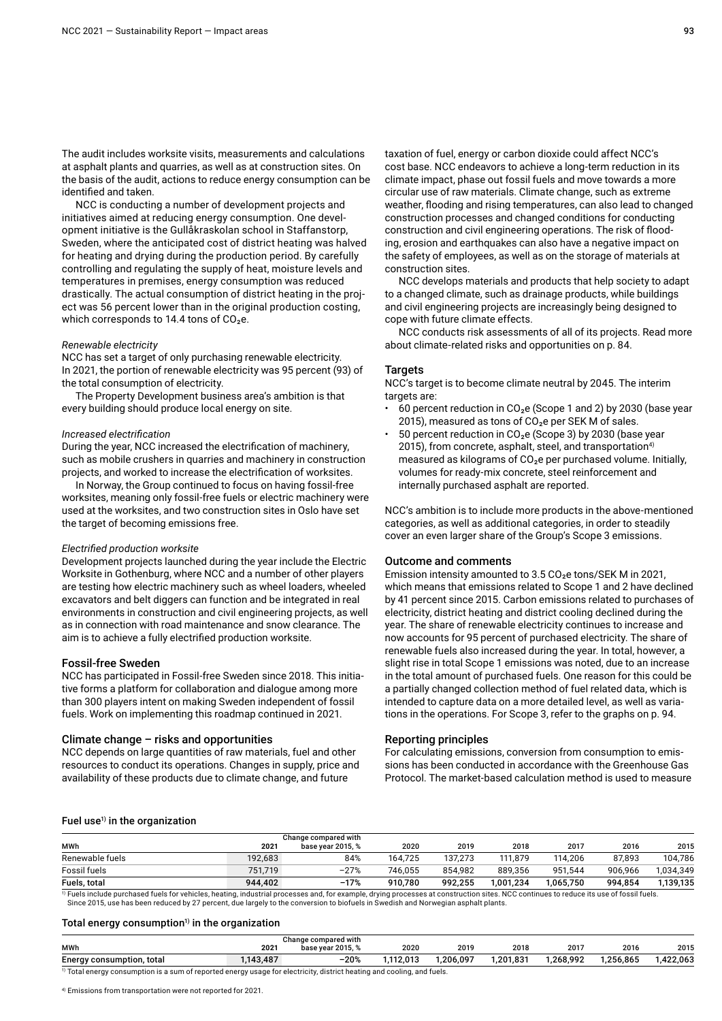The audit includes worksite visits, measurements and calculations at asphalt plants and quarries, as well as at construction sites. On the basis of the audit, actions to reduce energy consumption can be identified and taken.

NCC is conducting a number of development projects and initiatives aimed at reducing energy consumption. One development initiative is the Gullåkraskolan school in Staffanstorp, Sweden, where the anticipated cost of district heating was halved for heating and drying during the production period. By carefully controlling and regulating the supply of heat, moisture levels and temperatures in premises, energy consumption was reduced drastically. The actual consumption of district heating in the project was 56 percent lower than in the original production costing, which corresponds to 14.4 tons of  $CO<sub>2</sub>e$ .

#### *Renewable electricity*

NCC has set a target of only purchasing renewable electricity. In 2021, the portion of renewable electricity was 95 percent (93) of the total consumption of electricity.

The Property Development business area's ambition is that every building should produce local energy on site.

#### *Increased electrification*

During the year, NCC increased the electrification of machinery, such as mobile crushers in quarries and machinery in construction projects, and worked to increase the electrification of worksites.

In Norway, the Group continued to focus on having fossil-free worksites, meaning only fossil-free fuels or electric machinery were used at the worksites, and two construction sites in Oslo have set the target of becoming emissions free.

#### *Electrified production worksite*

Development projects launched during the year include the Electric Worksite in Gothenburg, where NCC and a number of other players are testing how electric machinery such as wheel loaders, wheeled excavators and belt diggers can function and be integrated in real environments in construction and civil engineering projects, as well as in connection with road maintenance and snow clearance. The aim is to achieve a fully electrified production worksite.

#### Fossil-free Sweden

NCC has participated in Fossil-free Sweden since 2018. This initiative forms a platform for collaboration and dialogue among more than 300 players intent on making Sweden independent of fossil fuels. Work on implementing this roadmap continued in 2021.

#### Climate change – risks and opportunities

NCC depends on large quantities of raw materials, fuel and other resources to conduct its operations. Changes in supply, price and availability of these products due to climate change, and future

taxation of fuel, energy or carbon dioxide could affect NCC's cost base. NCC endeavors to achieve a long-term reduction in its climate impact, phase out fossil fuels and move towards a more circular use of raw materials. Climate change, such as extreme weather, flooding and rising temperatures, can also lead to changed construction processes and changed conditions for conducting construction and civil engineering operations. The risk of flooding, erosion and earthquakes can also have a negative impact on the safety of employees, as well as on the storage of materials at construction sites.

NCC develops materials and products that help society to adapt to a changed climate, such as drainage products, while buildings and civil engineering projects are increasingly being designed to cope with future climate effects.

NCC conducts risk assessments of all of its projects. Read more about climate-related risks and opportunities on p. 84.

#### **Targets**

NCC's target is to become climate neutral by 2045. The interim targets are:

- 60 percent reduction in  $CO<sub>2</sub>e$  (Scope 1 and 2) by 2030 (base year 2015), measured as tons of  $CO<sub>2</sub>e$  per SEK M of sales.
- 50 percent reduction in  $CO<sub>2</sub>e$  (Scope 3) by 2030 (base year 2015), from concrete, asphalt, steel, and transportation<sup>4)</sup> measured as kilograms of  $CO<sub>2</sub>e$  per purchased volume. Initially, volumes for ready-mix concrete, steel reinforcement and internally purchased asphalt are reported.

NCC's ambition is to include more products in the above-mentioned categories, as well as additional categories, in order to steadily cover an even larger share of the Group's Scope 3 emissions.

#### Outcome and comments

Emission intensity amounted to  $3.5 \text{ CO}_2$ e tons/SEK M in 2021, which means that emissions related to Scope 1 and 2 have declined by 41 percent since 2015. Carbon emissions related to purchases of electricity, district heating and district cooling declined during the year. The share of renewable electricity continues to increase and now accounts for 95 percent of purchased electricity. The share of renewable fuels also increased during the year. In total, however, a slight rise in total Scope 1 emissions was noted, due to an increase in the total amount of purchased fuels. One reason for this could be a partially changed collection method of fuel related data, which is intended to capture data on a more detailed level, as well as variations in the operations. For Scope 3, refer to the graphs on p. 94.

#### Reporting principles

For calculating emissions, conversion from consumption to emissions has been conducted in accordance with the Greenhouse Gas Protocol. The market-based calculation method is used to measure

#### Fuel use $1$ ) in the organization

|                 |         | Change compared with |         |         |           |           |         |           |
|-----------------|---------|----------------------|---------|---------|-----------|-----------|---------|-----------|
| MWh             | 2021    | base vear 2015. %    | 2020    | 2019    | 2018      | 2017      | 2016    | 2015      |
| Renewable fuels | 192,683 | 84%                  | 164.725 | 137.273 | 111.879   | 114.206   | 87.893  | 104.786   |
| Fossil fuels    | 751.719 | $-27%$               | 746.055 | 854.982 | 889.356   | 951.544   | 906.966 | 1.034.349 |
| Fuels, total    | 944.402 | $-17%$               | 910.780 | 992.255 | 1,001,234 | 1,065,750 | 994.854 | 1,139,135 |

<sup>1)</sup> Fuels include purchased fuels for vehicles, heating, industrial processes and, for example, drying processes at construction sites. NCC continues to reduce its use of fossil fuels.<br>Since 2015, use has been reduced by

#### Total energy consumption<sup> $1$ </sup> in the organization

|                                                                                                                                    |         | Change compared with |           |          |           |           |           |          |  |  |  |
|------------------------------------------------------------------------------------------------------------------------------------|---------|----------------------|-----------|----------|-----------|-----------|-----------|----------|--|--|--|
| <b>MWh</b>                                                                                                                         | 202     | base vear 2015. %    | 2020      | 2019     | 2018      | 2017      | 2016      | 2015     |  |  |  |
| Energy consumption, total                                                                                                          | 143.487 | $-20%$               | 1.112.013 | .206.097 | 1.201.831 | 1.268.992 | 1.256.865 | .422.063 |  |  |  |
| $\frac{1}{1}$ Total energy consumption is a sum of reported energy usage for electricity, district heating and cooling, and fuels. |         |                      |           |          |           |           |           |          |  |  |  |

4) Emissions from transportation were not reported for 2021.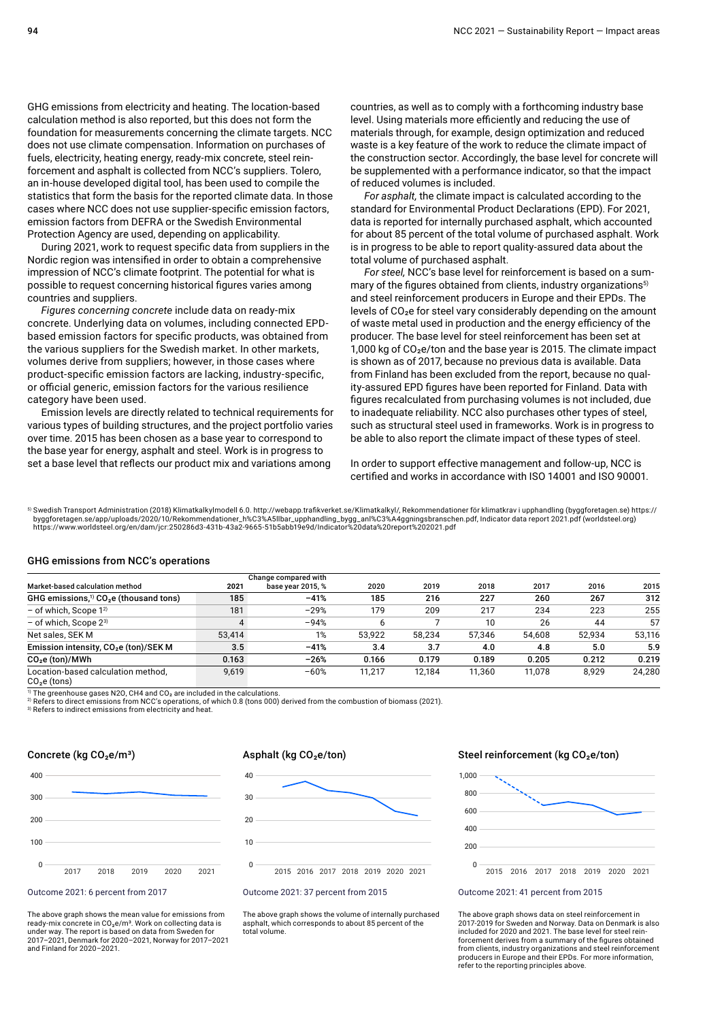GHG emissions from electricity and heating. The location-based calculation method is also reported, but this does not form the foundation for measurements concerning the climate targets. NCC does not use climate compensation. Information on purchases of fuels, electricity, heating energy, ready-mix concrete, steel reinforcement and asphalt is collected from NCC's suppliers. Tolero, an in-house developed digital tool, has been used to compile the statistics that form the basis for the reported climate data. In those cases where NCC does not use supplier-specific emission factors, emission factors from DEFRA or the Swedish Environmental Protection Agency are used, depending on applicability.

During 2021, work to request specific data from suppliers in the Nordic region was intensified in order to obtain a comprehensive impression of NCC's climate footprint. The potential for what is possible to request concerning historical figures varies among countries and suppliers.

*Figures concerning concrete* include data on ready-mix concrete. Underlying data on volumes, including connected EPDbased emission factors for specific products, was obtained from the various suppliers for the Swedish market. In other markets, volumes derive from suppliers; however, in those cases where product-specific emission factors are lacking, industry-specific, or official generic, emission factors for the various resilience category have been used.

Emission levels are directly related to technical requirements for various types of building structures, and the project portfolio varies over time. 2015 has been chosen as a base year to correspond to the base year for energy, asphalt and steel. Work is in progress to set a base level that reflects our product mix and variations among

countries, as well as to comply with a forthcoming industry base level. Using materials more efficiently and reducing the use of materials through, for example, design optimization and reduced waste is a key feature of the work to reduce the climate impact of the construction sector. Accordingly, the base level for concrete will be supplemented with a performance indicator, so that the impact of reduced volumes is included.

*For asphalt,* the climate impact is calculated according to the standard for Environmental Product Declarations (EPD). For 2021, data is reported for internally purchased asphalt, which accounted for about 85 percent of the total volume of purchased asphalt. Work is in progress to be able to report quality-assured data about the total volume of purchased asphalt.

*For steel,* NCC's base level for reinforcement is based on a summary of the figures obtained from clients, industry organizations<sup>5)</sup> and steel reinforcement producers in Europe and their EPDs. The levels of CO<sub>2</sub>e for steel vary considerably depending on the amount of waste metal used in production and the energy efficiency of the producer. The base level for steel reinforcement has been set at 1,000 kg of  $CO<sub>2</sub>e/ton$  and the base year is 2015. The climate impact is shown as of 2017, because no previous data is available. Data from Finland has been excluded from the report, because no quality-assured EPD figures have been reported for Finland. Data with figures recalculated from purchasing volumes is not included, due to inadequate reliability. NCC also purchases other types of steel, such as structural steel used in frameworks. Work is in progress to be able to also report the climate impact of these types of steel.

In order to support effective management and follow-up, NCC is certified and works in accordance with ISO 14001 and ISO 90001.

5) Swedish Transport Administration (2018) Klimatkalkylmodell 6.0. http://webapp.trafikverket.se/Klimatkalkyl/, Rekommendationer för klimatkrav i upphandling (byggforetagen.se) https:// byggforetagen.se/app/uploads/2020/10/Rekommendationer\_h%C3%A5llbar\_upphandling\_bygg\_anl%C3%A4ggningsbranschen.pdf, Indicator data report 2021.pdf (worldsteel.org)<br>https://www.worldsteel.org/en/dam/jcr:250286d3-431b-43a2-96

#### GHG emissions from NCC's operations

|                                                                |        | Change compared with |        |        |        |        |        |        |
|----------------------------------------------------------------|--------|----------------------|--------|--------|--------|--------|--------|--------|
| Market-based calculation method                                | 2021   | base year 2015, %    | 2020   | 2019   | 2018   | 2017   | 2016   | 2015   |
| GHG emissions, <sup>1)</sup> CO <sub>2</sub> e (thousand tons) | 185    | $-41%$               | 185    | 216    | 227    | 260    | 267    | 312    |
| - of which, Scope $1^{2}$                                      | 181    | $-29%$               | 179    | 209    | 217    | 234    | 223    | 255    |
| $-$ of which, Scope $2^{3}$                                    |        | $-94%$               |        |        | 10     | 26     | 44     | 57     |
| Net sales. SEK M                                               | 53.414 | 1%                   | 53.922 | 58.234 | 57.346 | 54.608 | 52.934 | 53,116 |
| Emission intensity, CO <sub>2</sub> e (ton)/SEK M              | 3.5    | $-41%$               | 3.4    | 3.7    | 4.0    | 4.8    | 5.0    | 5.9    |
| CO <sub>2</sub> e (ton)/MWh                                    | 0.163  | $-26%$               | 0.166  | 0.179  | 0.189  | 0.205  | 0.212  | 0.219  |
| Location-based calculation method.<br>$\sim$ $\sim$ $\sim$     | 9,619  | $-60%$               | 11.217 | 12.184 | 11,360 | 11.078 | 8.929  | 24,280 |

 $CO<sub>2</sub>e$  (tons)

 $\overline{1}$  The greenhouse gases N2O, CH4 and CO<sub>2</sub> are included in the calculations.<br><sup>2)</sup> Refers to direct emissions from NCC's operations, of which 0.8 (tons 000) derived from the combustion of biomass (2021).

<sup>3)</sup> Refers to indirect emissions from electricity and heat.

#### Concrete (kg CO<sub>2</sub>e/m<sup>3</sup>)



Outcome 2021: 6 percent from 2017

The above graph shows the mean value for emissions from<br>ready-mix concrete in CO<sub>2</sub>e/m<sup>3</sup>. Work on collecting data is under way. The report is based on data from Sweden for 2017–2021, Denmark for 2020–2021, Norway for 2017–2021 and Finland for 2020–2021.

#### Asphalt (kg CO<sub>2</sub>e/ton)



Outcome 2021: 37 percent from 2015

The above graph shows the volume of internally purchased asphalt, which corresponds to about 85 percent of the total volume.

#### Steel reinforcement (kg CO<sub>2</sub>e/ton)



Outcome 2021: 41 percent from 2015

The above graph shows data on steel reinforcement in 2017-2019 for Sweden and Norway. Data on Denmark is also included for 2020 and 2021. The base level for steel reinforcement derives from a summary of the figures obtained from clients, industry organizations and steel reinforcement producers in Europe and their EPDs. For more information, refer to the reporting principles above.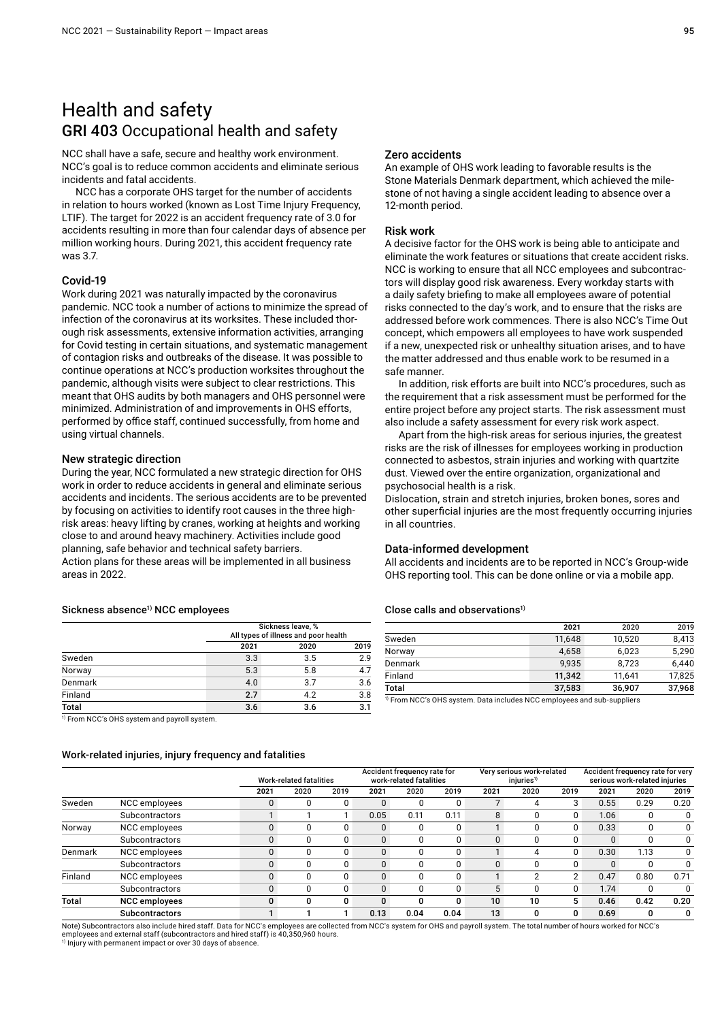# Health and safety GRI 403 Occupational health and safety

NCC shall have a safe, secure and healthy work environment. NCC's goal is to reduce common accidents and eliminate serious incidents and fatal accidents.

NCC has a corporate OHS target for the number of accidents in relation to hours worked (known as Lost Time Injury Frequency, LTIF). The target for 2022 is an accident frequency rate of 3.0 for accidents resulting in more than four calendar days of absence per million working hours. During 2021, this accident frequency rate was 3.7.

#### Covid-19

Work during 2021 was naturally impacted by the coronavirus pandemic. NCC took a number of actions to minimize the spread of infection of the coronavirus at its worksites. These included thorough risk assessments, extensive information activities, arranging for Covid testing in certain situations, and systematic management of contagion risks and outbreaks of the disease. It was possible to continue operations at NCC's production worksites throughout the pandemic, although visits were subject to clear restrictions. This meant that OHS audits by both managers and OHS personnel were minimized. Administration of and improvements in OHS efforts, performed by office staff, continued successfully, from home and using virtual channels.

#### New strategic direction

During the year, NCC formulated a new strategic direction for OHS work in order to reduce accidents in general and eliminate serious accidents and incidents. The serious accidents are to be prevented by focusing on activities to identify root causes in the three highrisk areas: heavy lifting by cranes, working at heights and working close to and around heavy machinery. Activities include good planning, safe behavior and technical safety barriers. Action plans for these areas will be implemented in all business areas in 2022.

#### Sickness absence<sup>1)</sup> NCC employees

|              | Sickness leave, %<br>All types of illness and poor health |      |      |
|--------------|-----------------------------------------------------------|------|------|
|              | 2021                                                      | 2020 | 2019 |
| Sweden       | 3.3                                                       | 3.5  | 2.9  |
| Norway       | 5.3                                                       | 5.8  | 4.7  |
| Denmark      | 4.0                                                       | 3.7  | 3.6  |
| Finland      | 2.7                                                       | 4.2  | 3.8  |
| <b>Total</b> | 3.6                                                       | 3.6  | 3.1  |

 $\frac{1}{1}$  From NCC's OHS system and payroll system.

#### Work-related injuries, injury frequency and fatalities

|         | work-related injuries, injury frequency and fatalities |              |                                |      |              |                                                        |      |          |                                                     |          |      |                                                                   |      |  |
|---------|--------------------------------------------------------|--------------|--------------------------------|------|--------------|--------------------------------------------------------|------|----------|-----------------------------------------------------|----------|------|-------------------------------------------------------------------|------|--|
|         |                                                        |              | <b>Work-related fatalities</b> |      |              | Accident frequency rate for<br>work-related fatalities |      |          | Very serious work-related<br>injuries <sup>1)</sup> |          |      | Accident frequency rate for very<br>serious work-related injuries |      |  |
|         |                                                        | 2021         | 2020                           | 2019 | 2021         | 2020                                                   | 2019 | 2021     | 2020                                                | 2019     | 2021 | 2020                                                              | 2019 |  |
| Sweden  | NCC employees                                          | 0            |                                |      | 0            | 0                                                      | 0    |          | 4                                                   | 3        | 0.55 | 0.29                                                              | 0.20 |  |
|         | Subcontractors                                         |              |                                |      | 0.05         | 0.11                                                   | 0.11 | 8        | $\Omega$                                            |          | 1.06 | $\Omega$                                                          | 0    |  |
| Norway  | NCC employees                                          | $\Omega$     | 0                              |      | 0            | 0                                                      | 0    |          | 0                                                   | 0        | 0.33 | $\Omega$                                                          | 0    |  |
|         | <b>Subcontractors</b>                                  | $\mathbf{0}$ | 0                              |      | 0            | 0                                                      |      |          | 0                                                   |          |      | 0                                                                 | 0    |  |
| Denmark | NCC employees                                          | $\mathbf{0}$ | 0                              | 0    | 0            | 0                                                      | 0    |          | 4                                                   | $\Omega$ | 0.30 | 1.13                                                              | 0    |  |
|         | <b>Subcontractors</b>                                  | $\mathbf{0}$ | 0                              | 0    | 0            | 0                                                      | 0    | $\Omega$ | 0                                                   | 0        |      | $\Omega$                                                          | 0    |  |
| Finland | NCC employees                                          | $\Omega$     | ŋ                              |      | $\Omega$     | 0                                                      |      |          | 2                                                   |          | 0.47 | 0.80                                                              | 0.71 |  |
|         | <b>Subcontractors</b>                                  | $\mathbf{0}$ | 0                              |      | $\mathbf{0}$ | 0                                                      | 0    | 5        | $\Omega$                                            | 0        | 1.74 | $\Omega$                                                          | 0    |  |
| Total   | <b>NCC</b> employees                                   | $\mathbf{0}$ | 0                              |      | 0            | 0                                                      | 0    | 10       | 10                                                  | 5.       | 0.46 | 0.42                                                              | 0.20 |  |
|         | <b>Subcontractors</b>                                  |              |                                |      | 0.13         | 0.04                                                   | 0.04 | 13       | 0                                                   |          | 0.69 | 0                                                                 | 0    |  |

Note) Subcontractors also include hired staff. Data for NCC's employees are collected from NCC's system for OHS and payroll system. The total number of hours worked for NCC's employees and external staff (subcontractors and hired staff) is 40,350,960 hours.

1) Injury with permanent impact or over 30 days of absence.

#### Zero accidents

An example of OHS work leading to favorable results is the Stone Materials Denmark department, which achieved the milestone of not having a single accident leading to absence over a 12-month period.

#### Risk work

A decisive factor for the OHS work is being able to anticipate and eliminate the work features or situations that create accident risks. NCC is working to ensure that all NCC employees and subcontractors will display good risk awareness. Every workday starts with a daily safety briefing to make all employees aware of potential risks connected to the day's work, and to ensure that the risks are addressed before work commences. There is also NCC's Time Out concept, which empowers all employees to have work suspended if a new, unexpected risk or unhealthy situation arises, and to have the matter addressed and thus enable work to be resumed in a safe manner.

In addition, risk efforts are built into NCC's procedures, such as the requirement that a risk assessment must be performed for the entire project before any project starts. The risk assessment must also include a safety assessment for every risk work aspect.

Apart from the high-risk areas for serious injuries, the greatest risks are the risk of illnesses for employees working in production connected to asbestos, strain injuries and working with quartzite dust. Viewed over the entire organization, organizational and psychosocial health is a risk.

Dislocation, strain and stretch injuries, broken bones, sores and other superficial injuries are the most frequently occurring injuries in all countries.

#### Data-informed development

All accidents and incidents are to be reported in NCC's Group-wide OHS reporting tool. This can be done online or via a mobile app.

#### Close calls and observations $1$

|              | 2021   | 2020   | 2019   |
|--------------|--------|--------|--------|
| Sweden       | 11.648 | 10,520 | 8,413  |
| Norway       | 4.658  | 6,023  | 5,290  |
| Denmark      | 9.935  | 8.723  | 6,440  |
| Finland      | 11.342 | 11.641 | 17,825 |
| <b>Total</b> | 37,583 | 36,907 | 37,968 |

<sup>1)</sup> From NCC's OHS system. Data includes NCC employees and sub-suppliers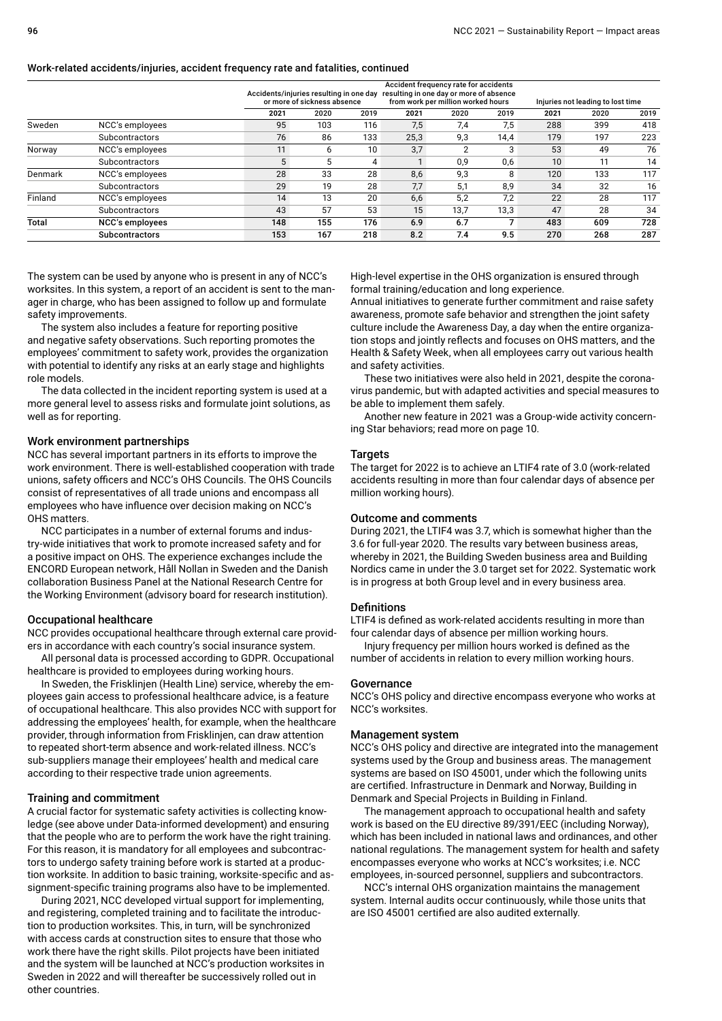#### Work-related accidents/injuries, accident frequency rate and fatalities, continued

|              |                        |      | Accidents/injuries resulting in one day<br>or more of sickness absence |      |      | Accident frequency rate for accidents<br>resulting in one day or more of absence<br>from work per million worked hours |      |      | Injuries not leading to lost time |      |  |
|--------------|------------------------|------|------------------------------------------------------------------------|------|------|------------------------------------------------------------------------------------------------------------------------|------|------|-----------------------------------|------|--|
|              |                        | 2021 | 2020                                                                   | 2019 | 2021 | 2020                                                                                                                   | 2019 | 2021 | 2020                              | 2019 |  |
| Sweden       | NCC's employees        | 95   | 103                                                                    | 116  | 7,5  | 7,4                                                                                                                    | 7,5  | 288  | 399                               | 418  |  |
|              | Subcontractors         | 76   | 86                                                                     | 133  | 25,3 | 9,3                                                                                                                    | 14.4 | 179  | 197                               | 223  |  |
| Norway       | NCC's employees        | 11   | 6                                                                      | 10   | 3,7  | $\overline{2}$                                                                                                         | 3    | 53   | 49                                | 76   |  |
|              | Subcontractors         | 5    | 5                                                                      | 4    |      | 0,9                                                                                                                    | 0,6  | 10   | 11                                | 14   |  |
| Denmark      | NCC's employees        | 28   | 33                                                                     | 28   | 8,6  | 9,3                                                                                                                    | 8    | 120  | 133                               | 117  |  |
|              | Subcontractors         | 29   | 19                                                                     | 28   | 7,7  | 5.1                                                                                                                    | 8.9  | 34   | 32                                | 16   |  |
| Finland      | NCC's employees        | 14   | 13                                                                     | 20   | 6,6  | 5,2                                                                                                                    | 7.2  | 22   | 28                                | 117  |  |
|              | Subcontractors         | 43   | 57                                                                     | 53   | 15   | 13,7                                                                                                                   | 13,3 | 47   | 28                                | 34   |  |
| <b>Total</b> | <b>NCC's employees</b> | 148  | 155                                                                    | 176  | 6.9  | 6.7                                                                                                                    |      | 483  | 609                               | 728  |  |
|              | <b>Subcontractors</b>  | 153  | 167                                                                    | 218  | 8.2  | 7.4                                                                                                                    | 9.5  | 270  | 268                               | 287  |  |

The system can be used by anyone who is present in any of NCC's worksites. In this system, a report of an accident is sent to the manager in charge, who has been assigned to follow up and formulate safety improvements.

The system also includes a feature for reporting positive and negative safety observations. Such reporting promotes the employees' commitment to safety work, provides the organization with potential to identify any risks at an early stage and highlights role models.

The data collected in the incident reporting system is used at a more general level to assess risks and formulate joint solutions, as well as for reporting.

#### Work environment partnerships

NCC has several important partners in its efforts to improve the work environment. There is well-established cooperation with trade unions, safety officers and NCC's OHS Councils. The OHS Councils consist of representatives of all trade unions and encompass all employees who have influence over decision making on NCC's OHS matters.

NCC participates in a number of external forums and industry-wide initiatives that work to promote increased safety and for a positive impact on OHS. The experience exchanges include the ENCORD European network, Håll Nollan in Sweden and the Danish collaboration Business Panel at the National Research Centre for the Working Environment (advisory board for research institution).

#### Occupational healthcare

NCC provides occupational healthcare through external care providers in accordance with each country's social insurance system.

All personal data is processed according to GDPR. Occupational healthcare is provided to employees during working hours.

In Sweden, the Frisklinjen (Health Line) service, whereby the employees gain access to professional healthcare advice, is a feature of occupational healthcare. This also provides NCC with support for addressing the employees' health, for example, when the healthcare provider, through information from Frisklinjen, can draw attention to repeated short-term absence and work-related illness. NCC's sub-suppliers manage their employees' health and medical care according to their respective trade union agreements.

#### Training and commitment

A crucial factor for systematic safety activities is collecting knowledge (see above under Data-informed development) and ensuring that the people who are to perform the work have the right training. For this reason, it is mandatory for all employees and subcontractors to undergo safety training before work is started at a production worksite. In addition to basic training, worksite-specific and assignment-specific training programs also have to be implemented.

During 2021, NCC developed virtual support for implementing, and registering, completed training and to facilitate the introduction to production worksites. This, in turn, will be synchronized with access cards at construction sites to ensure that those who work there have the right skills. Pilot projects have been initiated and the system will be launched at NCC's production worksites in Sweden in 2022 and will thereafter be successively rolled out in other countries.

High-level expertise in the OHS organization is ensured through formal training/education and long experience.

Annual initiatives to generate further commitment and raise safety awareness, promote safe behavior and strengthen the joint safety culture include the Awareness Day, a day when the entire organization stops and jointly reflects and focuses on OHS matters, and the Health & Safety Week, when all employees carry out various health and safety activities.

These two initiatives were also held in 2021, despite the coronavirus pandemic, but with adapted activities and special measures to be able to implement them safely.

Another new feature in 2021 was a Group-wide activity concerning Star behaviors; read more on page 10.

#### **Targets**

The target for 2022 is to achieve an LTIF4 rate of 3.0 (work-related accidents resulting in more than four calendar days of absence per million working hours).

#### Outcome and comments

During 2021, the LTIF4 was 3.7, which is somewhat higher than the 3.6 for full-year 2020. The results vary between business areas, whereby in 2021, the Building Sweden business area and Building Nordics came in under the 3.0 target set for 2022. Systematic work is in progress at both Group level and in every business area.

#### **Definitions**

LTIF4 is defined as work-related accidents resulting in more than four calendar days of absence per million working hours.

Injury frequency per million hours worked is defined as the number of accidents in relation to every million working hours.

#### Governance

NCC's OHS policy and directive encompass everyone who works at NCC's worksites.

#### Management system

NCC's OHS policy and directive are integrated into the management systems used by the Group and business areas. The management systems are based on ISO 45001, under which the following units are certified. Infrastructure in Denmark and Norway, Building in Denmark and Special Projects in Building in Finland.

The management approach to occupational health and safety work is based on the EU directive 89/391/EEC (including Norway), which has been included in national laws and ordinances, and other national regulations. The management system for health and safety encompasses everyone who works at NCC's worksites; i.e. NCC employees, in-sourced personnel, suppliers and subcontractors.

NCC's internal OHS organization maintains the management system. Internal audits occur continuously, while those units that are ISO 45001 certified are also audited externally.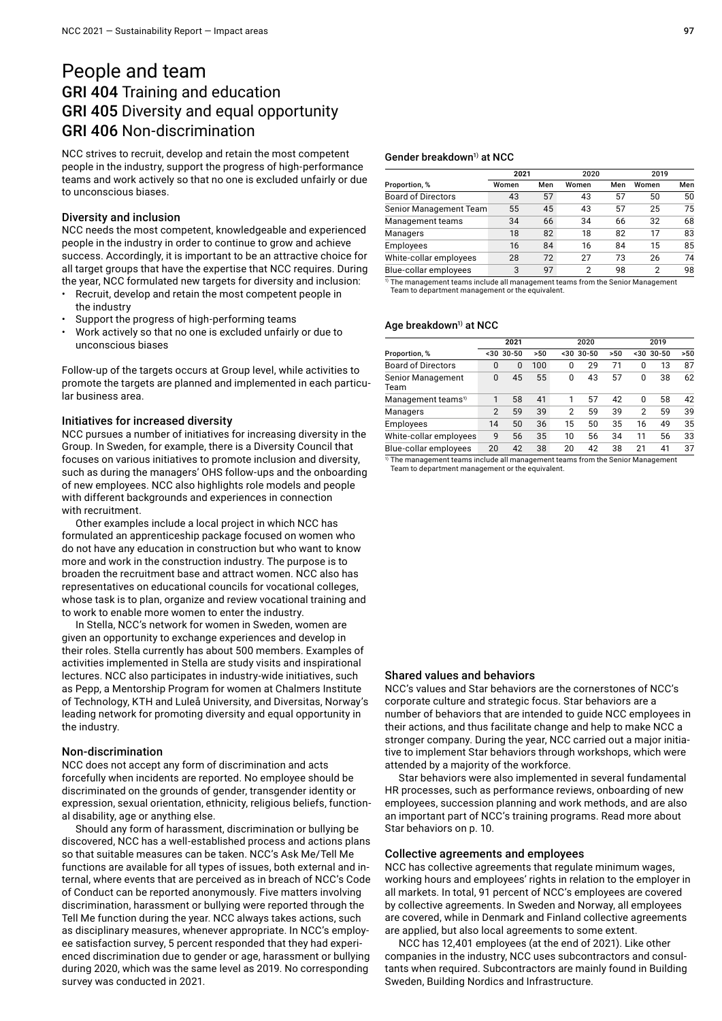### People and team GRI 404 Training and education GRI 405 Diversity and equal opportunity GRI 406 Non-discrimination

NCC strives to recruit, develop and retain the most competent people in the industry, support the progress of high-performance teams and work actively so that no one is excluded unfairly or due to unconscious biases.

#### Diversity and inclusion

NCC needs the most competent, knowledgeable and experienced people in the industry in order to continue to grow and achieve success. Accordingly, it is important to be an attractive choice for all target groups that have the expertise that NCC requires. During the year, NCC formulated new targets for diversity and inclusion:

- Recruit, develop and retain the most competent people in the industry
- Support the progress of high-performing teams
- Work actively so that no one is excluded unfairly or due to unconscious biases

Follow-up of the targets occurs at Group level, while activities to promote the targets are planned and implemented in each particular business area.

#### Initiatives for increased diversity

NCC pursues a number of initiatives for increasing diversity in the Group. In Sweden, for example, there is a Diversity Council that focuses on various initiatives to promote inclusion and diversity, such as during the managers' OHS follow-ups and the onboarding of new employees. NCC also highlights role models and people with different backgrounds and experiences in connection with recruitment.

Other examples include a local project in which NCC has formulated an apprenticeship package focused on women who do not have any education in construction but who want to know more and work in the construction industry. The purpose is to broaden the recruitment base and attract women. NCC also has representatives on educational councils for vocational colleges, whose task is to plan, organize and review vocational training and to work to enable more women to enter the industry.

In Stella, NCC's network for women in Sweden, women are given an opportunity to exchange experiences and develop in their roles. Stella currently has about 500 members. Examples of activities implemented in Stella are study visits and inspirational lectures. NCC also participates in industry-wide initiatives, such as Pepp, a Mentorship Program for women at Chalmers Institute of Technology, KTH and Luleå University, and Diversitas, Norway's leading network for promoting diversity and equal opportunity in the industry.

#### Non-discrimination

NCC does not accept any form of discrimination and acts forcefully when incidents are reported. No employee should be discriminated on the grounds of gender, transgender identity or expression, sexual orientation, ethnicity, religious beliefs, functional disability, age or anything else.

Should any form of harassment, discrimination or bullying be discovered, NCC has a well-established process and actions plans so that suitable measures can be taken. NCC's Ask Me/Tell Me functions are available for all types of issues, both external and internal, where events that are perceived as in breach of NCC's Code of Conduct can be reported anonymously. Five matters involving discrimination, harassment or bullying were reported through the Tell Me function during the year. NCC always takes actions, such as disciplinary measures, whenever appropriate. In NCC's employee satisfaction survey, 5 percent responded that they had experienced discrimination due to gender or age, harassment or bullying during 2020, which was the same level as 2019. No corresponding survey was conducted in 2021.

#### Gender breakdown<sup>1)</sup> at NCC

|                           | 2021  |     | 2020  |     | 2019  |     |
|---------------------------|-------|-----|-------|-----|-------|-----|
| Proportion, %             | Women | Men | Women | Men | Women | Men |
| <b>Board of Directors</b> | 43    | 57  | 43    | 57  | 50    | 50  |
| Senior Management Team    | 55    | 45  | 43    | 57  | 25    | 75  |
| Management teams          | 34    | 66  | 34    | 66  | 32    | 68  |
| Managers                  | 18    | 82  | 18    | 82  | 17    | 83  |
| <b>Employees</b>          | 16    | 84  | 16    | 84  | 15    | 85  |
| White-collar employees    | 28    | 72  | 27    | 73  | 26    | 74  |
| Blue-collar employees     | 3     | 97  | 2     | 98  | 2     | 98  |

 $1)$  The management teams include all management teams from the Senior Management Team to department management or the equivalent.

#### Age breakdown<sup>1)</sup> at NCC

|                                  | 2021           |           |     |          | 2020      |     | 2019         |              |     |
|----------------------------------|----------------|-----------|-----|----------|-----------|-----|--------------|--------------|-----|
| Proportion, %                    | $30$           | $30 - 50$ | >50 | $30$     | $30 - 50$ | >50 |              | $< 30$ 30-50 | >50 |
| <b>Board of Directors</b>        | 0              | $\Omega$  | 100 | 0        | 29        | 71  | 0            | 13           | 87  |
| <b>Senior Management</b><br>Team | 0              | 45        | 55  | $\Omega$ | 43        | 57  | 0            | 38           | 62  |
| Management teams <sup>1)</sup>   | 1              | 58        | 41  |          | 57        | 42  | <sup>0</sup> | 58           | 42  |
| Managers                         | $\overline{2}$ | 59        | 39  | 2        | 59        | 39  | 2            | 59           | 39  |
| Employees                        | 14             | 50        | 36  | 15       | 50        | 35  | 16           | 49           | 35  |
| White-collar employees           | 9              | 56        | 35  | 10       | 56        | 34  | 11           | 56           | 33  |
| Blue-collar employees            | 20             | 42        | 38  | 20       | 42        | 38  | 21           | 41           | 37  |

 $\frac{1}{10}$  The management teams include all management teams from the Senior Management Team to department management or the equivalent.

#### Shared values and behaviors

NCC's values and Star behaviors are the cornerstones of NCC's corporate culture and strategic focus. Star behaviors are a number of behaviors that are intended to guide NCC employees in their actions, and thus facilitate change and help to make NCC a stronger company. During the year, NCC carried out a major initiative to implement Star behaviors through workshops, which were attended by a majority of the workforce.

Star behaviors were also implemented in several fundamental HR processes, such as performance reviews, onboarding of new employees, succession planning and work methods, and are also an important part of NCC's training programs. Read more about Star behaviors on p. 10.

#### Collective agreements and employees

NCC has collective agreements that regulate minimum wages, working hours and employees' rights in relation to the employer in all markets. In total, 91 percent of NCC's employees are covered by collective agreements. In Sweden and Norway, all employees are covered, while in Denmark and Finland collective agreements are applied, but also local agreements to some extent.

NCC has 12,401 employees (at the end of 2021). Like other companies in the industry, NCC uses subcontractors and consultants when required. Subcontractors are mainly found in Building Sweden, Building Nordics and Infrastructure.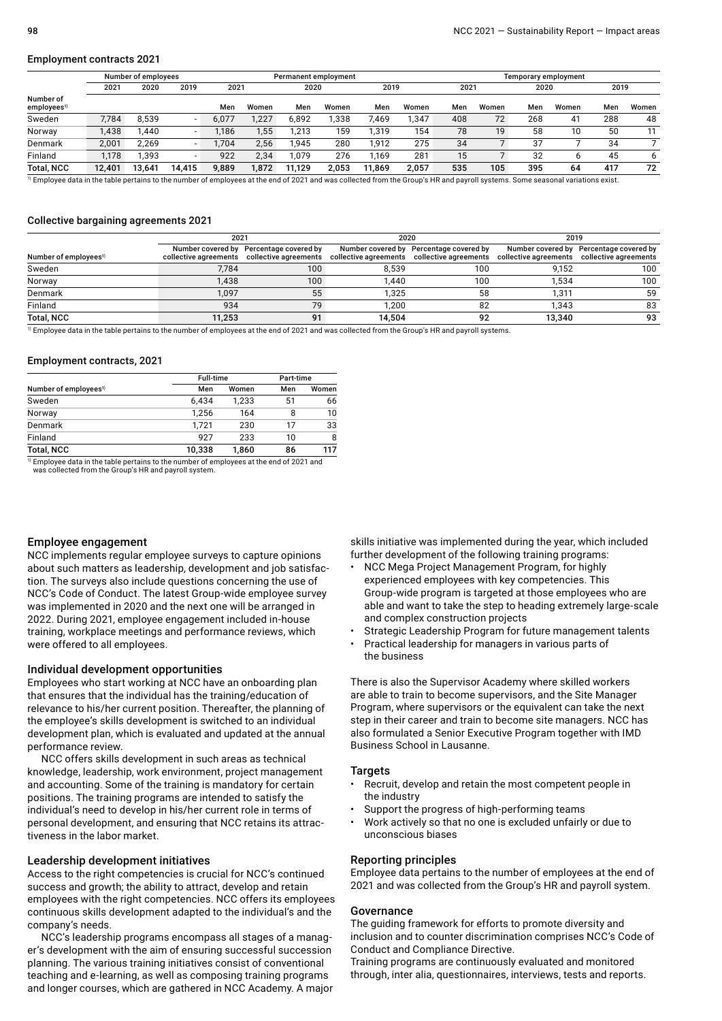#### Employment contracts 2021

|                                      |        | Number of employees |        |       |       | Permanent employment |       |        |       | Temporary employment |       |      |       |      |       |
|--------------------------------------|--------|---------------------|--------|-------|-------|----------------------|-------|--------|-------|----------------------|-------|------|-------|------|-------|
|                                      | 2021   | 2020                | 2019   | 2021  |       | 2020                 |       | 2019   |       | 2021                 |       | 2020 |       | 2019 |       |
| Number of<br>employees <sup>1)</sup> |        |                     |        | Men   | Women | Men                  | Women | Men    | Women | Men                  | Women | Men  | Women | Men  | Women |
| Sweden                               | 7.784  | 8.539               |        | 6.077 | .227  | 6,892                | 1.338 | 469.   | .347  | 408                  | 72    | 268  | 41    | 288  | 48    |
| Norway                               | 1.438  | .440                | -      | 1.186 | 1,55  | ,213                 | 159   | 1.319  | 154   | 78                   | 19    | 58   | 10    | 50   |       |
| Denmark                              | 2.001  | 2.269               |        | 1.704 | 2,56  | 1.945                | 280   | 1.912  | 275   | 34                   | 7     | 37   |       | 34   |       |
| Finland                              | 1.178  | .393.،              |        | 922   | 2,34  | 079،،                | 276   | 169،،  | 281   | 15                   |       | 32   |       | 45   | 6     |
| <b>Total, NCC</b>                    | 12,401 | 13.641              | 14.415 | 9,889 | 1,872 | 11,129               | 2,053 | 11.869 | 2.057 | 535                  | 105   | 395  | 64    | 417  | 72    |

Employee data in the table pertains to the number of employees at the end of 2021 and was collected from the Group's HR and payroll systems. Some seasonal variations exist.

#### Collective bargaining agreements 2021

|                                   | 2021   |                                                                                        | 2020   |                                                                                                                                    | 2019   |                                         |  |
|-----------------------------------|--------|----------------------------------------------------------------------------------------|--------|------------------------------------------------------------------------------------------------------------------------------------|--------|-----------------------------------------|--|
| Number of employees <sup>1)</sup> |        | Number covered by Percentage covered by<br>collective agreements collective agreements |        | Number covered by Percentage covered by<br>collective agreements collective agreements collective agreements collective agreements |        | Number covered by Percentage covered by |  |
| Sweden                            | 7.784  | 100 <sup>°</sup>                                                                       | 8.539  | 100                                                                                                                                | 9.152  | 100                                     |  |
| Norway                            | .438   | 100                                                                                    | .440   | 100                                                                                                                                | 1.534  | 100                                     |  |
| Denmark                           | 1.097  | 55                                                                                     | .325   | 58                                                                                                                                 | 1.311  | 59                                      |  |
| Finland                           | 934    | 79                                                                                     | .200   | 82                                                                                                                                 | 1.343  | 83                                      |  |
| <b>Total, NCC</b>                 | 11.253 | 91                                                                                     | 14.504 | 92                                                                                                                                 | 13.340 | 93                                      |  |

 $\overline{1}$  Employee data in the table pertains to the number of employees at the end of 2021 and was collected from the Group's HR and payroll systems.

#### Employment contracts, 2021

|                                   | <b>Full-time</b> |       | Part-time |       |  |
|-----------------------------------|------------------|-------|-----------|-------|--|
| Number of employees <sup>1)</sup> | Men              | Women | Men       | Women |  |
| Sweden                            | 6.434            | 1.233 | 51        | 66    |  |
| Norway                            | 1.256            | 164   | 8         | 10    |  |
| Denmark                           | 1.721            | 230   | 17        | 33    |  |
| Finland                           | 927              | 233   | 10        | 8     |  |
| <b>Total, NCC</b>                 | 10,338           | 1,860 | 86        | 117   |  |

 $^{\rm 1)}$  Employee data in the table pertains to the number of employees at the end of 2021 and<br>was collected from the Group's HR and payroll system.

#### Employee engagement

NCC implements regular employee surveys to capture opinions about such matters as leadership, development and job satisfaction. The surveys also include questions concerning the use of NCC's Code of Conduct. The latest Group-wide employee survey was implemented in 2020 and the next one will be arranged in 2022. During 2021, employee engagement included in-house training, workplace meetings and performance reviews, which were offered to all employees.

#### Individual development opportunities

Employees who start working at NCC have an onboarding plan that ensures that the individual has the training/education of relevance to his/her current position. Thereafter, the planning of the employee's skills development is switched to an individual development plan, which is evaluated and updated at the annual performance review.

NCC offers skills development in such areas as technical knowledge, leadership, work environment, project management and accounting. Some of the training is mandatory for certain positions. The training programs are intended to satisfy the individual's need to develop in his/her current role in terms of personal development, and ensuring that NCC retains its attractiveness in the labor market.

#### Leadership development initiatives

Access to the right competencies is crucial for NCC's continued success and growth; the ability to attract, develop and retain employees with the right competencies. NCC offers its employees continuous skills development adapted to the individual's and the company's needs.

NCC's leadership programs encompass all stages of a manager's development with the aim of ensuring successful succession planning. The various training initiatives consist of conventional teaching and e-learning, as well as composing training programs and longer courses, which are gathered in NCC Academy. A major skills initiative was implemented during the year, which included further development of the following training programs:

- NCC Mega Project Management Program, for highly experienced employees with key competencies. This Group-wide program is targeted at those employees who are able and want to take the step to heading extremely large-scale and complex construction projects
- Strategic Leadership Program for future management talents
- Practical leadership for managers in various parts of the business

There is also the Supervisor Academy where skilled workers are able to train to become supervisors, and the Site Manager Program, where supervisors or the equivalent can take the next step in their career and train to become site managers. NCC has also formulated a Senior Executive Program together with IMD Business School in Lausanne.

#### **Targets**

- Recruit, develop and retain the most competent people in the industry
- Support the progress of high-performing teams
- Work actively so that no one is excluded unfairly or due to unconscious biases

#### Reporting principles

Employee data pertains to the number of employees at the end of 2021 and was collected from the Group's HR and payroll system.

#### Governance

The guiding framework for efforts to promote diversity and inclusion and to counter discrimination comprises NCC's Code of Conduct and Compliance Directive.

Training programs are continuously evaluated and monitored through, inter alia, questionnaires, interviews, tests and reports.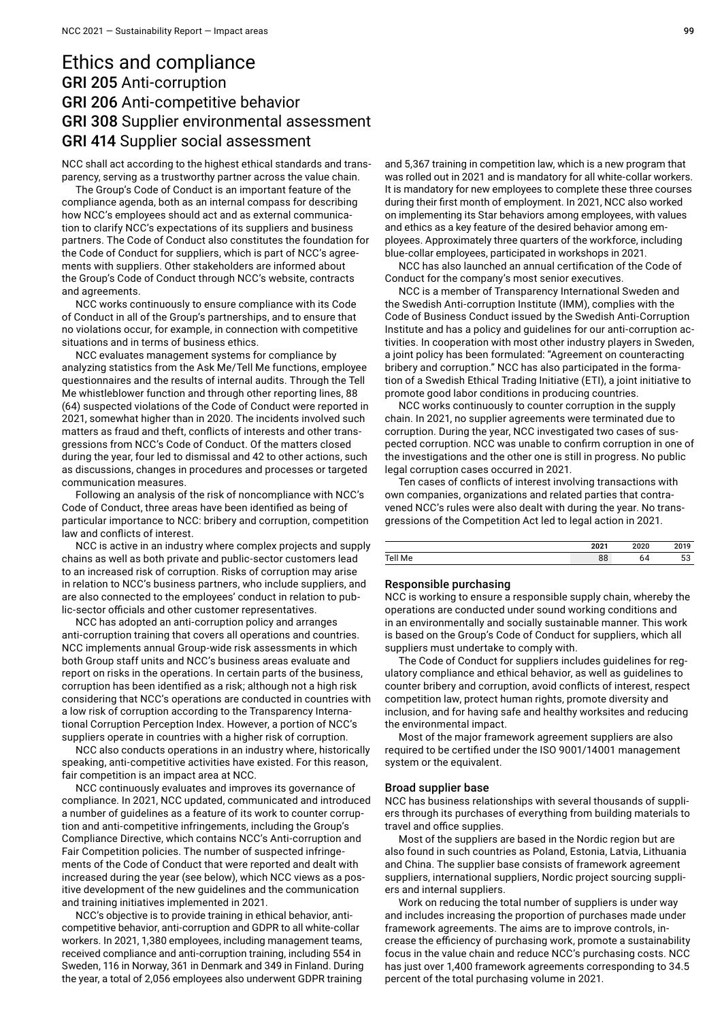### Ethics and compliance GRI 205 Anti-corruption GRI 206 Anti-competitive behavior GRI 308 Supplier environmental assessment GRI 414 Supplier social assessment

NCC shall act according to the highest ethical standards and transparency, serving as a trustworthy partner across the value chain.

The Group's Code of Conduct is an important feature of the compliance agenda, both as an internal compass for describing how NCC's employees should act and as external communication to clarify NCC's expectations of its suppliers and business partners. The Code of Conduct also constitutes the foundation for the Code of Conduct for suppliers, which is part of NCC's agreements with suppliers. Other stakeholders are informed about the Group's Code of Conduct through NCC's website, contracts and agreements.

NCC works continuously to ensure compliance with its Code of Conduct in all of the Group's partnerships, and to ensure that no violations occur, for example, in connection with competitive situations and in terms of business ethics.

NCC evaluates management systems for compliance by analyzing statistics from the Ask Me/Tell Me functions, employee questionnaires and the results of internal audits. Through the Tell Me whistleblower function and through other reporting lines, 88 (64) suspected violations of the Code of Conduct were reported in 2021, somewhat higher than in 2020. The incidents involved such matters as fraud and theft, conflicts of interests and other transgressions from NCC's Code of Conduct. Of the matters closed during the year, four led to dismissal and 42 to other actions, such as discussions, changes in procedures and processes or targeted communication measures.

Following an analysis of the risk of noncompliance with NCC's Code of Conduct, three areas have been identified as being of particular importance to NCC: bribery and corruption, competition law and conflicts of interest.

NCC is active in an industry where complex projects and supply chains as well as both private and public-sector customers lead to an increased risk of corruption. Risks of corruption may arise in relation to NCC's business partners, who include suppliers, and are also connected to the employees' conduct in relation to public-sector officials and other customer representatives.

NCC has adopted an anti-corruption policy and arranges anti-corruption training that covers all operations and countries. NCC implements annual Group-wide risk assessments in which both Group staff units and NCC's business areas evaluate and report on risks in the operations. In certain parts of the business, corruption has been identified as a risk; although not a high risk considering that NCC's operations are conducted in countries with a low risk of corruption according to the Transparency International Corruption Perception Index. However, a portion of NCC's suppliers operate in countries with a higher risk of corruption.

NCC also conducts operations in an industry where, historically speaking, anti-competitive activities have existed. For this reason, fair competition is an impact area at NCC.

NCC continuously evaluates and improves its governance of compliance. In 2021, NCC updated, communicated and introduced a number of guidelines as a feature of its work to counter corruption and anti-competitive infringements, including the Group's Compliance Directive, which contains NCC's Anti-corruption and Fair Competition policies. The number of suspected infringements of the Code of Conduct that were reported and dealt with increased during the year (see below), which NCC views as a positive development of the new guidelines and the communication and training initiatives implemented in 2021.

NCC's objective is to provide training in ethical behavior, anticompetitive behavior, anti-corruption and GDPR to all white-collar workers. In 2021, 1,380 employees, including management teams, received compliance and anti-corruption training, including 554 in Sweden, 116 in Norway, 361 in Denmark and 349 in Finland. During the year, a total of 2,056 employees also underwent GDPR training

and 5,367 training in competition law, which is a new program that was rolled out in 2021 and is mandatory for all white-collar workers. It is mandatory for new employees to complete these three courses during their first month of employment. In 2021, NCC also worked on implementing its Star behaviors among employees, with values and ethics as a key feature of the desired behavior among employees. Approximately three quarters of the workforce, including blue-collar employees, participated in workshops in 2021.

NCC has also launched an annual certification of the Code of Conduct for the company's most senior executives.

NCC is a member of Transparency International Sweden and the Swedish Anti-corruption Institute (IMM), complies with the Code of Business Conduct issued by the Swedish Anti-Corruption Institute and has a policy and guidelines for our anti-corruption activities. In cooperation with most other industry players in Sweden, a joint policy has been formulated: "Agreement on counteracting bribery and corruption." NCC has also participated in the formation of a Swedish Ethical Trading Initiative (ETI), a joint initiative to promote good labor conditions in producing countries.

NCC works continuously to counter corruption in the supply chain. In 2021, no supplier agreements were terminated due to corruption. During the year, NCC investigated two cases of suspected corruption. NCC was unable to confirm corruption in one of the investigations and the other one is still in progress. No public legal corruption cases occurred in 2021.

Ten cases of conflicts of interest involving transactions with own companies, organizations and related parties that contravened NCC's rules were also dealt with during the year. No transgressions of the Competition Act led to legal action in 2021.

|                                  | 2021     | 2020 |  |
|----------------------------------|----------|------|--|
| $T_{\alpha}$<br><b>IVIC</b><br>. | nn<br>ပပ |      |  |

#### Responsible purchasing

NCC is working to ensure a responsible supply chain, whereby the operations are conducted under sound working conditions and in an environmentally and socially sustainable manner. This work is based on the Group's Code of Conduct for suppliers, which all suppliers must undertake to comply with.

The Code of Conduct for suppliers includes guidelines for regulatory compliance and ethical behavior, as well as guidelines to counter bribery and corruption, avoid conflicts of interest, respect competition law, protect human rights, promote diversity and inclusion, and for having safe and healthy worksites and reducing the environmental impact.

Most of the major framework agreement suppliers are also required to be certified under the ISO 9001/14001 management system or the equivalent.

#### Broad supplier base

NCC has business relationships with several thousands of suppliers through its purchases of everything from building materials to travel and office supplies.

Most of the suppliers are based in the Nordic region but are also found in such countries as Poland, Estonia, Latvia, Lithuania and China. The supplier base consists of framework agreement suppliers, international suppliers, Nordic project sourcing suppliers and internal suppliers.

Work on reducing the total number of suppliers is under way and includes increasing the proportion of purchases made under framework agreements. The aims are to improve controls, increase the efficiency of purchasing work, promote a sustainability focus in the value chain and reduce NCC's purchasing costs. NCC has just over 1,400 framework agreements corresponding to 34.5 percent of the total purchasing volume in 2021.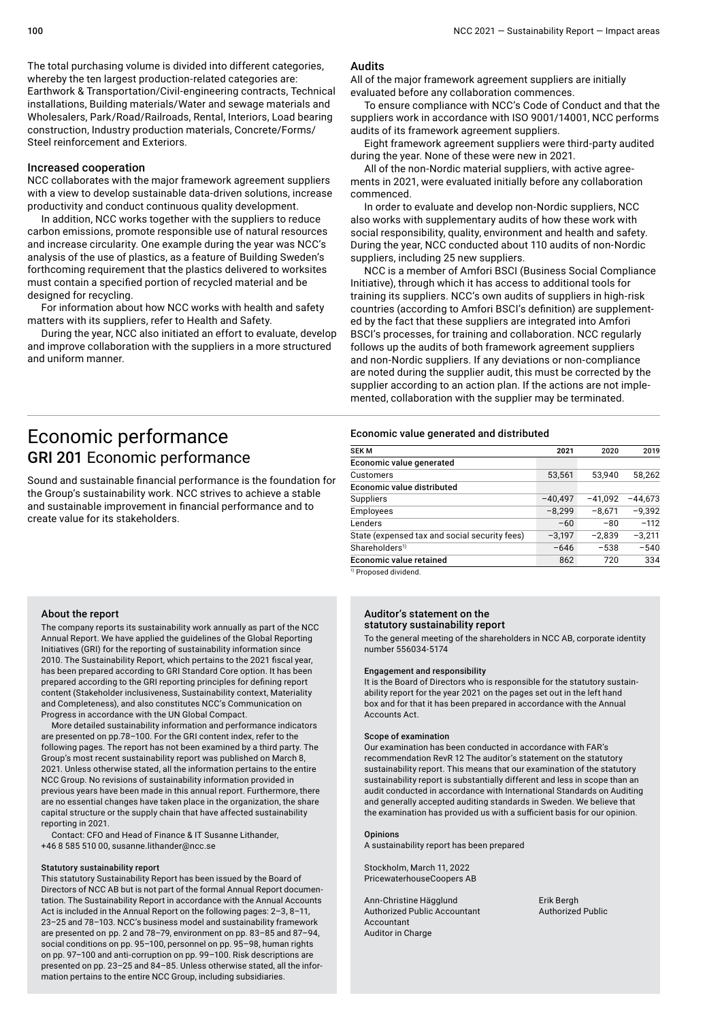The total purchasing volume is divided into different categories, whereby the ten largest production-related categories are: Earthwork & Transportation/Civil-engineering contracts, Technical installations, Building materials/Water and sewage materials and Wholesalers, Park/Road/Railroads, Rental, Interiors, Load bearing construction, Industry production materials, Concrete/Forms/ Steel reinforcement and Exteriors.

#### Increased cooperation

NCC collaborates with the major framework agreement suppliers with a view to develop sustainable data-driven solutions, increase productivity and conduct continuous quality development.

In addition, NCC works together with the suppliers to reduce carbon emissions, promote responsible use of natural resources and increase circularity. One example during the year was NCC's analysis of the use of plastics, as a feature of Building Sweden's forthcoming requirement that the plastics delivered to worksites must contain a specified portion of recycled material and be designed for recycling.

For information about how NCC works with health and safety matters with its suppliers, refer to Health and Safety.

During the year, NCC also initiated an effort to evaluate, develop and improve collaboration with the suppliers in a more structured and uniform manner.

#### Audits

All of the major framework agreement suppliers are initially evaluated before any collaboration commences.

To ensure compliance with NCC's Code of Conduct and that the suppliers work in accordance with ISO 9001/14001, NCC performs audits of its framework agreement suppliers.

Eight framework agreement suppliers were third-party audited during the year. None of these were new in 2021.

All of the non-Nordic material suppliers, with active agreements in 2021, were evaluated initially before any collaboration commenced.

In order to evaluate and develop non-Nordic suppliers, NCC also works with supplementary audits of how these work with social responsibility, quality, environment and health and safety. During the year, NCC conducted about 110 audits of non-Nordic suppliers, including 25 new suppliers.

NCC is a member of Amfori BSCI (Business Social Compliance Initiative), through which it has access to additional tools for training its suppliers. NCC's own audits of suppliers in high-risk countries (according to Amfori BSCI's definition) are supplemented by the fact that these suppliers are integrated into Amfori BSCI's processes, for training and collaboration. NCC regularly follows up the audits of both framework agreement suppliers and non-Nordic suppliers. If any deviations or non-compliance are noted during the supplier audit, this must be corrected by the supplier according to an action plan. If the actions are not implemented, collaboration with the supplier may be terminated.

## Economic performance GRI 201 Economic performance

Sound and sustainable financial performance is the foundation for the Group's sustainability work. NCC strives to achieve a stable and sustainable improvement in financial performance and to create value for its stakeholders.

# Economic value generated and distributed

| <b>SEKM</b>                                   | 2021      | 2020      | 2019      |
|-----------------------------------------------|-----------|-----------|-----------|
| Economic value generated                      |           |           |           |
| <b>Customers</b>                              | 53,561    | 53.940    | 58.262    |
| <b>Economic value distributed</b>             |           |           |           |
| <b>Suppliers</b>                              | $-40,497$ | $-41.092$ | $-44.673$ |
| <b>Employees</b>                              | $-8,299$  | $-8.671$  | $-9.392$  |
| Lenders                                       | $-60$     | $-80$     | $-112$    |
| State (expensed tax and social security fees) | $-3,197$  | $-2.839$  | $-3.211$  |
| Shareholders <sup>1)</sup>                    | $-646$    | $-538$    | $-540$    |
| Economic value retained                       | 862       | 720       | 334       |

1) Proposed dividend.

#### About the report

The company reports its sustainability work annually as part of the NCC Annual Report. We have applied the guidelines of the Global Reporting Initiatives (GRI) for the reporting of sustainability information since 2010. The Sustainability Report, which pertains to the 2021 fiscal year, has been prepared according to GRI Standard Core option. It has been prepared according to the GRI reporting principles for defining report content (Stakeholder inclusiveness, Sustainability context, Materiality and Completeness), and also constitutes NCC's Communication on Progress in accordance with the UN Global Compact.

More detailed sustainability information and performance indicators are presented on pp.78–100. For the GRI content index, refer to the following pages. The report has not been examined by a third party. The Group's most recent sustainability report was published on March 8, 2021. Unless otherwise stated, all the information pertains to the entire NCC Group. No revisions of sustainability information provided in previous years have been made in this annual report. Furthermore, there are no essential changes have taken place in the organization, the share capital structure or the supply chain that have affected sustainability reporting in 2021.

Contact: CFO and Head of Finance & IT Susanne Lithander, +46 8 585 510 00, susanne.lithander@ncc.se

#### Statutory sustainability report

This statutory Sustainability Report has been issued by the Board of Directors of NCC AB but is not part of the formal Annual Report documentation. The Sustainability Report in accordance with the Annual Accounts Act is included in the Annual Report on the following pages: 2–3, 8–11, 23–25 and 78–103. NCC's business model and sustainability framework are presented on  pp. 2 and 78–79, environment on pp. 83–85 and 87–94, social conditions on pp. 95–100, personnel on pp. 95–98, human rights on pp. 97–100 and anti-corruption on pp. 99–100. Risk descriptions are presented on pp. 23–25 and 84–85. Unless otherwise stated, all the information pertains to the entire NCC Group, including subsidiaries.

#### Auditor's statement on the statutory sustainability report

To the general meeting of the shareholders in NCC AB, corporate identity number 556034-5174

#### Engagement and responsibility

It is the Board of Directors who is responsible for the statutory sustainability report for the year 2021 on the pages set out in the left hand box and for that it has been prepared in accordance with the Annual Accounts Act.

#### Scope of examination

Our examination has been conducted in accordance with FAR's recommendation RevR 12 The auditor's statement on the statutory sustainability report. This means that our examination of the statutory sustainability report is substantially different and less in scope than an audit conducted in accordance with International Standards on Auditing and generally accepted auditing standards in Sweden. We believe that the examination has provided us with a sufficient basis for our opinion.

#### **Opinions**

A sustainability report has been prepared

Stockholm, March 11, 2022 PricewaterhouseCoopers AB

Ann-Christine Hägglund Erik Bergh Authorized Public Accountant Authorized Public Accountant Auditor in Charge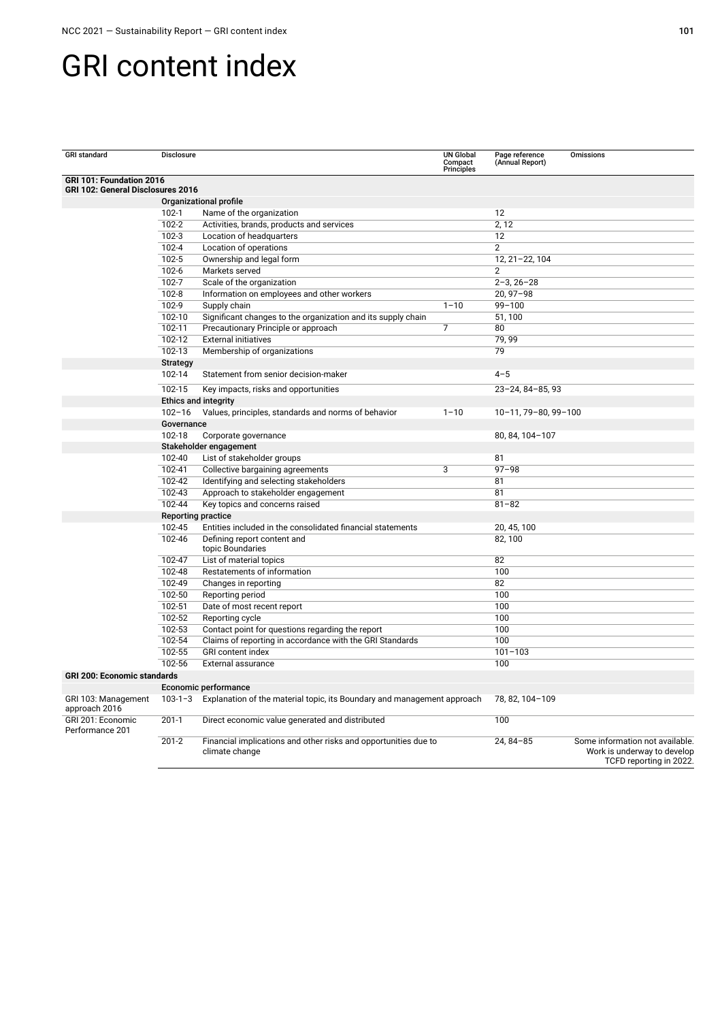# GRI content index

| <b>GRI</b> standard                                                  | <b>Disclosure</b>           |                                                                                   | <b>UN Global</b><br>Compact<br>Principles | Page reference<br>(Annual Report) | <b>Omissions</b>                                                                          |
|----------------------------------------------------------------------|-----------------------------|-----------------------------------------------------------------------------------|-------------------------------------------|-----------------------------------|-------------------------------------------------------------------------------------------|
| GRI 101: Foundation 2016<br><b>GRI 102: General Disclosures 2016</b> |                             |                                                                                   |                                           |                                   |                                                                                           |
|                                                                      |                             | Organizational profile                                                            |                                           |                                   |                                                                                           |
|                                                                      | $102 - 1$                   | Name of the organization                                                          |                                           | 12                                |                                                                                           |
|                                                                      | 102-2                       | Activities, brands, products and services                                         |                                           | 2, 12                             |                                                                                           |
|                                                                      | $102 - 3$                   | Location of headquarters                                                          |                                           | 12                                |                                                                                           |
|                                                                      | $102 - 4$                   | Location of operations                                                            |                                           | $\overline{2}$                    |                                                                                           |
|                                                                      | 102-5                       | Ownership and legal form                                                          |                                           | 12, 21-22, 104                    |                                                                                           |
|                                                                      | $102 - 6$                   | Markets served                                                                    |                                           | 2                                 |                                                                                           |
|                                                                      | $102 - 7$                   | Scale of the organization                                                         |                                           | $2 - 3, 26 - 28$                  |                                                                                           |
|                                                                      | $102 - 8$                   | Information on employees and other workers                                        |                                           | $20, 97 - 98$                     |                                                                                           |
|                                                                      | 102-9                       | Supply chain                                                                      | $1 - 10$                                  | $99 - 100$                        |                                                                                           |
|                                                                      | 102-10                      | Significant changes to the organization and its supply chain                      |                                           | 51,100                            |                                                                                           |
|                                                                      | 102-11                      | Precautionary Principle or approach                                               | $\overline{7}$                            | 80                                |                                                                                           |
|                                                                      | 102-12                      | <b>External initiatives</b>                                                       |                                           | 79,99                             |                                                                                           |
|                                                                      | 102-13                      | Membership of organizations                                                       |                                           | 79                                |                                                                                           |
|                                                                      | <b>Strategy</b>             |                                                                                   |                                           |                                   |                                                                                           |
|                                                                      | 102-14                      | Statement from senior decision-maker                                              |                                           | $4 - 5$                           |                                                                                           |
|                                                                      |                             |                                                                                   |                                           |                                   |                                                                                           |
|                                                                      | $102 - 15$                  | Key impacts, risks and opportunities                                              |                                           | 23-24, 84-85, 93                  |                                                                                           |
|                                                                      | <b>Ethics and integrity</b> |                                                                                   | $1 - 10$                                  |                                   |                                                                                           |
|                                                                      | $102 - 16$<br>Governance    | Values, principles, standards and norms of behavior                               |                                           | 10-11, 79-80, 99-100              |                                                                                           |
|                                                                      |                             |                                                                                   |                                           |                                   |                                                                                           |
|                                                                      | 102-18                      | Corporate governance                                                              |                                           | 80, 84, 104-107                   |                                                                                           |
|                                                                      |                             | Stakeholder engagement                                                            |                                           |                                   |                                                                                           |
|                                                                      | 102-40<br>102-41            | List of stakeholder groups                                                        | 3                                         | 81<br>$97 - 98$                   |                                                                                           |
|                                                                      | 102-42                      | Collective bargaining agreements                                                  |                                           | 81                                |                                                                                           |
|                                                                      | 102-43                      | Identifying and selecting stakeholders                                            |                                           | 81                                |                                                                                           |
|                                                                      | 102-44                      | Approach to stakeholder engagement<br>Key topics and concerns raised              |                                           | $81 - 82$                         |                                                                                           |
|                                                                      | <b>Reporting practice</b>   |                                                                                   |                                           |                                   |                                                                                           |
|                                                                      | 102-45                      | Entities included in the consolidated financial statements                        |                                           | 20.45.100                         |                                                                                           |
|                                                                      | 102-46                      | Defining report content and                                                       |                                           | 82, 100                           |                                                                                           |
|                                                                      |                             | topic Boundaries                                                                  |                                           |                                   |                                                                                           |
|                                                                      | 102-47                      | List of material topics                                                           |                                           | 82                                |                                                                                           |
|                                                                      | 102-48                      | Restatements of information                                                       |                                           | 100                               |                                                                                           |
|                                                                      | 102-49                      | Changes in reporting                                                              |                                           | 82                                |                                                                                           |
|                                                                      | 102-50                      | Reporting period                                                                  |                                           | 100                               |                                                                                           |
|                                                                      | 102-51                      | Date of most recent report                                                        |                                           | 100                               |                                                                                           |
|                                                                      | 102-52                      | Reporting cycle                                                                   |                                           | 100                               |                                                                                           |
|                                                                      | 102-53                      | Contact point for questions regarding the report                                  |                                           | 100                               |                                                                                           |
|                                                                      | 102-54                      | Claims of reporting in accordance with the GRI Standards                          |                                           | 100                               |                                                                                           |
|                                                                      | 102-55                      | GRI content index                                                                 |                                           | $101 - 103$                       |                                                                                           |
|                                                                      | 102-56                      | <b>External assurance</b>                                                         |                                           | 100                               |                                                                                           |
| <b>GRI 200: Economic standards</b>                                   |                             |                                                                                   |                                           |                                   |                                                                                           |
|                                                                      |                             | Economic performance                                                              |                                           |                                   |                                                                                           |
| GRI 103: Management<br>approach 2016                                 | $103 - 1 - 3$               | Explanation of the material topic, its Boundary and management approach           |                                           | 78, 82, 104-109                   |                                                                                           |
| GRI 201: Economic<br>Performance 201                                 | $201-1$                     | Direct economic value generated and distributed                                   |                                           | 100                               |                                                                                           |
|                                                                      | $201 - 2$                   | Financial implications and other risks and opportunities due to<br>climate change |                                           | $24, 84 - 85$                     | Some information not available.<br>Work is underway to develop<br>TCFD reporting in 2022. |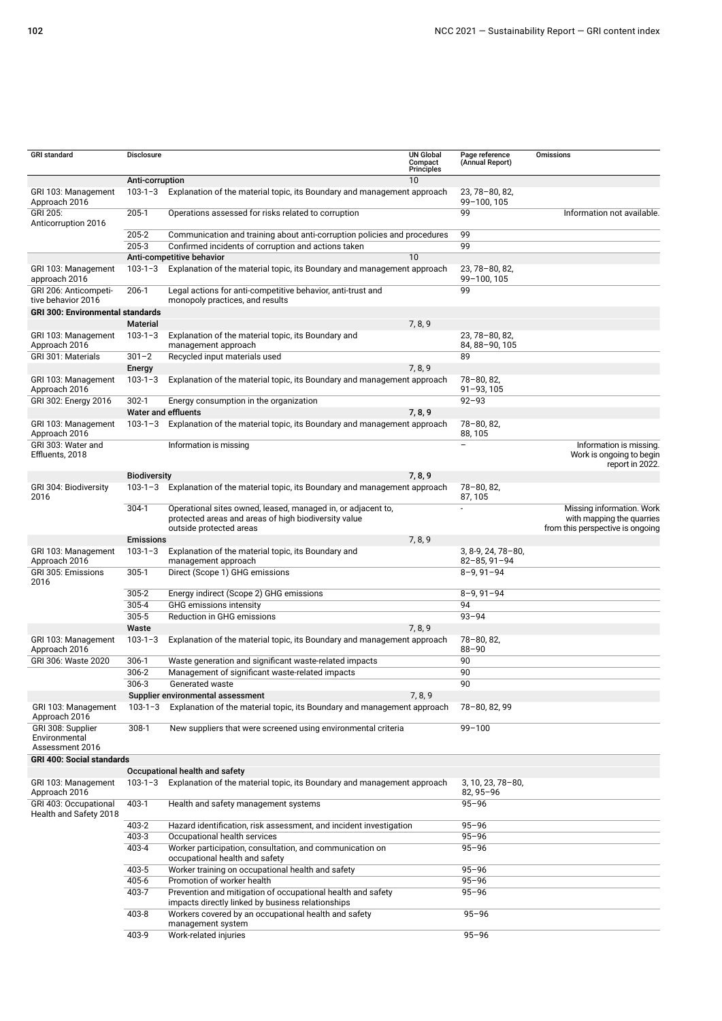| <b>GRI</b> standard                                                                              | Disclosure          |                                                                                                                                                 | <b>UN Global</b><br>Compact<br><b>Principles</b> | Page reference<br>(Annual Report)          | Omissions                                                                                  |  |
|--------------------------------------------------------------------------------------------------|---------------------|-------------------------------------------------------------------------------------------------------------------------------------------------|--------------------------------------------------|--------------------------------------------|--------------------------------------------------------------------------------------------|--|
|                                                                                                  | Anti-corruption     |                                                                                                                                                 | 10                                               |                                            |                                                                                            |  |
| GRI 103: Management<br>Approach 2016                                                             | $103 - 1 - 3$       | Explanation of the material topic, its Boundary and management approach                                                                         |                                                  | 23.78-80.82.<br>99-100, 105                |                                                                                            |  |
| GRI 205:<br>Anticorruption 2016                                                                  | $205-1$             | Operations assessed for risks related to corruption                                                                                             |                                                  | 99                                         | Information not available.                                                                 |  |
|                                                                                                  | 205-2               | Communication and training about anti-corruption policies and procedures                                                                        |                                                  | 99                                         |                                                                                            |  |
|                                                                                                  | 205-3               | Confirmed incidents of corruption and actions taken                                                                                             |                                                  | 99                                         |                                                                                            |  |
|                                                                                                  |                     | Anti-competitive behavior                                                                                                                       | 10                                               |                                            |                                                                                            |  |
| GRI 103: Management<br>approach 2016                                                             | $103 - 1 - 3$       | Explanation of the material topic, its Boundary and management approach                                                                         |                                                  | 23, 78-80, 82,<br>99-100, 105              |                                                                                            |  |
| GRI 206: Anticompeti-                                                                            | $206-1$             | Legal actions for anti-competitive behavior, anti-trust and                                                                                     |                                                  | 99                                         |                                                                                            |  |
| tive behavior 2016<br>monopoly practices, and results<br><b>GRI 300: Environmental standards</b> |                     |                                                                                                                                                 |                                                  |                                            |                                                                                            |  |
|                                                                                                  | Material            |                                                                                                                                                 | 7, 8, 9                                          |                                            |                                                                                            |  |
| GRI 103: Management                                                                              | $103 - 1 - 3$       | Explanation of the material topic, its Boundary and                                                                                             |                                                  | 23, 78-80, 82,                             |                                                                                            |  |
| Approach 2016                                                                                    |                     | management approach                                                                                                                             |                                                  | 84, 88-90, 105                             |                                                                                            |  |
| GRI 301: Materials                                                                               | $301 - 2$           | Recycled input materials used                                                                                                                   |                                                  | 89                                         |                                                                                            |  |
|                                                                                                  | Energy              |                                                                                                                                                 | 7, 8, 9                                          |                                            |                                                                                            |  |
| GRI 103: Management<br>Approach 2016                                                             | $103 - 1 - 3$       | Explanation of the material topic, its Boundary and management approach                                                                         |                                                  | 78-80, 82,<br>$91 - 93, 105$               |                                                                                            |  |
| GRI 302: Energy 2016                                                                             | $302 - 1$           | Energy consumption in the organization                                                                                                          |                                                  | $92 - 93$                                  |                                                                                            |  |
|                                                                                                  |                     | <b>Water and effluents</b>                                                                                                                      | 7, 8, 9                                          |                                            |                                                                                            |  |
| GRI 103: Management<br>Approach 2016                                                             | $103 - 1 - 3$       | Explanation of the material topic, its Boundary and management approach                                                                         |                                                  | 78-80, 82,<br>88, 105                      |                                                                                            |  |
| GRI 303: Water and<br>Effluents, 2018                                                            |                     | Information is missing                                                                                                                          |                                                  | $\overline{a}$                             | Information is missing.<br>Work is ongoing to begin<br>report in 2022.                     |  |
|                                                                                                  | <b>Biodiversity</b> |                                                                                                                                                 | 7, 8, 9                                          |                                            |                                                                                            |  |
| GRI 304: Biodiversity<br>2016                                                                    | $103 - 1 - 3$       | Explanation of the material topic, its Boundary and management approach                                                                         |                                                  | 78-80, 82,<br>87, 105                      |                                                                                            |  |
|                                                                                                  | $304-1$             | Operational sites owned, leased, managed in, or adjacent to,<br>protected areas and areas of high biodiversity value<br>outside protected areas |                                                  | $\overline{a}$                             | Missing information. Work<br>with mapping the quarries<br>from this perspective is ongoing |  |
|                                                                                                  | <b>Emissions</b>    |                                                                                                                                                 | 7, 8, 9                                          |                                            |                                                                                            |  |
| GRI 103: Management<br>Approach 2016                                                             | $103 - 1 - 3$       | Explanation of the material topic, its Boundary and<br>management approach                                                                      |                                                  | $3, 8-9, 24, 78-80,$<br>$82 - 85, 91 - 94$ |                                                                                            |  |
| GRI 305: Emissions<br>2016                                                                       | $305 - 1$           | Direct (Scope 1) GHG emissions                                                                                                                  |                                                  | $8 - 9, 91 - 94$                           |                                                                                            |  |
|                                                                                                  | 305-2               | Energy indirect (Scope 2) GHG emissions                                                                                                         |                                                  | $8 - 9, 91 - 94$                           |                                                                                            |  |
|                                                                                                  | 305-4               | GHG emissions intensity                                                                                                                         |                                                  | 94                                         |                                                                                            |  |
|                                                                                                  | 305-5               | <b>Reduction in GHG emissions</b>                                                                                                               |                                                  | $93 - 94$                                  |                                                                                            |  |
|                                                                                                  | Waste               |                                                                                                                                                 | 7, 8, 9                                          |                                            |                                                                                            |  |
| GRI 103: Management<br>Approach 2016                                                             | $103 - 1 - 3$       | Explanation of the material topic, its Boundary and management approach                                                                         |                                                  | 78-80, 82,<br>$88 - 90$                    |                                                                                            |  |
| GRI 306: Waste 2020                                                                              | $306-1$             | Waste generation and significant waste-related impacts                                                                                          |                                                  | 90                                         |                                                                                            |  |
|                                                                                                  | $306 - 2$           | Management of significant waste-related impacts                                                                                                 |                                                  | 90                                         |                                                                                            |  |
|                                                                                                  | $306 - 3$           | Generated waste                                                                                                                                 |                                                  | 90                                         |                                                                                            |  |
|                                                                                                  |                     | Supplier environmental assessment                                                                                                               | 7, 8, 9                                          |                                            |                                                                                            |  |
| GRI 103: Management<br>Approach 2016                                                             | $103 - 1 - 3$       | Explanation of the material topic, its Boundary and management approach                                                                         |                                                  | 78-80, 82, 99                              |                                                                                            |  |
| GRI 308: Supplier<br>Environmental<br>Assessment 2016                                            | $308-1$             | New suppliers that were screened using environmental criteria                                                                                   |                                                  | $99 - 100$                                 |                                                                                            |  |
| <b>GRI 400: Social standards</b>                                                                 |                     |                                                                                                                                                 |                                                  |                                            |                                                                                            |  |
|                                                                                                  |                     | Occupational health and safety                                                                                                                  |                                                  |                                            |                                                                                            |  |
| GRI 103: Management<br>Approach 2016                                                             | $103 - 1 - 3$       | Explanation of the material topic, its Boundary and management approach                                                                         |                                                  | $3, 10, 23, 78 - 80,$<br>82, 95-96         |                                                                                            |  |
| GRI 403: Occupational<br>Health and Safety 2018                                                  | 403-1               | Health and safety management systems                                                                                                            |                                                  | $95 - 96$                                  |                                                                                            |  |
|                                                                                                  | 403-2               | Hazard identification, risk assessment, and incident investigation                                                                              |                                                  | $95 - 96$                                  |                                                                                            |  |
|                                                                                                  | 403-3               | Occupational health services                                                                                                                    |                                                  | $95 - 96$                                  |                                                                                            |  |
|                                                                                                  | 403-4               | Worker participation, consultation, and communication on<br>occupational health and safety                                                      |                                                  | $95 - 96$                                  |                                                                                            |  |
|                                                                                                  | 403-5               | Worker training on occupational health and safety                                                                                               |                                                  | $95 - 96$                                  |                                                                                            |  |
|                                                                                                  | 405-6               | Promotion of worker health                                                                                                                      |                                                  | $95 - 96$                                  |                                                                                            |  |
|                                                                                                  | 403-7               | Prevention and mitigation of occupational health and safety<br>impacts directly linked by business relationships                                |                                                  | 95-96                                      |                                                                                            |  |
|                                                                                                  | 403-8               | Workers covered by an occupational health and safety<br>management system                                                                       |                                                  | $95 - 96$                                  |                                                                                            |  |
|                                                                                                  | 403-9               | Work-related injuries                                                                                                                           |                                                  | $95 - 96$                                  |                                                                                            |  |